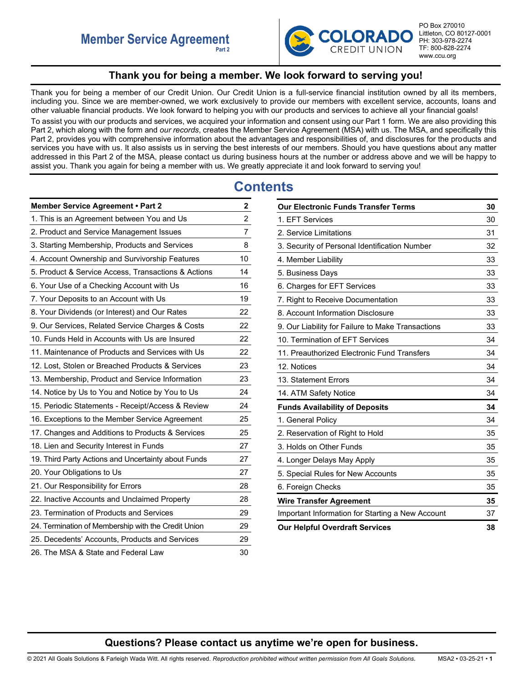

# **Thank you for being a member. We look forward to serving you!**

<span id="page-0-0"></span>Thank you for being a member of our Credit Union. Our Credit Union is a full-service financial institution owned by all its members, including you. Since we are member-owned, we work exclusively to provide our members with excellent service, accounts, loans and other valuable financial products. We look forward to helping you with our products and services to achieve all your financial goals!

To assist you with our products and services, we acquired your information and consent using our Part 1 form. We are also providing this Part 2, which along with the form and *our records*, creates the Member Service Agreement (MSA) with us. The MSA, and specifically this Part 2, provides you with comprehensive information about the advantages and responsibilities of, and disclosures for the products and services you have with us. It also assists us in serving the best interests of our members. Should you have questions about any matter addressed in this Part 2 of the MSA, please contact us during business hours at the number or address above and we will be happy to assist you. Thank you again for being a member with us. We greatly appreciate it and look forward to serving you!

# **Contents**

| <b>Member Service Agreement • Part 2</b>            | 2              |
|-----------------------------------------------------|----------------|
| 1. This is an Agreement between You and Us          | $\overline{2}$ |
| 2. Product and Service Management Issues            | 7              |
| 3. Starting Membership, Products and Services       | 8              |
| 4. Account Ownership and Survivorship Features      | 10             |
| 5. Product & Service Access, Transactions & Actions | 14             |
| 6. Your Use of a Checking Account with Us           | 16             |
| 7. Your Deposits to an Account with Us              | 19             |
| 8. Your Dividends (or Interest) and Our Rates       | 22             |
| 9. Our Services, Related Service Charges & Costs    | 22             |
| 10. Funds Held in Accounts with Us are Insured      | 22             |
| 11. Maintenance of Products and Services with Us    | 22             |
| 12. Lost, Stolen or Breached Products & Services    | 23             |
| 13. Membership, Product and Service Information     | 23             |
| 14. Notice by Us to You and Notice by You to Us     | 24             |
| 15. Periodic Statements - Receipt/Access & Review   | 24             |
| 16. Exceptions to the Member Service Agreement      | 25             |
| 17. Changes and Additions to Products & Services    | 25             |
| 18. Lien and Security Interest in Funds             | 27             |
| 19. Third Party Actions and Uncertainty about Funds | 27             |
| 20. Your Obligations to Us                          | 27             |
| 21. Our Responsibility for Errors                   | 28             |
| 22. Inactive Accounts and Unclaimed Property        | 28             |
| 23. Termination of Products and Services            | 29             |
| 24. Termination of Membership with the Credit Union | 29             |
| 25. Decedents' Accounts, Products and Services      | 29             |
| 26. The MSA & State and Federal Law                 | 30             |

| <b>Our Electronic Funds Transfer Terms</b>        | 30 |
|---------------------------------------------------|----|
| 1. EFT Services                                   | 30 |
| 2. Service Limitations                            | 31 |
| 3. Security of Personal Identification Number     | 32 |
| 4. Member Liability                               | 33 |
| 5. Business Days                                  | 33 |
| 6. Charges for EFT Services                       | 33 |
| 7. Right to Receive Documentation                 | 33 |
| 8. Account Information Disclosure                 | 33 |
| 9. Our Liability for Failure to Make Transactions | 33 |
| 10. Termination of EFT Services                   | 34 |
| 11. Preauthorized Electronic Fund Transfers       | 34 |
| 12. Notices                                       | 34 |
| 13. Statement Errors                              | 34 |
| 14. ATM Safety Notice                             | 34 |
| <b>Funds Availability of Deposits</b>             | 34 |
| 1. General Policy                                 | 34 |
| 2. Reservation of Right to Hold                   | 35 |
| 3. Holds on Other Funds                           | 35 |
| 4. Longer Delays May Apply                        | 35 |
| 5. Special Rules for New Accounts                 | 35 |
| 6. Foreign Checks                                 | 35 |
| <b>Wire Transfer Agreement</b>                    | 35 |
| Important Information for Starting a New Account  | 37 |
| <b>Our Helpful Overdraft Services</b>             | 38 |

# **Questions? Please contact us anytime we're open for business.**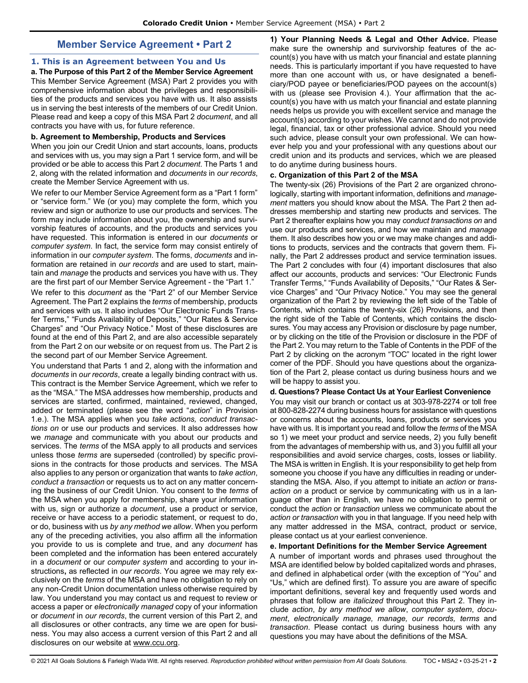# **Member Service Agreement • Part 2**

# <span id="page-1-1"></span><span id="page-1-0"></span>**1. This is an Agreement between You and Us**

**a. The Purpose of this Part 2 of the Member Service Agreement**  This Member Service Agreement (MSA) Part 2 provides you with comprehensive information about the privileges and responsibilities of the products and services you have with us. It also assists us in serving the best interests of the members of our Credit Union. Please read and keep a copy of this MSA Part 2 *document*, and all contracts you have with us, for future reference.

# **b. Agreement to Membership, Products and Services**

When you join our Credit Union and start accounts, loans, products and services with us, you may sign a Part 1 service form, and will be provided or be able to access this Part 2 *document*. The Parts 1 and 2, along with the related information and *documents* in *our records*, create the Member Service Agreement with us.

We refer to our Member Service Agreement form as a "Part 1 form" or "service form." We (or you) may complete the form, which you review and sign or authorize to use our products and services. The form may include information about you, the ownership and survivorship features of accounts, and the products and services you have requested. This information is entered in our *documents* or *computer system*. In fact, the service form may consist entirely of information in our *computer system*. The forms, *documents* and information are retained in *our records* and are used to start, maintain and *manage* the products and services you have with us. They are the first part of our Member Service Agreement - the "Part 1."

We refer to this *document* as the "Part 2" of our Member Service Agreement. The Part 2 explains the *terms* of membership, products and services with us. It also includes "Our Electronic Funds Transfer Terms," "Funds Availability of Deposits," "Our Rates & Service Charges" and "Our Privacy Notice." Most of these disclosures are found at the end of this Part 2, and are also accessible separately from the Part 2 on our website or on request from us. The Part 2 is the second part of our Member Service Agreement.

You understand that Parts 1 and 2, along with the information and *documents* in *our records*, create a legally binding contract with us. This contract is the Member Service Agreement, which we refer to as the "MSA." The MSA addresses how membership, products and services are started, confirmed, maintained, reviewed, changed, added or terminated (please see the word "*action*" in Provision 1.e.). The MSA applies when you *take actions, conduct transactions on* or use our products and services. It also addresses how we *manage* and communicate with you about our products and services. The *terms* of the MSA apply to all products and services unless those *terms* are superseded (controlled) by specific provisions in the contracts for those products and services. The MSA also applies to any person or organization that wants to *take action*, *conduct a transaction* or requests us to act on any matter concerning the business of our Credit Union. You consent to the *terms* of the MSA when you apply for membership, share your information with us, sign or authorize a *document*, use a product or service, receive or have access to a periodic statement, or request to do, or do, business with us *by any method we allow*. When you perform any of the preceding activities, you also affirm all the information you provide to us is complete and true, and any *document* has been completed and the information has been entered accurately in a *document* or our *computer system* and according to your instructions**,** as reflected in *our records*. You agree we may rely exclusively on the *terms* of the MSA and have no obligation to rely on any non-Credit Union documentation unless otherwise required by law. You understand you may contact us and request to review or access a paper or *electronically managed* copy of your information or *document* in *our records*, the current version of this Part 2, and all disclosures or other contracts, any time we are open for business. You may also access a current version of this Part 2 and all disclosures on our website at [www.ccu.org.](www.ccu.org)

**1) Your Planning Needs & Legal and Other Advice.** Please make sure the ownership and survivorship features of the account(s) you have with us match your financial and estate planning needs. This is particularly important if you have requested to have more than one account with us, or have designated a beneficiary/POD payee or beneficiaries/POD payees on the account(s) with us (please see Provision 4.). Your affirmation that the account(s) you have with us match your financial and estate planning needs helps us provide you with excellent service and manage the account(s) according to your wishes. We cannot and do not provide legal, financial, tax or other professional advice. Should you need such advice, please consult your own professional. We can however help you and your professional with any questions about our credit union and its products and services, which we are pleased to do anytime during business hours.

### **c. Organization of this Part 2 of the MSA**

The twenty-six (26) Provisions of the Part 2 are organized chronologically, starting with important information, definitions and *management* matters you should know about the MSA. The Part 2 then addresses membership and starting new products and services. The Part 2 thereafter explains how you may *conduct transactions on* and use our products and services, and how we maintain and *manage*  them. It also describes how you or we may make changes and additions to products, services and the contracts that govern them. Finally, the Part 2 addresses product and service termination issues. The Part 2 concludes with four (4) important disclosures that also affect our accounts, products and services: "Our Electronic Funds Transfer Terms," "Funds Availability of Deposits," "Our Rates & Service Charges" and "Our Privacy Notice." You may see the general organization of the Part 2 by reviewing the left side of the Table of Contents, which contains the twenty-six (26) Provisions, and then the right side of the Table of Contents, which contains the disclosures. You may access any Provision or disclosure by page number, or by clicking on the title of the Provision or disclosure in the PDF of the Part 2. You may return to the Table of Contents in the PDF of the Part 2 by clicking on the acronym "TOC" located in the right lower corner of the PDF. Should you have questions about the organization of the Part 2, please contact us during business hours and we will be happy to assist you.

# **d. Questions? Please Contact Us at Your Earliest Convenience**

You may visit our branch or contact us at 303-978-2274 or toll free at 800-828-2274 during business hours for assistance with questions or concerns about the accounts, loans, products or services you have with us. It is important you read and follow the *terms* of the MSA so 1) we meet your product and service needs, 2) you fully benefit from the advantages of membership with us, and 3) you fulfill all your responsibilities and avoid service charges, costs, losses or liability. The MSA is written in English. It is your responsibility to get help from someone you choose if you have any difficulties in reading or understanding the MSA. Also, if you attempt to initiate an *action* or *transaction on* a product or service by communicating with us in a language other than in English, we have no obligation to permit or conduct the *action* or *transaction* unless we communicate about the *action or transaction* with you in that language. If you need help with any matter addressed in the MSA, contract, product or service, please contact us at your earliest convenience.

#### **e. Important Definitions for the Member Service Agreement**

A number of important words and phrases used throughout the MSA are identified below by bolded capitalized words and phrases, and defined in alphabetical order (with the exception of "You" and "Us," which are defined first). To assure you are aware of specific important definitions, several key and frequently used words and phrases that follow are *italicized* throughout this Part 2. They include *action*, *by any method we allow*, *computer system*, *document*, *electronically manage, manage, our records, terms* and *transaction*. Please contact us during business hours with any questions you may have about the definitions of the MSA.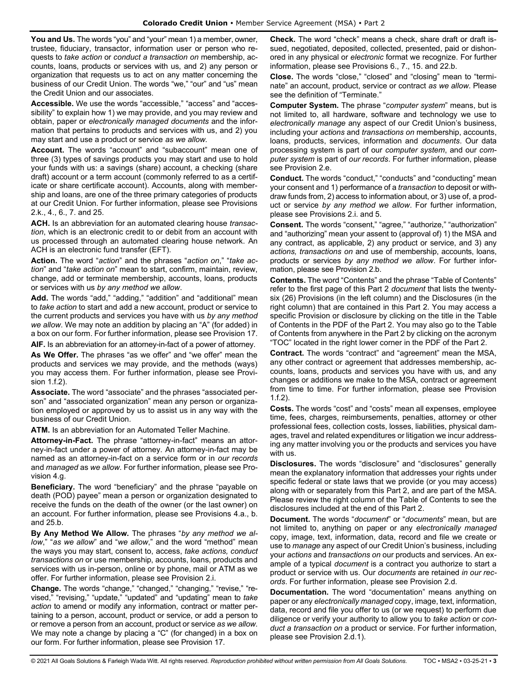**You and Us.** The words "you" and "your" mean 1) a member, owner, trustee, fiduciary, transactor, information user or person who requests to *take action* or *conduct a transaction on* membership, accounts, loans, products or services with us, and 2) any person or organization that requests us to act on any matter concerning the business of our Credit Union. The words "we," "our" and "us" mean the Credit Union and our associates.

**Accessible.** We use the words "accessible," "access" and "accessibility" to explain how 1) we may provide, and you may review and obtain, paper or *electronically managed documents* and the information that pertains to products and services with us, and 2) you may start and use a product or service *as we allow.* 

**Account.** The words "account" and "subaccount" mean one of three (3) types of savings products you may start and use to hold your funds with us: a savings (share) account, a checking (share draft) account or a term account (commonly referred to as a certificate or share certificate account). Accounts, along with membership and loans, are one of the three primary categories of products at our Credit Union. For further information, please see Provisions 2.k., 4., 6., 7. and 25.

**ACH.** Is an abbreviation for an automated clearing house *transaction*, which is an electronic credit to or debit from an account with us processed through an automated clearing house network. An ACH is an electronic fund transfer (EFT).

**Action.** The word "*action*" and the phrases "*action on*," "*take action*" and "*take action on*" mean to start, confirm, maintain, review, change, add or terminate membership, accounts, loans, products or services with us *by any method we allow*.

**Add.** The words "add," "adding," "addition" and "additional" mean to *take action* to start and add a new account, product or service to the current products and services you have with us *by any method we allow*. We may note an addition by placing an "A" (for added) in a box on our form. For further information, please see Provision 17.

**AIF.** Is an abbreviation for an attorney-in-fact of a power of attorney.

**As We Offer.** The phrases "as we offer" and "we offer" mean the products and services we may provide, and the methods (ways) you may access them. For further information, please see Provision 1.f.2).

**Associate.** The word "associate" and the phrases "associated person" and "associated organization" mean any person or organization employed or approved by us to assist us in any way with the business of our Credit Union.

**ATM.** Is an abbreviation for an Automated Teller Machine.

**Attorney-in-Fact.** The phrase "attorney-in-fact" means an attorney-in-fact under a power of attorney. An attorney-in-fact may be named as an attorney-in-fact on a service form or in *our records* and *managed* as *we allow*. For further information, please see Provision 4.g.

**Beneficiary.** The word "beneficiary" and the phrase "payable on death (POD) payee" mean a person or organization designated to receive the funds on the death of the owner (or the last owner) on an account. For further information, please see Provisions 4.a., b. and 25.b.

**By Any Method We Allow.** The phrases "*by any method we allow*," "*as we allow*" and "*we allow*," and the word "method" mean the ways you may start, consent to, access, *take actions, conduct transactions on* or use membership, accounts, loans, products and services with us in-person, online or by phone, mail or ATM as we offer. For further information, please see Provision 2.i.

**Change.** The words "change," "changed," "changing," "revise," "revised," "revising," "update," "updated" and "updating" mean to *take action* to amend or modify any information, contract or matter pertaining to a person, account, product or service, or add a person to or remove a person from an account, product or service *as we allow*. We may note a change by placing a "C" (for changed) in a box on our form. For further information, please see Provision 17.

**Check.** The word "check" means a check, share draft or draft issued, negotiated, deposited, collected, presented, paid or dishonored in any physical or *electronic* format we recognize. For further information, please see Provisions 6., 7., 15. and 22.b.

**Close.** The words "close," "closed" and "closing" mean to "terminate" an account, product, service or contract *as we allow*. Please see the definition of "Terminate."

**Computer System.** The phrase "*computer system*" means, but is not limited to, all hardware, software and technology we use to *electronically manage* any aspect of our Credit Union's business, including your *actions* and *transactions on* membership, accounts, loans, products, services, information and *documents*. Our data processing system is part of our *computer system*, and our *computer system* is part of *our records*. For further information, please see Provision 2.e.

**Conduct.** The words "conduct," "conducts" and "conducting" mean your consent and 1) performance of a *transaction* to deposit or withdraw funds from, 2) access to information about, or 3) use of, a product or service *by any method we allow*. For further information, please see Provisions 2.i. and 5.

**Consent.** The words "consent," "agree," "authorize," "authorization" and "authorizing" mean your assent to (approval of) 1) the MSA and any contract, as applicable, 2) any product or service, and 3) any *actions, transactions on* and use of membership, accounts, loans, products or services *by any method we allow*. For further information, please see Provision 2.b.

**Contents.** The word "Contents" and the phrase "Table of Contents" refer to the first page of this Part 2 *document* that lists the twentysix (26) Provisions (in the left column) and the Disclosures (in the right column) that are contained in this Part 2. You may access a specific Provision or disclosure by clicking on the title in the Table of Contents in the PDF of the Part 2. You may also go to the Table of Contents from anywhere in the Part 2 by clicking on the acronym "TOC" located in the right lower corner in the PDF of the Part 2.

**Contract.** The words "contract" and "agreement" mean the MSA, any other contract or agreement that addresses membership, accounts, loans, products and services you have with us, and any changes or additions we make to the MSA, contract or agreement from time to time. For further information, please see Provision 1.f.2).

**Costs.** The words "cost" and "costs" mean all expenses, employee time, fees, charges, reimbursements, penalties, attorney or other professional fees, collection costs, losses, liabilities, physical damages, travel and related expenditures or litigation we incur addressing any matter involving you or the products and services you have with us.

**Disclosures.** The words "disclosure" and "disclosures" generally mean the explanatory information that addresses your rights under specific federal or state laws that we provide (or you may access) along with or separately from this Part 2, and are part of the MSA. Please review the right column of the Table of Contents to see the disclosures included at the end of this Part 2.

**Document.** The words "*document*" or "*documents*" mean, but are not limited to, anything on paper or any *electronically managed* copy, image, text, information, data, record and file we create or use to *manage* any aspect of our Credit Union's business, including your *actions* and *transactions on* our products and services. An example of a typical *document* is a contract you authorize to start a product or service with us. Our *documents* are retained *in our records*. For further information, please see Provision 2.d.

**Documentation.** The word "documentation" means anything on paper or any *electronically managed* copy, image, text, information, data, record and file you offer to us (or we request) to perform due diligence or verify your authority to allow you to *take action* or *conduct a transaction on* a product or service. For further information, please see Provision 2.d.1).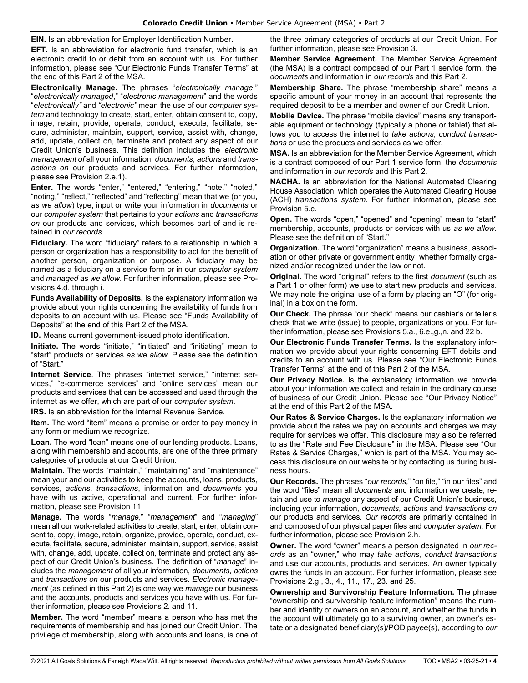**EIN.** Is an abbreviation for Employer Identification Number.

**EFT.** Is an abbreviation for electronic fund transfer, which is an electronic credit to or debit from an account with us. For further information, please see "Our Electronic Funds Transfer Terms" at the end of this Part 2 of the MSA.

**Electronically Manage.** The phrases "*electronically manage*," "*electronically managed*," "*electronic management*" and the words "*electronically"* and *"electronic"* mean the use of our *computer system* and technology to create, start, enter, obtain consent to, copy, image, retain, provide, operate, conduct, execute, facilitate, secure, administer, maintain, support, service, assist with, change, add, update, collect on, terminate and protect any aspect of our Credit Union's business. This definition includes the *electronic management of* all your information, *documents*, *actions* and *transactions on* our products and services. For further information, please see Provision 2.e.1).

**Enter.** The words "enter," "entered," "entering," "note," "noted," "noting," "reflect," "reflected" and "reflecting" mean that we (or you**,** *as we allow*) type, input or write your information in *documents* or our *computer system* that pertains to your *actions* and *transactions on* our products and services, which becomes part of and is retained in *our records*.

**Fiduciary.** The word "fiduciary" refers to a relationship in which a person or organization has a responsibility to act for the benefit of another person, organization or purpose. A fiduciary may be named as a fiduciary on a service form or in our *computer system* and *managed* as *we allow*. For further information, please see Provisions 4.d. through i.

**Funds Availability of Deposits.** Is the explanatory information we provide about your rights concerning the availability of funds from deposits to an account with us. Please see "Funds Availability of Deposits" at the end of this Part 2 of the MSA.

**ID.** Means current government-issued photo identification.

**Initiate.** The words "initiate," "initiated" and "initiating" mean to "start" products or services *as we allow*. Please see the definition of "Start."

**Internet Service**. The phrases "internet service," "internet services," "e-commerce services" and "online services" mean our products and services that can be accessed and used through the internet as we offer, which are part of our *computer system*.

**IRS.** Is an abbreviation for the Internal Revenue Service.

**Item.** The word "item" means a promise or order to pay money in any form or medium we recognize.

**Loan.** The word "loan" means one of our lending products. Loans, along with membership and accounts, are one of the three primary categories of products at our Credit Union.

**Maintain.** The words "maintain," "maintaining" and "maintenance" mean your and our activities to keep the accounts, loans, products, services, *actions*, *transactions*, information and *documents* you have with us active, operational and current. For further information, please see Provision 11.

**Manage.** The words "*manage*," "*management*" and "*managing*" mean all our work-related activities to create, start, enter, obtain consent to, copy, image, retain, organize, provide, operate, conduct, execute, facilitate, secure, administer, maintain, support, service, assist with, change, add, update, collect on, terminate and protect any aspect of our Credit Union's business. The definition of "*manage*" includes the *management* of all your information, *documents*, *actions* and *transactions on* our products and services. *Electronic management* (as defined in this Part 2) is one way we *manage* our business and the accounts, products and services you have with us. For further information, please see Provisions 2. and 11.

**Member.** The word "member" means a person who has met the requirements of membership and has joined our Credit Union. The privilege of membership, along with accounts and loans, is one of the three primary categories of products at our Credit Union. For further information, please see Provision 3.

**Member Service Agreement.** The Member Service Agreement (the MSA) is a contract composed of our Part 1 service form, the *documents* and information in *our records* and this Part 2.

**Membership Share.** The phrase "membership share" means a specific amount of your money in an account that represents the required deposit to be a member and owner of our Credit Union.

**Mobile Device.** The phrase "mobile device" means any transportable equipment or technology (typically a phone or tablet) that allows you to access the internet to *take actions*, *conduct transactions* or use the products and services as we offer.

**MSA.** Is an abbreviation for the Member Service Agreement, which is a contract composed of our Part 1 service form, the *documents* and information in *our records* and this Part 2.

**NACHA.** Is an abbreviation for the National Automated Clearing House Association, which operates the Automated Clearing House (ACH) *transactions system*. For further information, please see Provision 5.c.

**Open.** The words "open," "opened" and "opening" mean to "start" membership, accounts, products or services with us *as we allow*. Please see the definition of "Start."

**Organization.** The word "organization" means a business, association or other private or government entity, whether formally organized and/or recognized under the law or not.

**Original.** The word "original" refers to the first *document* (such as a Part 1 or other form) we use to start new products and services. We may note the original use of a form by placing an "O" (for original) in a box on the form.

**Our Check.** The phrase "our check" means our cashier's or teller's check that we write (issue) to people, organizations or you. For further information, please see Provisions 5.a., 6.e.,g.,n. and 22 b.

**Our Electronic Funds Transfer Terms.** Is the explanatory information we provide about your rights concerning EFT debits and credits to an account with us. Please see "Our Electronic Funds Transfer Terms" at the end of this Part 2 of the MSA.

**Our Privacy Notice.** Is the explanatory information we provide about your information we collect and retain in the ordinary course of business of our Credit Union. Please see "Our Privacy Notice" at the end of this Part 2 of the MSA.

**Our Rates & Service Charges.** Is the explanatory information we provide about the rates we pay on accounts and charges we may require for services we offer. This disclosure may also be referred to as the "Rate and Fee Disclosure" in the MSA. Please see "Our Rates & Service Charges," which is part of the MSA. You may access this disclosure on our website or by contacting us during business hours.

**Our Records.** The phrases "*our records*," "on file," "in our files" and the word "files" mean all *documents* and information we create, retain and use to *manage* any aspect of our Credit Union's business, including your information, *documents*, *actions* and *transactions on* our products and services. *Our records* are primarily contained in and composed of our physical paper files and *computer system*. For further information, please see Provision 2.h.

**Owner.** The word "owner" means a person designated in *our records* as an "owner," who may *take actions*, *conduct transactions*  and use our accounts, products and services. An owner typically owns the funds in an account. For further information, please see Provisions 2.g., 3., 4., 11., 17., 23. and 25.

**Ownership and Survivorship Feature Information.** The phrase "ownership and survivorship feature information" means the number and identity of owners on an account, and whether the funds in the account will ultimately go to a surviving owner, an owner's estate or a designated beneficiary(s)/POD payee(s), according to *our*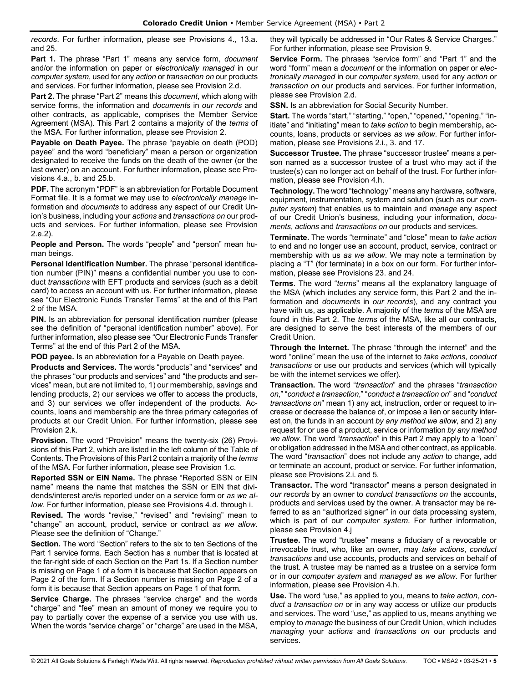*records*. For further information, please see Provisions 4., 13.a. and 25.

**Part 1.** The phrase "Part 1" means any service form, *document* and/or the information on paper or *electronically managed* in our *computer system*, used for any *action* or *transaction on* our products and services. For further information, please see Provision 2.d.

**Part 2.** The phrase "Part 2" means this *document*, which along with service forms, the information and *documents* in *our records* and other contracts, as applicable, comprises the Member Service Agreement (MSA). This Part 2 contains a majority of the *terms* of the MSA. For further information, please see Provision 2.

**Payable on Death Payee.** The phrase "payable on death (POD) payee" and the word "beneficiary" mean a person or organization designated to receive the funds on the death of the owner (or the last owner) on an account. For further information, please see Provisions 4.a., b. and 25.b.

**PDF.** The acronym "PDF" is an abbreviation for Portable Document Format file. It is a format we may use to *electronically manage* information and *documents* to address any aspect of our Credit Union's business, including your *actions* and *transactions on* our products and services. For further information, please see Provision 2.e.2).

**People and Person.** The words "people" and "person" mean human beings.

**Personal Identification Number.** The phrase "personal identification number (PIN)" means a confidential number you use to conduct *transactions* with EFT products and services (such as a debit card) to access an account with us. For further information, please see "Our Electronic Funds Transfer Terms" at the end of this Part 2 of the MSA.

**PIN.** Is an abbreviation for personal identification number (please see the definition of "personal identification number" above). For further information, also please see "Our Electronic Funds Transfer Terms" at the end of this Part 2 of the MSA.

**POD payee.** Is an abbreviation for a Payable on Death payee.

**Products and Services.** The words "products" and "services" and the phrases "our products and services" and "the products and services" mean, but are not limited to, 1) our membership, savings and lending products, 2) our services we offer to access the products, and 3) our services we offer independent of the products. Accounts, loans and membership are the three primary categories of products at our Credit Union. For further information, please see Provision 2.k.

**Provision.** The word "Provision" means the twenty-six (26) Provisions of this Part 2, which are listed in the left column of the Table of Contents. The Provisions of this Part 2 contain a majority of the *terms* of the MSA. For further information, please see Provision 1.c.

**Reported SSN or EIN Name.** The phrase "Reported SSN or EIN name" means the name that matches the SSN or EIN that dividends/interest are/is reported under on a service form or *as we allow*. For further information, please see Provisions 4.d. through i.

**Revised.** The words "revise," "revised" and "revising" mean to "change" an account, product, service or contract *as we allow*. Please see the definition of "Change."

**Section.** The word "Section" refers to the six to ten Sections of the Part 1 service forms. Each Section has a number that is located at the far-right side of each Section on the Part 1s. If a Section number is missing on Page 1 of a form it is because that Section appears on Page 2 of the form. If a Section number is missing on Page 2 of a form it is because that Section appears on Page 1 of that form.

**Service Charge.** The phrases "service charge" and the words "charge" and "fee" mean an amount of money we require you to pay to partially cover the expense of a service you use with us. When the words "service charge" or "charge" are used in the MSA,

they will typically be addressed in "Our Rates & Service Charges." For further information, please see Provision 9.

**Service Form.** The phrases "service form" and "Part 1" and the word "form" mean a *document* or the information on paper or *electronically managed* in our *computer system*, used for any *action* or *transaction on* our products and services. For further information, please see Provision 2.d.

**SSN.** Is an abbreviation for Social Security Number.

**Start.** The words "start," "starting," "open," "opened," "opening," "initiate" and "initiating" mean to *take action* to begin membership**,** accounts, loans, products or services *as we allow*. For further information, please see Provisions 2.i., 3. and 17.

**Successor Trustee.** The phrase "successor trustee" means a person named as a successor trustee of a trust who may act if the trustee(s) can no longer act on behalf of the trust. For further information, please see Provision 4.h.

**Technology.** The word "technology" means any hardware, software, equipment, instrumentation, system and solution (such as our *computer system*) that enables us to maintain and *manage* any aspect of our Credit Union's business, including your information, *documents*, *actions* and *transactions on* our products and services.

**Terminate.** The words "terminate" and "close" mean to *take action* to end and no longer use an account, product, service, contract or membership with us *as we allow*. We may note a termination by placing a "T" (for terminate) in a box on our form. For further information, please see Provisions 23. and 24.

**Terms**. The word "*terms*" means all the explanatory language of the MSA (which includes any service form, this Part 2 and the information and *documents* in *our records*), and any contract you have with us, as applicable. A majority of the *terms* of the MSA are found in this Part 2. The *terms* of the MSA, like all our contracts, are designed to serve the best interests of the members of our Credit Union.

**Through the Internet.** The phrase "through the internet" and the word "online" mean the use of the internet to *take actions*, *conduct transactions* or use our products and services (which will typically be with the internet services we offer).

**Transaction.** The word "*transaction*" and the phrases "*transaction on*," "*conduct a transaction*," "*conduct a transaction on*" and "*conduct transactions on*" mean 1) any act, instruction, order or request to increase or decrease the balance of, or impose a lien or security interest on, the funds in an account *by any method we allow*, and 2) any request for or use of a product, service or information *by any method we allow*. The word "*transaction*" in this Part 2 may apply to a "loan" or obligation addressed in the MSA and other contract, as applicable. The word "*transaction*" does not include any *action* to change, add or terminate an account, product or service. For further information, please see Provisions 2.i. and 5.

**Transactor.** The word "transactor" means a person designated in *our records* by an owner to *conduct transactions on* the accounts, products and services used by the owner. A transactor may be referred to as an "authorized signer" in our data processing system, which is part of our *computer system*. For further information, please see Provision 4.j

**Trustee.** The word "trustee" means a fiduciary of a revocable or irrevocable trust, who, like an owner, may *take actions*, *conduct transactions* and use accounts, products and services on behalf of the trust. A trustee may be named as a trustee on a service form or in our *computer system* and *managed* as *we allow*. For further information, please see Provision 4.h.

**Use.** The word "use," as applied to you, means to *take action*, *conduct a transaction on* or in any way access or utilize our products and services. The word "use," as applied to us, means anything we employ to *manage* the business of our Credit Union, which includes *managing* your *actions* and *transactions on* our products and services.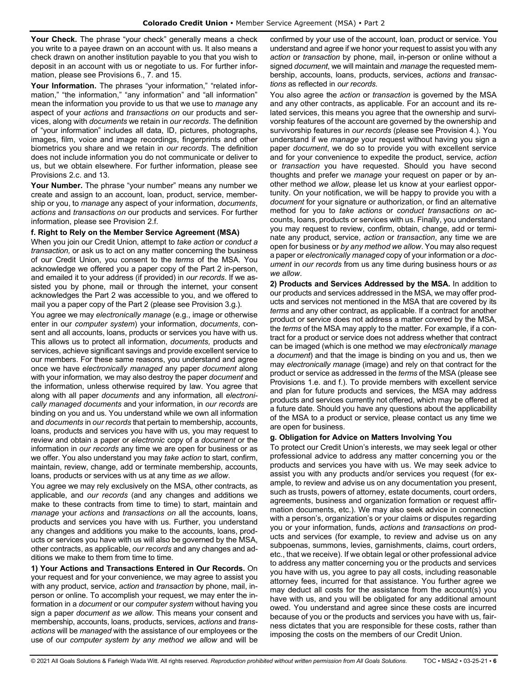**Your Check.** The phrase "your check" generally means a check you write to a payee drawn on an account with us. It also means a check drawn on another institution payable to you that you wish to deposit in an account with us or negotiate to us. For further information, please see Provisions 6., 7. and 15.

Your Information. The phrases "your information," "related information," "the information," "any information" and "all information" mean the information you provide to us that we use to *manage* any aspect of your *actions* and *transactions on* our products and services, along with *documents* we retain in *our records*. The definition of "your information" includes all data, ID, pictures, photographs, images, film, voice and image recordings, fingerprints and other biometrics you share and we retain in *our records*. The definition does not include information you do not communicate or deliver to us, but we obtain elsewhere. For further information, please see Provisions 2.c. and 13.

**Your Number.** The phrase "your number" means any number we create and assign to an account, loan, product, service, membership or you, to *manage* any aspect of your information, *documents*, *actions* and *transactions on* our products and services. For further information, please see Provision 2.f.

# **f. Right to Rely on the Member Service Agreement (MSA)**

When you join our Credit Union, attempt to *take action* or *conduct a transaction,* or ask us to act on any matter concerning the business of our Credit Union, you consent to the *terms* of the MSA. You acknowledge we offered you a paper copy of the Part 2 in-person, and emailed it to your address (if provided) in *our records*. If we assisted you by phone, mail or through the internet, your consent acknowledges the Part 2 was accessible to you, and we offered to mail you a paper copy of the Part 2 (please see Provision 3.g.).

You agree we may *electronically manage* (e.g., image or otherwise enter in our *computer system*) your information, *documents*, consent and all accounts, loans, products or services you have with us. This allows us to protect all information, *documents,* products and services, achieve significant savings and provide excellent service to our members. For these same reasons, you understand and agree once we have *electronically managed* any paper *document* along with your information*,* we may also destroy the paper *document* and the information, unless otherwise required by law. You agree that along with all paper *documents* and any information*,* all *electronically managed documents* and your information, in *our records* are binding on you and us. You understand while we own all information and *documents* in *our records* that pertain to membership, accounts, loans, products and services you have with us, you may request to review and obtain a paper or *electronic* copy of a *document* or the information in *our records* any time we are open for business or as we offer. You also understand you may *take action* to start, confirm, maintain, review, change, add or terminate membership, accounts, loans, products or services with us at any time *as we allow*.

You agree we may rely exclusively on the MSA, other contracts, as applicable, and *our records* (and any changes and additions we make to these contracts from time to time) to start, maintain and *manage* your *actions* and *transactions on* all the accounts, loans, products and services you have with us. Further, you understand any changes and additions you make to the accounts, loans, products or services you have with us will also be governed by the MSA, other contracts, as applicable, *our records* and any changes and additions we make to them from time to time.

**1) Your Actions and Transactions Entered in Our Records.** On your request and for your convenience, we may agree to assist you with any product, service, *action* and *transaction* by phone, mail, inperson or online. To accomplish your request, we may enter the information in a *document* or our *computer system* without having you sign a paper *document as we allow*. This means your consent and membership, accounts, loans, products, services, *actions* and *transactions* will be *managed* with the assistance of our employees or the use of our *computer system by any method we allow* and will be confirmed by your use of the account, loan, product or service. You understand and agree if we honor your request to assist you with any *action* or *transaction* by phone, mail, in-person or online without a signed *document*, we will maintain and *manage* the requested membership, accounts, loans, products, services, *actions* and *transactions* as reflected in *our records*.

You also agree the *action* or *transaction* is governed by the MSA and any other contracts, as applicable. For an account and its related services, this means you agree that the ownership and survivorship features of the account are governed by the ownership and survivorship features in *our records* (please see Provision 4.). You understand if we *manage* your request without having you sign a paper *document*, we do so to provide you with excellent service and for your convenience to expedite the product, service, *action*  or *transaction* you have requested. Should you have second thoughts and prefer we *manage* your request on paper or by another method *we allow*, please let us know at your earliest opportunity. On your notification, we will be happy to provide you with a *document* for your signature or authorization, or find an alternative method for you to *take actions* or *conduct transactions on* accounts, loans, products or services with us. Finally, you understand you may request to review, confirm, obtain, change, add or terminate any product, service, *action* or *transaction*, any time we are open for business or *by any method we allow*. You may also request a paper or *electronically managed* copy of your information or a *document* in *our records* from us any time during business hours or *as we allow*.

**2) Products and Services Addressed by the MSA.** In addition to our products and services addressed in the MSA, we may offer products and services not mentioned in the MSA that are covered by its *terms* and any other contract, as applicable. If a contract for another product or service does not address a matter covered by the MSA, the *terms* of the MSA may apply to the matter. For example, if a contract for a product or service does not address whether that contract can be imaged (which is one method we may *electronically manage*  a *document*) and that the image is binding on you and us, then we may *electronically manage* (image) and rely on that contract for the product or service as addressed in the *terms* of the MSA (please see Provisions 1.e. and f.). To provide members with excellent service and plan for future products and services, the MSA may address products and services currently not offered, which may be offered at a future date. Should you have any questions about the applicability of the MSA to a product or service, please contact us any time we are open for business.

#### **g. Obligation for Advice on Matters Involving You**

To protect our Credit Union's interests, we may seek legal or other professional advice to address any matter concerning you or the products and services you have with us. We may seek advice to assist you with any products and/or services you request (for example, to review and advise us on any documentation you present, such as trusts, powers of attorney, estate documents, court orders, agreements, business and organization formation or request affirmation documents, etc.). We may also seek advice in connection with a person's, organization's or your claims or disputes regarding you or your information, funds, *actions* and *transactions on* products and services (for example, to review and advise us on any subpoenas, summons, levies, garnishments, claims, court orders, etc., that we receive). If we obtain legal or other professional advice to address any matter concerning you or the products and services you have with us, you agree to pay all costs, including reasonable attorney fees, incurred for that assistance. You further agree we may deduct all costs for the assistance from the account(s) you have with us, and you will be obligated for any additional amount owed. You understand and agree since these costs are incurred because of you or the products and services you have with us, fairness dictates that you are responsible for these costs, rather than imposing the costs on the members of our Credit Union.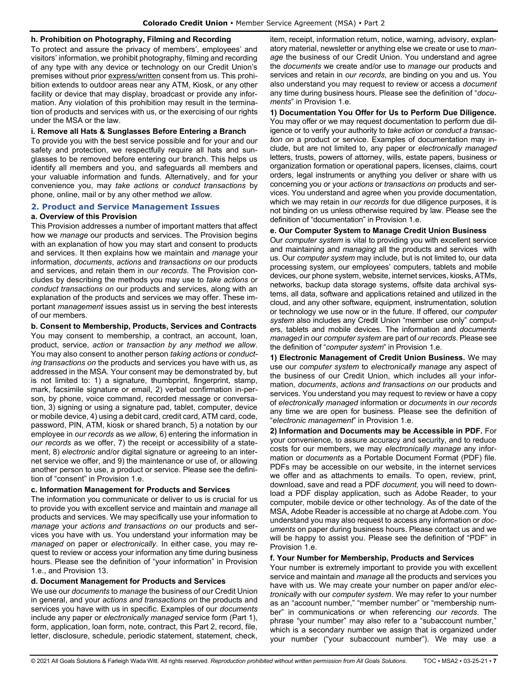# **h. Prohibition on Photography, Filming and Recording**

To protect and assure the privacy of members', employees' and visitors' information, we prohibit photography, filming and recording of any type with any device or technology on our Credit Union's premises without prior express/written consent from us. This prohibition extends to outdoor areas near any ATM, Kiosk, or any other facility or device that may display, broadcast or provide any information. Any violation of this prohibition may result in the termination of products and services with us, or the exercising of our rights under the MSA or the law.

# **i. Remove all Hats & Sunglasses Before Entering a Branch**

To provide you with the best service possible and for your and our safety and protection, we respectfully require all hats and sunglasses to be removed before entering our branch. This helps us identify all members and you, and safeguards all members and your valuable information and funds. Alternatively, and for your convenience you, may *take actions* or *conduct transactions* by phone, online, mail or by any other method *we allow*.

# <span id="page-6-0"></span>**2. Product and Service Management Issues**

# **a. Overview of this Provision**

This Provision addresses a number of important matters that affect how we *manage* our products and services. The Provision begins with an explanation of how you may start and consent to products and services. It then explains how we maintain and *manage* your information, *documents*, *actions* and *transactions on* our products and services, and retain them in *our records*. The Provision concludes by describing the methods you may use to *take actions* or *conduct transactions on* our products and services, along with an explanation of the products and services we may offer. These important *management* issues assist us in serving the best interests of our members.

#### **b. Consent to Membership, Products, Services and Contracts**

You may consent to membership, a contract, an account, loan, product, service, *action* or *transaction by any method we allow*. You may also consent to another person *taking actions* or *conducting transactions on* the products and services you have with us, as addressed in the MSA. Your consent may be demonstrated by, but is not limited to: 1) a signature, thumbprint, fingerprint, stamp, mark, facsimile signature or email, 2) verbal confirmation in-person, by phone, voice command, recorded message or conversation, 3) signing or using a signature pad, tablet, computer, device or mobile device, 4) using a debit card, credit card, ATM card, code, password, PIN, ATM, kiosk or shared branch, 5) a notation by our employee in *our records* as *we allow*, 6) entering the information in *our records* as we offer, 7) the receipt or accessibility of a statement, 8) *electronic* and/or digital signature or agreeing to an internet service we offer, and 9) the maintenance or use of, or allowing another person to use, a product or service. Please see the definition of "consent" in Provision 1.e.

# **c. Information Management for Products and Services**

The information you communicate or deliver to us is crucial for us to provide you with excellent service and maintain and *manage* all products and services. We may specifically use your information to *manage* your *actions and transactions on* our products and services you have with us. You understand your information may be *managed* on paper or *electronically*. In either case, you may request to review or access your information any time during business hours. Please see the definition of "your information" in Provision 1.e., and Provision 13.

#### **d. Document Management for Products and Services**

We use our *documents* to *manage* the business of our Credit Union in general, and your *actions and transactions on* the products and services you have with us in specific. Examples of our *documents* include any paper or *electronically managed* service form (Part 1), form, application, loan form, note, contract, this Part 2, record, file, letter, disclosure, schedule, periodic statement, statement, check,

item, receipt, information return, notice, warning, advisory, explanatory material, newsletter or anything else we create or use to *manage* the business of our Credit Union. You understand and agree the *documents* we create and/or use to *manage* our products and services and retain in *our records,* are binding on you and us. You also understand you may request to review or access a *document*  any time during business hours. Please see the definition of "*documents*" in Provision 1.e.

#### **1) Documentation You Offer for Us to Perform Due Diligence.** You may offer or we may request documentation to perform due diligence or to verify your authority to *take action* or *conduct a transaction on* a product or service. Examples of documentation may include, but are not limited to, any paper or *electronically managed* letters, trusts, powers of attorney, wills, estate papers, business or organization formation or operational papers, licenses, claims, court orders, legal instruments or anything you deliver or share with us concerning you or your *actions* or *transactions on* products and services. You understand and agree when you provide documentation, which we may retain in *our records* for due diligence purposes, it is not binding on us unless otherwise required by law. Please see the definition of "documentation" in Provision 1.e.

### **e. Our Computer System to Manage Credit Union Business**

Our *computer system* is vital to providing you with excellent service and maintaining and *managing* all the products and services with us. Our *computer system* may include, but is not limited to, our data processing system, our employees' computers, tablets and mobile devices, our phone system, website, internet services, kiosks, ATMs, networks, backup data storage systems, offsite data archival systems, all data, software and applications retained and utilized in the cloud, and any other software, equipment, instrumentation, solution or technology we use now or in the future. If offered, our *computer system* also includes any Credit Union "member use only" computers, tablets and mobile devices. The information and *documents managed* in our *computer system* are part of *our records*. Please see the definition of "*computer system*" in Provision 1.e.

**1) Electronic Management of Credit Union Business.** We may use our *computer system* to *electronically manage* any aspect of the business of our Credit Union, which includes all your information, *documents*, *actions and transactions on* our products and services. You understand you may request to review or have a copy of *electronically managed* information or *documents* in *our records* any time we are open for business. Please see the definition of "*electronic management*" in Provision 1.e.

**2) Information and Documents may be Accessible in PDF.** For your convenience, to assure accuracy and security, and to reduce costs for our members, we may *electronically manage* any information or *documents* as a Portable Document Format (PDF) file. PDFs may be accessible on our website, in the internet services we offer and as attachments to emails. To open, review, print, download, save and read a PDF *document*, you will need to download a PDF display application, such as Adobe Reader, to your computer, mobile device or other technology. As of the date of the MSA, Adobe Reader is accessible at no charge at Adobe.com. You understand you may also request to access any information or *documents* on paper during business hours. Please contact us and we will be happy to assist you. Please see the definition of "PDF" in Provision 1.e.

#### **f. Your Number for Membership, Products and Services**

Your number is extremely important to provide you with excellent service and maintain and *manage* all the products and services you have with us. We may create your number on paper and/or *electronically* with our *computer system*. We may refer to your number as an "account number," "member number" or "membership number" in communications or when referencing *our records*. The phrase "your number" may also refer to a "subaccount number," which is a secondary number we assign that is organized under your number ("your subaccount number"). We may use a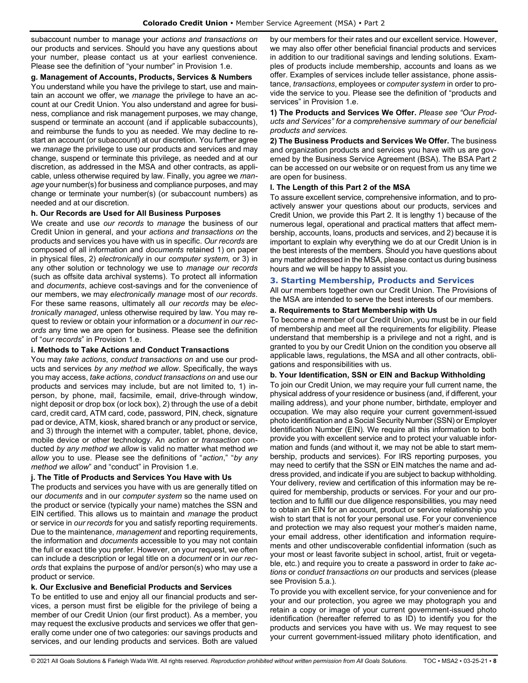subaccount number to manage your *actions and transactions on*  our products and services. Should you have any questions about your number, please contact us at your earliest convenience. Please see the definition of "your number" in Provision 1.e.

# **g. Management of Accounts, Products, Services & Numbers**

You understand while you have the privilege to start, use and maintain an account we offer, we *manage* the privilege to have an account at our Credit Union. You also understand and agree for business, compliance and risk management purposes, we may change, suspend or terminate an account (and if applicable subaccounts), and reimburse the funds to you as needed. We may decline to restart an account (or subaccount) at our discretion. You further agree we *manage* the privilege to use our products and services and may change, suspend or terminate this privilege, as needed and at our discretion, as addressed in the MSA and other contracts, as applicable, unless otherwise required by law. Finally, you agree we *manage* your number(s) for business and compliance purposes, and may change or terminate your number(s) (or subaccount numbers) as needed and at our discretion.

# **h. Our Records are Used for All Business Purposes**

We create and use *our records* to *manage* the business of our Credit Union in general, and your *actions and transactions on* the products and services you have with us in specific. *Our records* are composed of all information and *documents* retained 1) on paper in physical files, 2) *electronically* in our *computer system,* or 3) in any other solution or technology we use to *manage our records* (such as offsite data archival systems). To protect all information and *documents*, achieve cost-savings and for the convenience of our members, we may *electronically manage* most of *our records*. For these same reasons, ultimately all *our records* may be *electronically managed*, unless otherwise required by law. You may request to review or obtain your information or a *document* in *our records* any time we are open for business. Please see the definition of "*our records*" in Provision 1.e.

# **i. Methods to Take Actions and Conduct Transactions**

You may *take actions*, *conduct transactions on* and use our products and services *by any method we allow*. Specifically, the ways you may access, *take actions*, *conduct transactions on* and use our products and services may include, but are not limited to, 1) inperson, by phone, mail, facsimile, email, drive-through window, night deposit or drop box (or lock box), 2) through the use of a debit card, credit card, ATM card, code, password, PIN, check, signature pad or device, ATM, kiosk, shared branch or any product or service, and 3) through the internet with a computer, tablet, phone, device, mobile device or other technology. An *action* or *transaction* conducted *by any method we allow* is valid no matter what method *we allow* you to use. Please see the definitions of "*action*," "*by any method we allow*" and "conduct" in Provision 1.e.

# **j. The Title of Products and Services You Have with Us**

The products and services you have with us are generally titled on our *documents* and in our *computer system* so the name used on the product or service (typically your name) matches the SSN and EIN certified. This allows us to maintain and *manage* the product or service in *our records* for you and satisfy reporting requirements. Due to the maintenance, *management* and reporting requirements, the information and *documents* accessible to you may not contain the full or exact title you prefer. However, on your request, we often can include a description or legal title on a *document* or in *our records* that explains the purpose of and/or person(s) who may use a product or service.

# **k. Our Exclusive and Beneficial Products and Services**

To be entitled to use and enjoy all our financial products and services, a person must first be eligible for the privilege of being a member of our Credit Union (our first product). As a member, you may request the exclusive products and services we offer that generally come under one of two categories: our savings products and services, and our lending products and services. Both are valued by our members for their rates and our excellent service. However, we may also offer other beneficial financial products and services in addition to our traditional savings and lending solutions. Examples of products include membership, accounts and loans as we offer. Examples of services include teller assistance, phone assistance, *transactions*, employees or *computer system* in order to provide the service to you. Please see the definition of "products and services" in Provision 1.e.

**1) The Products and Services We Offer.** *Please see "Our Products and Services" for a comprehensive summary of our beneficial products and services.*

**2) The Business Products and Services We Offer.** The business and organization products and services you have with us are governed by the Business Service Agreement (BSA). The BSA Part 2 can be accessed on our website or on request from us any time we are open for business.

# **l. The Length of this Part 2 of the MSA**

To assure excellent service, comprehensive information, and to proactively answer your questions about our products, services and Credit Union, we provide this Part 2. It is lengthy 1) because of the numerous legal, operational and practical matters that affect membership, accounts, loans, products and services, and 2) because it is important to explain why everything we do at our Credit Union is in the best interests of the members. Should you have questions about any matter addressed in the MSA, please contact us during business hours and we will be happy to assist you.

# <span id="page-7-0"></span>**3. Starting Membership, Products and Services**

All our members together own our Credit Union. The Provisions of the MSA are intended to serve the best interests of our members.

# **a. Requirements to Start Membership with Us**

To become a member of our Credit Union, you must be in our field of membership and meet all the requirements for eligibility. Please understand that membership is a privilege and not a right, and is granted to you by our Credit Union on the condition you observe all applicable laws, regulations, the MSA and all other contracts, obligations and responsibilities with us.

# **b. Your Identification, SSN or EIN and Backup Withholding**

To join our Credit Union, we may require your full current name, the physical address of your residence or business (and, if different, your mailing address), and your phone number, birthdate, employer and occupation. We may also require your current government-issued photo identification and a Social Security Number (SSN) or Employer Identification Number (EIN). We require all this information to both provide you with excellent service and to protect your valuable information and funds (and without it, we may not be able to start membership, products and services). For IRS reporting purposes, you may need to certify that the SSN or EIN matches the name and address provided, and indicate if you are subject to backup withholding. Your delivery, review and certification of this information may be required for membership, products or services. For your and our protection and to fulfill our due diligence responsibilities, you may need to obtain an EIN for an account, product or service relationship you wish to start that is not for your personal use. For your convenience and protection we may also request your mother's maiden name, your email address, other identification and information requirements and other undiscoverable confidential information (such as your most or least favorite subject in school, artist, fruit or vegetable, etc.) and require you to create a password in order to *take actions* or *conduct transactions on* our products and services (please see Provision 5.a.).

To provide you with excellent service, for your convenience and for your and our protection, you agree we may photograph you and retain a copy or image of your current government-issued photo identification (hereafter referred to as ID) to identify you for the products and services you have with us. We may request to see your current government-issued military photo identification, and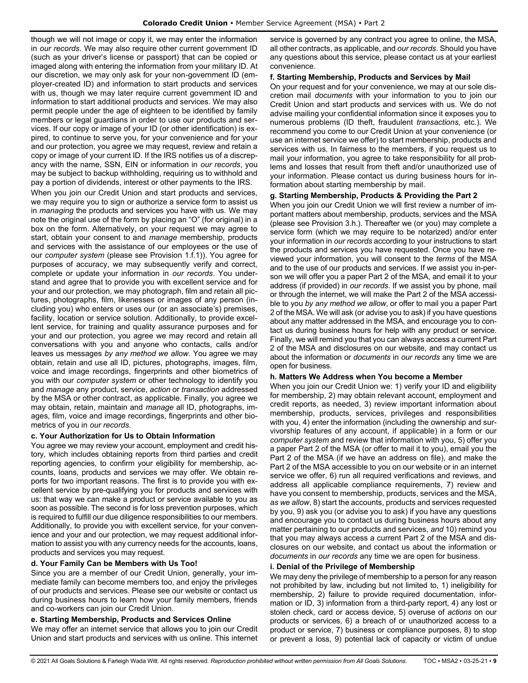though we will not image or copy it, we may enter the information in *our records*. We may also require other current government ID (such as your driver's license or passport) that can be copied or imaged along with entering the information from your military ID. At our discretion, we may only ask for your non-government ID (employer-created ID) and information to start products and services with us, though we may later require current government ID and information to start additional products and services. We may also permit people under the age of eighteen to be identified by family members or legal guardians in order to use our products and services. If our copy or image of your ID (or other identification) is expired, to continue to serve you, for your convenience and for your and our protection, you agree we may request, review and retain a copy or image of your current ID. If the IRS notifies us of a discrepancy with the name, SSN, EIN or information in *our records*, you may be subject to backup withholding, requiring us to withhold and pay a portion of dividends, interest or other payments to the IRS.

When you join our Credit Union and start products and services, we may require you to sign or authorize a service form to assist us in *managing* the products and services you have with us. We may note the original use of the form by placing an "O" (for original) in a box on the form. Alternatively, on your request we may agree to start, obtain your consent to and *manage* membership, products and services with the assistance of our employees or the use of our *computer system* (please see Provision 1.f.1)). You agree for purposes of accuracy, we may subsequently verify and correct, complete or update your information in *our records*. You understand and agree that to provide you with excellent service and for your and our protection, we may photograph, film and retain all pictures, photographs, film, likenesses or images of any person (including you) who enters or uses our (or an associate's) premises, facility, location or service solution. Additionally, to provide excellent service, for training and quality assurance purposes and for your and our protection, you agree we may record and retain all conversations with you and anyone who contacts, calls and/or leaves us messages *by any method we allow*. You agree we may obtain, retain and use all ID, pictures, photographs, images, film, voice and image recordings, fingerprints and other biometrics of you with our *computer system* or other technology to identify you and *manage* any product, service, *action* or *transaction* addressed by the MSA or other contract, as applicable. Finally, you agree we may obtain, retain, maintain and *manage* all ID, photographs, images, film, voice and image recordings, fingerprints and other biometrics of you in *our records*.

# **c. Your Authorization for Us to Obtain Information**

You agree we may review your account, employment and credit history, which includes obtaining reports from third parties and credit reporting agencies, to confirm your eligibility for membership, accounts, loans, products and services we may offer. We obtain reports for two important reasons. The first is to provide you with excellent service by pre-qualifying you for products and services with us: that way we can make a product or service available to you as soon as possible. The second is for loss prevention purposes, which is required to fulfill our due diligence responsibilities to our members. Additionally, to provide you with excellent service, for your convenience and your and our protection, we may request additional information to assist you with any currency needs for the accounts, loans, products and services you may request.

# **d. Your Family Can be Members with Us Too!**

Since you are a member of our Credit Union, generally, your immediate family can become members too, and enjoy the privileges of our products and services. Please see our website or contact us during business hours to learn how your family members, friends and co-workers can join our Credit Union.

# **e. Starting Membership, Products and Services Online**

We may offer an internet service that allows you to join our Credit Union and start products and services with us online. This internet

service is governed by any contract you agree to online, the MSA, all other contracts, as applicable, and *our records*. Should you have any questions about this service, please contact us at your earliest convenience.

# **f. Starting Membership, Products and Services by Mail**

On your request and for your convenience, we may at our sole discretion mail *documents* with your information to you to join our Credit Union and start products and services with us. We do not advise mailing your confidential information since it exposes you to numerous problems (ID theft, fraudulent *transactions*, etc.). We recommend you come to our Credit Union at your convenience (or use an internet service we offer) to start membership, products and services with us. In fairness to the members, if you request us to mail your information, you agree to take responsibility for all problems and losses that result from theft and/or unauthorized use of your information. Please contact us during business hours for information about starting membership by mail.

# **g. Starting Membership, Products & Providing the Part 2**

When you join our Credit Union we will first review a number of important matters about membership, products, services and the MSA (please see Provision 3.h.). Thereafter we (or you) may complete a service form (which we may require to be notarized) and/or enter your information in *our records* according to your instructions to start the products and services you have requested. Once you have reviewed your information, you will consent to the *terms* of the MSA and to the use of our products and services. If we assist you in-person we will offer you a paper Part 2 of the MSA, and email it to your address (if provided) in *our records*. If we assist you by phone, mail or through the internet, we will make the Part 2 of the MSA accessible to you *by any method we allow*, or offer to mail you a paper Part 2 of the MSA. We will ask (or advise you to ask) if you have questions about any matter addressed in the MSA, and encourage you to contact us during business hours for help with any product or service. Finally, we will remind you that you can always access a current Part 2 of the MSA and disclosures on our website, and may contact us about the information or *documents* in *our records* any time we are open for business.

# **h. Matters We Address when You become a Member**

When you join our Credit Union we: 1) verify your ID and eligibility for membership, 2) may obtain relevant account, employment and credit reports, as needed, 3) review important information about membership, products, services, privileges and responsibilities with you, 4) enter the information (including the ownership and survivorship features of any account, if applicable) in a form or our *computer system* and review that information with you, 5) offer you a paper Part 2 of the MSA (or offer to mail it to you), email you the Part 2 of the MSA (if we have an address on file), and make the Part 2 of the MSA accessible to you on our website or in an internet service we offer, 6) run all required verifications and reviews, and address all applicable compliance requirements, 7) review and have you consent to membership, products, services and the MSA, *as we allow*, 8) start the accounts, products and services requested by you, 9) ask you (or advise you to ask) if you have any questions and encourage you to contact us during business hours about any matter pertaining to our products and services, *and* 10) remind you that you may always access a current Part 2 of the MSA and disclosures on our website, and contact us about the information or *documents* in *our records* any time we are open for business.

# **i. Denial of the Privilege of Membership**

We may deny the privilege of membership to a person for any reason not prohibited by law, including but not limited to, 1) ineligibility for membership, 2) failure to provide required documentation, information or ID, 3) information from a third-party report, 4) any lost or stolen check, card or access device, 5) overuse of *actions* on our products or services, 6) a breach of or unauthorized access to a product or service, 7) business or compliance purposes, 8) to stop or prevent a loss, 9) potential lack of capacity or victim of undue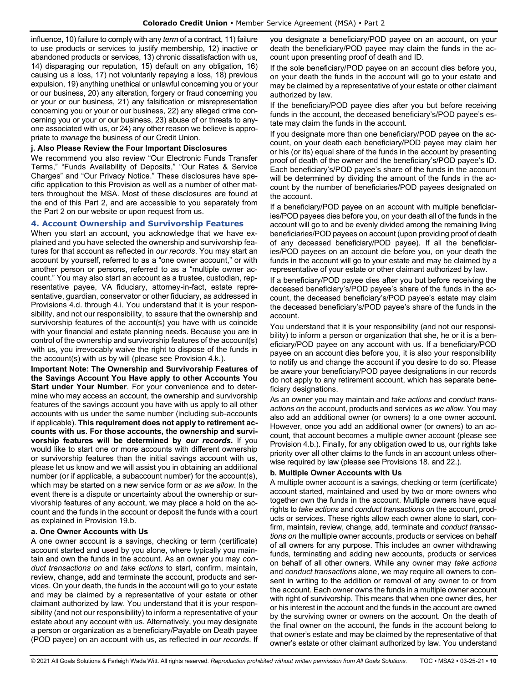influence, 10) failure to comply with any *term* of a contract, 11) failure to use products or services to justify membership, 12) inactive or abandoned products or services, 13) chronic dissatisfaction with us, 14) disparaging our reputation, 15) default on any obligation, 16) causing us a loss, 17) not voluntarily repaying a loss, 18) previous expulsion, 19) anything unethical or unlawful concerning you or your or our business, 20) any alteration, forgery or fraud concerning you or your or our business, 21) any falsification or misrepresentation concerning you or your or our business, 22) any alleged crime concerning you or your or our business, 23) abuse of or threats to anyone associated with us, or 24) any other reason we believe is appropriate to *manage* the business of our Credit Union.

# **j. Also Please Review the Four Important Disclosures**

We recommend you also review "Our Electronic Funds Transfer Terms," "Funds Availability of Deposits," "Our Rates & Service Charges" and "Our Privacy Notice." These disclosures have specific application to this Provision as well as a number of other matters throughout the MSA. Most of these disclosures are found at the end of this Part 2, and are accessible to you separately from the Part 2 on our website or upon request from us.

# <span id="page-9-0"></span>**4. Account Ownership and Survivorship Features**

When you start an account, you acknowledge that we have explained and you have selected the ownership and survivorship features for that account as reflected in *our records*. You may start an account by yourself, referred to as a "one owner account," or with another person or persons, referred to as a "multiple owner account." You may also start an account as a trustee, custodian, representative payee, VA fiduciary, attorney-in-fact, estate representative, guardian, conservator or other fiduciary, as addressed in Provisions 4.d. through 4.i. You understand that it is your responsibility, and not our responsibility, to assure that the ownership and survivorship features of the account(s) you have with us coincide with your financial and estate planning needs. Because you are in control of the ownership and survivorship features of the account(s) with us, you irrevocably waive the right to dispose of the funds in the account(s) with us by will (please see Provision 4.k.).

**Important Note: The Ownership and Survivorship Features of the Savings Account You Have apply to other Accounts You Start under Your Number**. For your convenience and to determine who may access an account, the ownership and survivorship features of the savings account you have with us apply to all other accounts with us under the same number (including sub-accounts if applicable). **This requirement does not apply to retirement accounts with us. For those accounts, the ownership and survivorship features will be determined by** *our records***.** If you would like to start one or more accounts with different ownership or survivorship features than the initial savings account with us, please let us know and we will assist you in obtaining an additional number (or if applicable, a subaccount number) for the account(s), which may be started on a new service form or *as we allow*. In the event there is a dispute or uncertainty about the ownership or survivorship features of any account, we may place a hold on the account and the funds in the account or deposit the funds with a court as explained in Provision 19.b.

#### **a. One Owner Accounts with Us**

A one owner account is a savings, checking or term (certificate) account started and used by you alone, where typically you maintain and own the funds in the account. As an owner you may *conduct transactions on* and *take actions* to start, confirm, maintain, review, change, add and terminate the account, products and services. On your death, the funds in the account will go to your estate and may be claimed by a representative of your estate or other claimant authorized by law. You understand that it is your responsibility (and not our responsibility) to inform a representative of your estate about any account with us. Alternatively, you may designate a person or organization as a beneficiary/Payable on Death payee (POD payee) on an account with us, as reflected in *our records*. If you designate a beneficiary/POD payee on an account, on your death the beneficiary/POD payee may claim the funds in the account upon presenting proof of death and ID.

If the sole beneficiary/POD payee on an account dies before you, on your death the funds in the account will go to your estate and may be claimed by a representative of your estate or other claimant authorized by law.

If the beneficiary/POD payee dies after you but before receiving funds in the account, the deceased beneficiary's/POD payee's estate may claim the funds in the account.

If you designate more than one beneficiary/POD payee on the account, on your death each beneficiary/POD payee may claim her or his (or its) equal share of the funds in the account by presenting proof of death of the owner and the beneficiary's/POD payee's ID. Each beneficiary's/POD payee's share of the funds in the account will be determined by dividing the amount of the funds in the account by the number of beneficiaries/POD payees designated on the account.

If a beneficiary/POD payee on an account with multiple beneficiaries/POD payees dies before you, on your death all of the funds in the account will go to and be evenly divided among the remaining living beneficiaries/POD payees on account (upon providing proof of death of any deceased beneficiary/POD payee). If all the beneficiaries/POD payees on an account die before you, on your death the funds in the account will go to your estate and may be claimed by a representative of your estate or other claimant authorized by law.

If a beneficiary/POD payee dies after you but before receiving the deceased beneficiary's/POD payee's share of the funds in the account, the deceased beneficiary's/POD payee's estate may claim the deceased beneficiary's/POD payee's share of the funds in the account.

You understand that it is your responsibility (and not our responsibility) to inform a person or organization that she, he or it is a beneficiary/POD payee on any account with us. If a beneficiary/POD payee on an account dies before you, it is also your responsibility to notify us and change the account if you desire to do so. Please be aware your beneficiary/POD payee designations in our records do not apply to any retirement account, which has separate beneficiary designations.

As an owner you may maintain and *take actions* and *conduct transactions on* the account, products and services *as we allow*. You may also add an additional owner (or owners) to a one owner account. However, once you add an additional owner (or owners) to an account, that account becomes a multiple owner account (please see Provision 4.b.). Finally, for any obligation owed to us, our rights take priority over all other claims to the funds in an account unless otherwise required by law (please see Provisions 18. and 22.).

#### **b. Multiple Owner Accounts with Us**

A multiple owner account is a savings, checking or term (certificate) account started, maintained and used by two or more owners who together own the funds in the account. Multiple owners have equal rights to *take actions* and *conduct transactions on* the account, products or services. These rights allow each owner alone to start, confirm, maintain, review, change, add, terminate and *conduct transactions on* the multiple owner accounts, products or services on behalf of all owners for any purpose. This includes an owner withdrawing funds, terminating and adding new accounts, products or services on behalf of all other owners. While any owner may *take actions* and *conduct transactions* alone, we may require all owners to consent in writing to the addition or removal of any owner to or from the account. Each owner owns the funds in a multiple owner account with right of survivorship. This means that when one owner dies, her or his interest in the account and the funds in the account are owned by the surviving owner or owners on the account. On the death of the final owner on the account, the funds in the account belong to that owner's estate and may be claimed by the representative of that owner's estate or other claimant authorized by law. You understand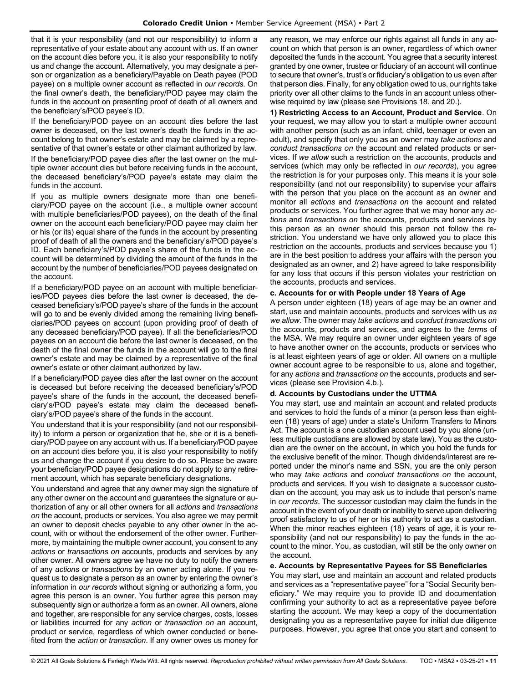that it is your responsibility (and not our responsibility) to inform a representative of your estate about any account with us. If an owner on the account dies before you, it is also your responsibility to notify us and change the account. Alternatively, you may designate a person or organization as a beneficiary/Payable on Death payee (POD payee) on a multiple owner account as reflected in *our records*. On the final owner's death, the beneficiary/POD payee may claim the funds in the account on presenting proof of death of all owners and the beneficiary's/POD payee's ID.

If the beneficiary/POD payee on an account dies before the last owner is deceased, on the last owner's death the funds in the account belong to that owner's estate and may be claimed by a representative of that owner's estate or other claimant authorized by law.

If the beneficiary/POD payee dies after the last owner on the multiple owner account dies but before receiving funds in the account, the deceased beneficiary's/POD payee's estate may claim the funds in the account.

If you as multiple owners designate more than one beneficiary/POD payee on the account (i.e., a multiple owner account with multiple beneficiaries/POD payees), on the death of the final owner on the account each beneficiary/POD payee may claim her or his (or its) equal share of the funds in the account by presenting proof of death of all the owners and the beneficiary's/POD payee's ID. Each beneficiary's/POD payee's share of the funds in the account will be determined by dividing the amount of the funds in the account by the number of beneficiaries/POD payees designated on the account.

If a beneficiary/POD payee on an account with multiple beneficiaries/POD payees dies before the last owner is deceased, the deceased beneficiary's/POD payee's share of the funds in the account will go to and be evenly divided among the remaining living beneficiaries/POD payees on account (upon providing proof of death of any deceased beneficiary/POD payee). If all the beneficiaries/POD payees on an account die before the last owner is deceased, on the death of the final owner the funds in the account will go to the final owner's estate and may be claimed by a representative of the final owner's estate or other claimant authorized by law.

If a beneficiary/POD payee dies after the last owner on the account is deceased but before receiving the deceased beneficiary's/POD payee's share of the funds in the account, the deceased beneficiary's/POD payee's estate may claim the deceased beneficiary's/POD payee's share of the funds in the account.

You understand that it is your responsibility (and not our responsibility) to inform a person or organization that he, she or it is a beneficiary/POD payee on any account with us. If a beneficiary/POD payee on an account dies before you, it is also your responsibility to notify us and change the account if you desire to do so. Please be aware your beneficiary/POD payee designations do not apply to any retirement account, which has separate beneficiary designations.

You understand and agree that any owner may sign the signature of any other owner on the account and guarantees the signature or authorization of any or all other owners for all *actions* and *transactions on* the account, products or services. You also agree we may permit an owner to deposit checks payable to any other owner in the account, with or without the endorsement of the other owner. Furthermore, by maintaining the multiple owner account, you consent to any *actions* or *transactions on* accounts, products and services by any other owner. All owners agree we have no duty to notify the owners of any *actions* or *transactions* by an owner acting alone. If you request us to designate a person as an owner by entering the owner's information in *our records* without signing or authorizing a form, you agree this person is an owner. You further agree this person may subsequently sign or authorize a form as an owner. All owners, alone and together, are responsible for any service charges, costs, losses or liabilities incurred for any *action* or *transaction on* an account, product or service, regardless of which owner conducted or benefited from the *action* or *transaction*. If any owner owes us money for any reason, we may enforce our rights against all funds in any account on which that person is an owner, regardless of which owner deposited the funds in the account. You agree that a security interest granted by one owner, trustee or fiduciary of an account will continue to secure that owner's, trust's or fiduciary's obligation to us even after that person dies. Finally, for any obligation owed to us, our rights take priority over all other claims to the funds in an account unless otherwise required by law (please see Provisions 18. and 20.).

**1) Restricting Access to an Account, Product and Service**. On your request, we may allow you to start a multiple owner account with another person (such as an infant, child, teenager or even an adult), and specify that only you as an owner may *take actions* and *conduct transactions on* the account and related products or services. If *we allow* such a restriction on the accounts, products and services (which may only be reflected in *our records*), you agree the restriction is for your purposes only. This means it is your sole responsibility (and not our responsibility) to supervise your affairs with the person that you place on the account as an owner and monitor all *actions* and *transactions on* the account and related products or services. You further agree that we may honor any *actions* and *transactions on* the accounts, products and services by this person as an owner should this person not follow the restriction. You understand we have only allowed you to place this restriction on the accounts, products and services because you 1) are in the best position to address your affairs with the person you designated as an owner, and 2) have agreed to take responsibility for any loss that occurs if this person violates your restriction on the accounts, products and services.

### **c. Accounts for or with People under 18 Years of Age**

A person under eighteen (18) years of age may be an owner and start, use and maintain accounts, products and services with us *as we allow*. The owner may *take actions* and *conduct transactions on*  the accounts, products and services, and agrees to the *terms* of the MSA. We may require an owner under eighteen years of age to have another owner on the accounts, products or services who is at least eighteen years of age or older. All owners on a multiple owner account agree to be responsible to us, alone and together, for any *actions* and *transactions on* the accounts, products and services (please see Provision 4.b.).

#### **d. Accounts by Custodians under the UTTMA**

You may start, use and maintain an account and related products and services to hold the funds of a minor (a person less than eighteen (18) years of age) under a state's Uniform Transfers to Minors Act. The account is a one custodian account used by you alone (unless multiple custodians are allowed by state law). You as the custodian are the owner on the account, in which you hold the funds for the exclusive benefit of the minor. Though dividends/interest are reported under the minor's name and SSN, you are the only person who may *take actions* and *conduct transactions on* the account, products and services. If you wish to designate a successor custodian on the account, you may ask us to include that person's name in *our records*. The successor custodian may claim the funds in the account in the event of your death or inability to serve upon delivering proof satisfactory to us of her or his authority to act as a custodian. When the minor reaches eighteen (18) years of age, it is your responsibility (and not our responsibility) to pay the funds in the account to the minor. You, as custodian, will still be the only owner on the account.

#### **e. Accounts by Representative Payees for SS Beneficiaries**

You may start, use and maintain an account and related products and services as a "representative payee" for a "Social Security beneficiary." We may require you to provide ID and documentation confirming your authority to act as a representative payee before starting the account. We may keep a copy of the documentation designating you as a representative payee for initial due diligence purposes. However, you agree that once you start and consent to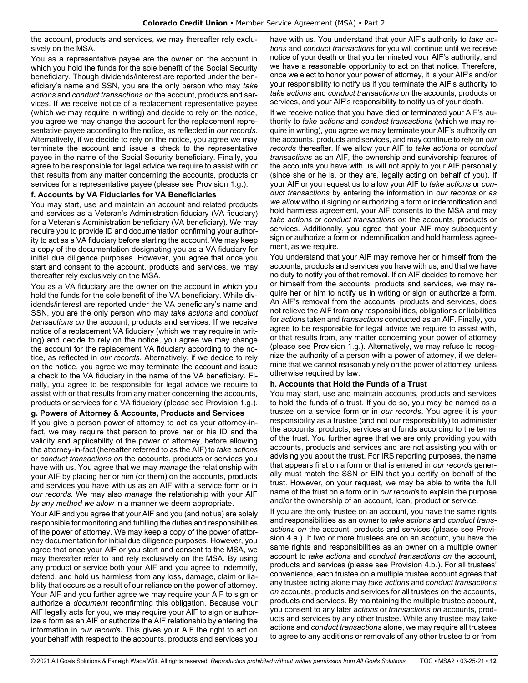the account, products and services, we may thereafter rely exclusively on the MSA.

You as a representative payee are the owner on the account in which you hold the funds for the sole benefit of the Social Security beneficiary. Though dividends/interest are reported under the beneficiary's name and SSN, you are the only person who may *take actions* and *conduct transactions on* the account, products and services. If we receive notice of a replacement representative payee (which we may require in writing) and decide to rely on the notice, you agree we may change the account for the replacement representative payee according to the notice, as reflected in *our records*. Alternatively, if we decide to rely on the notice, you agree we may terminate the account and issue a check to the representative payee in the name of the Social Security beneficiary. Finally, you agree to be responsible for legal advice we require to assist with or that results from any matter concerning the accounts, products or services for a representative payee (please see Provision 1.g.).

### **f. Accounts by VA Fiduciaries for VA Beneficiaries**

You may start, use and maintain an account and related products and services as a Veteran's Administration fiduciary (VA fiduciary) for a Veteran's Administration beneficiary (VA beneficiary). We may require you to provide ID and documentation confirming your authority to act as a VA fiduciary before starting the account. We may keep a copy of the documentation designating you as a VA fiduciary for initial due diligence purposes. However, you agree that once you start and consent to the account, products and services, we may thereafter rely exclusively on the MSA.

You as a VA fiduciary are the owner on the account in which you hold the funds for the sole benefit of the VA beneficiary. While dividends/interest are reported under the VA beneficiary's name and SSN, you are the only person who may *take actions* and *conduct transactions on* the account, products and services. If we receive notice of a replacement VA fiduciary (which we may require in writing) and decide to rely on the notice, you agree we may change the account for the replacement VA fiduciary according to the notice, as reflected in *our records*. Alternatively, if we decide to rely on the notice, you agree we may terminate the account and issue a check to the VA fiduciary in the name of the VA beneficiary. Finally, you agree to be responsible for legal advice we require to assist with or that results from any matter concerning the accounts, products or services for a VA fiduciary (please see Provision 1.g.).

#### **g. Powers of Attorney & Accounts, Products and Services**

If you give a person power of attorney to act as your attorney-infact, we may require that person to prove her or his ID and the validity and applicability of the power of attorney, before allowing the attorney-in-fact (hereafter referred to as the AIF) to *take actions* or *conduct transactions on* the accounts, products or services you have with us. You agree that we may *manage* the relationship with your AIF by placing her or him (or them) on the accounts, products and services you have with us as an AIF with a service form or in *our records.* We may also *manage* the relationship with your AIF *by any method we allow* in a manner we deem appropriate.

Your AIF and you agree that your AIF and you (and not us) are solely responsible for monitoring and fulfilling the duties and responsibilities of the power of attorney. We may keep a copy of the power of attorney documentation for initial due diligence purposes. However, you agree that once your AIF or you start and consent to the MSA, we may thereafter refer to and rely exclusively on the MSA. By using any product or service both your AIF and you agree to indemnify, defend, and hold us harmless from any loss, damage, claim or liability that occurs as a result of our reliance on the power of attorney. Your AIF and you further agree we may require your AIF to sign or authorize a *document* reconfirming this obligation. Because your AIF legally acts for you, we may require your AIF to sign or authorize a form as an AIF or authorize the AIF relationship by entering the information in *our records***.** This gives your AIF the right to act on your behalf with respect to the accounts, products and services you

have with us. You understand that your AIF's authority to *take actions* and *conduct transactions* for you will continue until we receive notice of your death or that you terminated your AIF's authority, and we have a reasonable opportunity to act on that notice. Therefore, once we elect to honor your power of attorney, it is your AIF's and/or your responsibility to notify us if you terminate the AIF's authority to *take actions* and *conduct transactions on* the accounts, products or services, and your AIF's responsibility to notify us of your death.

If we receive notice that you have died or terminated your AIF's authority to *take actions* and *conduct transactions* (which we may require in writing), you agree we may terminate your AIF's authority on the accounts, products and services, and may continue to rely on *our records* thereafter. If we allow your AIF to *take actions* or *conduct transactions* as an AIF, the ownership and survivorship features of the accounts you have with us will not apply to your AIF personally (since she or he is, or they are, legally acting on behalf of you). If your AIF or you request us to allow your AIF to *take actions* or *conduct transactions* by entering the information in *our records* or *as we allow* without signing or authorizing a form or indemnification and hold harmless agreement, your AIF consents to the MSA and may *take actions* or *conduct transactions on* the accounts, products or services. Additionally, you agree that your AIF may subsequently sign or authorize a form or indemnification and hold harmless agreement, as we require.

You understand that your AIF may remove her or himself from the accounts, products and services you have with us, and that we have no duty to notify you of that removal. If an AIF decides to remove her or himself from the accounts, products and services, we may require her or him to notify us in writing or sign or authorize a form. An AIF's removal from the accounts, products and services, does not relieve the AIF from any responsibilities, obligations or liabilities for *actions* taken and *transactions* conducted as an AIF. Finally, you agree to be responsible for legal advice we require to assist with, or that results from, any matter concerning your power of attorney (please see Provision 1.g.). Alternatively, we may refuse to recognize the authority of a person with a power of attorney, if we determine that we cannot reasonably rely on the power of attorney, unless otherwise required by law.

#### **h. Accounts that Hold the Funds of a Trust**

You may start, use and maintain accounts, products and services to hold the funds of a trust. If you do so, you may be named as a trustee on a service form or in *our records*. You agree it is your responsibility as a trustee (and not our responsibility) to administer the accounts, products, services and funds according to the terms of the trust. You further agree that we are only providing you with accounts, products and services and are not assisting you with or advising you about the trust. For IRS reporting purposes, the name that appears first on a form or that is entered in *our records* generally must match the SSN or EIN that you certify on behalf of the trust. However, on your request, we may be able to write the full name of the trust on a form or in *our records* to explain the purpose and/or the ownership of an account, loan, product or service.

If you are the only trustee on an account, you have the same rights and responsibilities as an owner to *take actions* and *conduct transactions on* the account, products and services (please see Provision 4.a.). If two or more trustees are on an account, you have the same rights and responsibilities as an owner on a multiple owner account to *take actions* and *conduct transactions on* the account, products and services (please see Provision 4.b.). For all trustees' convenience, each trustee on a multiple trustee account agrees that any trustee acting alone may *take actions* and *conduct transactions on* accounts, products and services for all trustees on the accounts, products and services. By maintaining the multiple trustee account, you consent to any later *actions* or *transactions on* accounts, products and services by any other trustee. While any trustee may take actions and *conduct transactions* alone, we may require all trustees to agree to any additions or removals of any other trustee to or from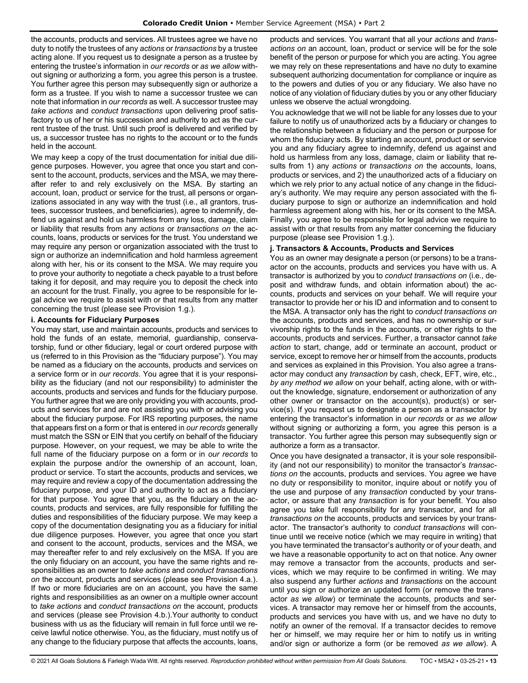the accounts, products and services. All trustees agree we have no duty to notify the trustees of any *actions* or *transactions* by a trustee acting alone. If you request us to designate a person as a trustee by entering the trustee's information in *our records* or *as we allow* without signing or authorizing a form, you agree this person is a trustee. You further agree this person may subsequently sign or authorize a form as a trustee. If you wish to name a successor trustee we can note that information in *our records* as well. A successor trustee may *take actions* and *conduct transactions* upon delivering proof satisfactory to us of her or his succession and authority to act as the current trustee of the trust. Until such proof is delivered and verified by us, a successor trustee has no rights to the account or to the funds held in the account.

We may keep a copy of the trust documentation for initial due diligence purposes. However, you agree that once you start and consent to the account, products, services and the MSA, we may thereafter refer to and rely exclusively on the MSA. By starting an account, loan, product or service for the trust, all persons or organizations associated in any way with the trust (i.e., all grantors, trustees, successor trustees, and beneficiaries), agree to indemnify, defend us against and hold us harmless from any loss, damage, claim or liability that results from any *actions* or *transactions on* the accounts, loans, products or services for the trust. You understand we may require any person or organization associated with the trust to sign or authorize an indemnification and hold harmless agreement along with her, his or its consent to the MSA. We may require you to prove your authority to negotiate a check payable to a trust before taking it for deposit, and may require you to deposit the check into an account for the trust. Finally, you agree to be responsible for legal advice we require to assist with or that results from any matter concerning the trust (please see Provision 1.g.).

### **i. Accounts for Fiduciary Purposes**

You may start, use and maintain accounts, products and services to hold the funds of an estate, memorial, guardianship, conservatorship, fund or other fiduciary, legal or court ordered purpose with us (referred to in this Provision as the "fiduciary purpose"). You may be named as a fiduciary on the accounts, products and services on a service form or in *our records*. You agree that it is your responsibility as the fiduciary (and not our responsibility) to administer the accounts, products and services and funds for the fiduciary purpose. You further agree that we are only providing you with accounts, products and services for and are not assisting you with or advising you about the fiduciary purpose. For IRS reporting purposes, the name that appears first on a form or that is entered in *our records* generally must match the SSN or EIN that you certify on behalf of the fiduciary purpose. However, on your request, we may be able to write the full name of the fiduciary purpose on a form or in *our records* to explain the purpose and/or the ownership of an account, loan, product or service. To start the accounts, products and services, we may require and review a copy of the documentation addressing the fiduciary purpose, and your ID and authority to act as a fiduciary for that purpose. You agree that you, as the fiduciary on the accounts, products and services, are fully responsible for fulfilling the duties and responsibilities of the fiduciary purpose. We may keep a copy of the documentation designating you as a fiduciary for initial due diligence purposes. However, you agree that once you start and consent to the account, products, services and the MSA, we may thereafter refer to and rely exclusively on the MSA. If you are the only fiduciary on an account, you have the same rights and responsibilities as an owner to *take actions* and *conduct transactions on* the account, products and services (please see Provision 4.a.). If two or more fiduciaries are on an account, you have the same rights and responsibilities as an owner on a multiple owner account to *take actions* and *conduct transactions on* the account, products and services (please see Provision 4.b.).Your authority to conduct business with us as the fiduciary will remain in full force until we receive lawful notice otherwise. You, as the fiduciary, must notify us of any change to the fiduciary purpose that affects the accounts, loans,

products and services. You warrant that all your *actions* and *transactions on* an account, loan, product or service will be for the sole benefit of the person or purpose for which you are acting. You agree we may rely on these representations and have no duty to examine subsequent authorizing documentation for compliance or inquire as to the powers and duties of you or any fiduciary. We also have no notice of any violation of fiduciary duties by you or any other fiduciary unless we observe the actual wrongdoing.

You acknowledge that we will not be liable for any losses due to your failure to notify us of unauthorized acts by a fiduciary or changes to the relationship between a fiduciary and the person or purpose for whom the fiduciary acts. By starting an account, product or service you and any fiduciary agree to indemnify, defend us against and hold us harmless from any loss, damage, claim or liability that results from 1) any *actions* or *transactions on* the accounts, loans, products or services, and 2) the unauthorized acts of a fiduciary on which we rely prior to any actual notice of any change in the fiduciary's authority. We may require any person associated with the fiduciary purpose to sign or authorize an indemnification and hold harmless agreement along with his, her or its consent to the MSA. Finally, you agree to be responsible for legal advice we require to assist with or that results from any matter concerning the fiduciary purpose (please see Provision 1.g.).

# **j. Transactors & Accounts, Products and Services**

You as an owner may designate a person (or persons) to be a transactor on the accounts, products and services you have with us. A transactor is authorized by you to *conduct transactions on* (i.e., deposit and withdraw funds, and obtain information about) the accounts, products and services on your behalf. We will require your transactor to provide her or his ID and information and to consent to the MSA. A transactor only has the right to *conduct transactions on* the accounts, products and services, and has no ownership or survivorship rights to the funds in the accounts, or other rights to the accounts, products and services. Further, a transactor cannot *take action* to start, change, add or terminate an account, product or service, except to remove her or himself from the accounts, products and services as explained in this Provision. You also agree a transactor may conduct any *transaction* by cash, check, EFT, wire, etc., *by any method we allow* on your behalf, acting alone, with or without the knowledge, signature, endorsement or authorization of any other owner or transactor on the account(s), product(s) or service(s). If you request us to designate a person as a transactor by entering the transactor's information in *our records* or *as we allow*  without signing or authorizing a form, you agree this person is a transactor. You further agree this person may subsequently sign or authorize a form as a transactor.

Once you have designated a transactor, it is your sole responsibility (and not our responsibility) to monitor the transactor's *transactions on* the accounts, products and services. You agree we have no duty or responsibility to monitor, inquire about or notify you of the use and purpose of any *transaction* conducted by your transactor, or assure that any *transaction* is for your benefit. You also agree you take full responsibility for any transactor, and for all *transactions on* the accounts, products and services by your transactor. The transactor's authority to *conduct transactions* will continue until we receive notice (which we may require in writing) that you have terminated the transactor's authority or of your death, and we have a reasonable opportunity to act on that notice. Any owner may remove a transactor from the accounts, products and services, which we may require to be confirmed in writing. We may also suspend any further *actions* and *transactions* on the account until you sign or authorize an updated form (or remove the transactor *as we allow*) or terminate the accounts, products and services. A transactor may remove her or himself from the accounts, products and services you have with us, and we have no duty to notify an owner of the removal. If a transactor decides to remove her or himself, we may require her or him to notify us in writing and/or sign or authorize a form (or be removed *as we allow*). A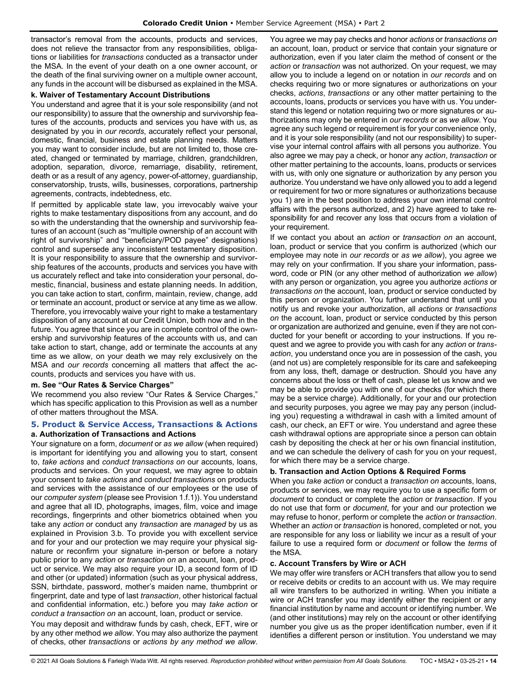transactor's removal from the accounts, products and services, does not relieve the transactor from any responsibilities, obligations or liabilities for *transactions* conducted as a transactor under the MSA. In the event of your death on a one owner account, or the death of the final surviving owner on a multiple owner account, any funds in the account will be disbursed as explained in the MSA.

#### **k. Waiver of Testamentary Account Distributions**

You understand and agree that it is your sole responsibility (and not our responsibility) to assure that the ownership and survivorship features of the accounts, products and services you have with us, as designated by you in *our records*, accurately reflect your personal, domestic, financial, business and estate planning needs. Matters you may want to consider include, but are not limited to, those created, changed or terminated by marriage, children, grandchildren, adoption, separation, divorce, remarriage, disability, retirement, death or as a result of any agency, power-of-attorney, guardianship, conservatorship, trusts, wills, businesses, corporations, partnership agreements, contracts, indebtedness, etc.

If permitted by applicable state law, you irrevocably waive your rights to make testamentary dispositions from any account, and do so with the understanding that the ownership and survivorship features of an account (such as "multiple ownership of an account with right of survivorship" and "beneficiary/POD payee" designations) control and supersede any inconsistent testamentary disposition. It is your responsibility to assure that the ownership and survivorship features of the accounts, products and services you have with us accurately reflect and take into consideration your personal, domestic, financial, business and estate planning needs. In addition, you can take action to start, confirm, maintain, review, change, add or terminate an account, product or service at any time as we allow. Therefore, you irrevocably waive your right to make a testamentary disposition of any account at our Credit Union, both now and in the future. You agree that since you are in complete control of the ownership and survivorship features of the accounts with us, and can take action to start, change, add or terminate the accounts at any time as we allow, on your death we may rely exclusively on the MSA and *our records* concerning all matters that affect the accounts, products and services you have with us.

# **m. See "Our Rates & Service Charges"**

We recommend you also review "Our Rates & Service Charges," which has specific application to this Provision as well as a number of other matters throughout the MSA.

# <span id="page-13-0"></span>**5. Product & Service Access, Transactions & Actions**

#### **a. Authorization of Transactions and Actions**

Your signature on a form, *document* or *as we allow* (when required) is important for identifying you and allowing you to start, consent to, *take actions* and *conduct transactions on* our accounts, loans, products and services. On your request, we may agree to obtain your consent to *take actions* and *conduct transactions* on products and services with the assistance of our employees or the use of our *computer system* (please see Provision 1.f.1)). You understand and agree that all ID, photographs, images, film, voice and image recordings, fingerprints and other biometrics obtained when you take any *action* or conduct any *transaction* are *managed* by us as explained in Provision 3.b. To provide you with excellent service and for your and our protection we may require your physical signature or reconfirm your signature in-person or before a notary public prior to any *action* or *transaction on* an account, loan, product or service. We may also require your ID, a second form of ID and other (or updated) information (such as your physical address, SSN, birthdate, password, mother's maiden name, thumbprint or fingerprint, date and type of last *transaction*, other historical factual and confidential information, etc.) before you may *take action* or *conduct a transaction on* an account, loan, product or service.

You may deposit and withdraw funds by cash, check, EFT, wire or by any other method *we allow*. You may also authorize the payment of checks, other *transactions* or *actions by any method we allow*.

You agree we may pay checks and honor *actions* or *transactions on*  an account, loan, product or service that contain your signature or authorization, even if you later claim the method of consent or the *action* or *transaction* was not authorized. On your request, we may allow you to include a legend on or notation in *our records* and on checks requiring two or more signatures or authorizations on your checks, *actions*, *transactions* or any other matter pertaining to the accounts, loans, products or services you have with us. You understand this legend or notation requiring two or more signatures or authorizations may only be entered in *our records* or as *we allow*. You agree any such legend or requirement is for your convenience only, and it is your sole responsibility (and not our responsibility) to supervise your internal control affairs with all persons you authorize. You also agree we may pay a check, or honor any *action*, *transaction* or other matter pertaining to the accounts, loans, products or services with us, with only one signature or authorization by any person you authorize. You understand we have only allowed you to add a legend or requirement for two or more signatures or authorizations because you 1) are in the best position to address your own internal control affairs with the persons authorized, and 2) have agreed to take responsibility for and recover any loss that occurs from a violation of your requirement.

If we contact you about an *action* or *transaction on* an account, loan, product or service that you confirm is authorized (which our employee may note in *our records* or *as we allow*), you agree we may rely on your confirmation. If you share your information, password, code or PIN (or any other method of authorization *we allow*) with any person or organization, you agree you authorize *actions* or *transactions on* the account, loan, product or service conducted by this person or organization. You further understand that until you notify us and revoke your authorization, all *actions* or *transactions on* the account, loan, product or service conducted by this person or organization are authorized and genuine, even if they are not conducted for your benefit or according to your instructions. If you request and we agree to provide you with cash for any *action* or *transaction*, you understand once you are in possession of the cash, you (and not us) are completely responsible for its care and safekeeping from any loss, theft, damage or destruction. Should you have any concerns about the loss or theft of cash, please let us know and we may be able to provide you with one of our checks (for which there may be a service charge). Additionally, for your and our protection and security purposes, you agree we may pay any person (including you) requesting a withdrawal in cash with a limited amount of cash, our check, an EFT or wire. You understand and agree these cash withdrawal options are appropriate since a person can obtain cash by depositing the check at her or his own financial institution, and we can schedule the delivery of cash for you on your request, for which there may be a service charge.

#### **b. Transaction and Action Options & Required Forms**

When you *take action* or conduct a *transaction on* accounts, loans, products or services, we may require you to use a specific form or *document* to conduct or complete the *action* or *transaction*. If you do not use that form or *document*, for your and our protection we may refuse to honor, perform or complete the *action* or *transaction*. Whether an *action* or *transaction* is honored, completed or not, you are responsible for any loss or liability we incur as a result of your failure to use a required form or *document* or follow the *terms* of the MSA.

#### **c. Account Transfers by Wire or ACH**

We may offer wire transfers or ACH transfers that allow you to send or receive debits or credits to an account with us. We may require all wire transfers to be authorized in writing. When you initiate a wire or ACH transfer you may identify either the recipient or any financial institution by name and account or identifying number. We (and other institutions) may rely on the account or other identifying number you give us as the proper identification number, even if it identifies a different person or institution. You understand we may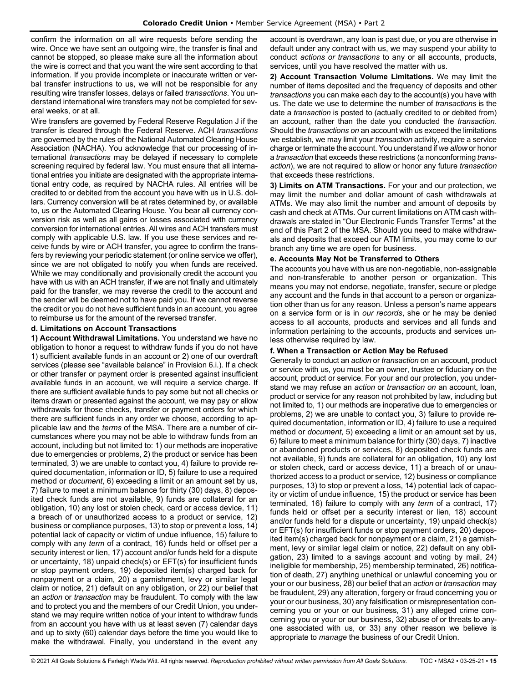confirm the information on all wire requests before sending the wire. Once we have sent an outgoing wire, the transfer is final and cannot be stopped, so please make sure all the information about the wire is correct and that you want the wire sent according to that information. If you provide incomplete or inaccurate written or verbal transfer instructions to us, we will not be responsible for any resulting wire transfer losses, delays or failed *transactions*. You understand international wire transfers may not be completed for several weeks, or at all.

Wire transfers are governed by Federal Reserve Regulation J if the transfer is cleared through the Federal Reserve. ACH *transactions* are governed by the rules of the National Automated Clearing House Association (NACHA). You acknowledge that our processing of international *transactions* may be delayed if necessary to complete screening required by federal law. You must ensure that all international entries you initiate are designated with the appropriate international entry code, as required by NACHA rules. All entries will be credited to or debited from the account you have with us in U.S. dollars. Currency conversion will be at rates determined by, or available to, us or the Automated Clearing House. You bear all currency conversion risk as well as all gains or losses associated with currency conversion for international entries. All wires and ACH transfers must comply with applicable U.S. law. If you use these services and receive funds by wire or ACH transfer, you agree to confirm the transfers by reviewing your periodic statement (or online service we offer), since we are not obligated to notify you when funds are received. While we may conditionally and provisionally credit the account you have with us with an ACH transfer, if we are not finally and ultimately paid for the transfer, we may reverse the credit to the account and the sender will be deemed not to have paid you. If we cannot reverse the credit or you do not have sufficient funds in an account, you agree to reimburse us for the amount of the reversed transfer.

### **d. Limitations on Account Transactions**

**1) Account Withdrawal Limitations.** You understand we have no obligation to honor a request to withdraw funds if you do not have 1) sufficient available funds in an account or 2) one of our overdraft services (please see "available balance" in Provision 6.i.). If a check or other transfer or payment order is presented against insufficient available funds in an account, we will require a service charge. If there are sufficient available funds to pay some but not all checks or items drawn or presented against the account, we may pay or allow withdrawals for those checks, transfer or payment orders for which there are sufficient funds in any order we choose, according to applicable law and the *terms* of the MSA. There are a number of circumstances where you may not be able to withdraw funds from an account, including but not limited to: 1) our methods are inoperative due to emergencies or problems, 2) the product or service has been terminated, 3) we are unable to contact you, 4) failure to provide required documentation, information or ID, 5) failure to use a required method or *document*, 6) exceeding a limit or an amount set by us, 7) failure to meet a minimum balance for thirty (30) days, 8) deposited check funds are not available, 9) funds are collateral for an obligation, 10) any lost or stolen check, card or access device, 11) a breach of or unauthorized access to a product or service, 12) business or compliance purposes, 13) to stop or prevent a loss, 14) potential lack of capacity or victim of undue influence, 15) failure to comply with any *term* of a contract, 16) funds held or offset per a security interest or lien, 17) account and/or funds held for a dispute or uncertainty, 18) unpaid check(s) or EFT(s) for insufficient funds or stop payment orders, 19) deposited item(s) charged back for nonpayment or a claim, 20) a garnishment, levy or similar legal claim or notice, 21) default on any obligation, or 22) our belief that an *action* or *transaction* may be fraudulent. To comply with the law and to protect you and the members of our Credit Union, you understand we may require written notice of your intent to withdraw funds from an account you have with us at least seven (7) calendar days and up to sixty (60) calendar days before the time you would like to make the withdrawal. Finally, you understand in the event any

account is overdrawn, any loan is past due, or you are otherwise in default under any contract with us, we may suspend your ability to conduct *actions or transactions* to any or all accounts, products, services, until you have resolved the matter with us.

**2) Account Transaction Volume Limitations.** We may limit the number of items deposited and the frequency of deposits and other *transactions* you can make each day to the account(s) you have with us. The date we use to determine the number of *transactions* is the date a *transaction* is posted to (actually credited to or debited from) an account, rather than the date you conducted the *transaction*. Should the *transactions on* an account with us exceed the limitations we establish, we may limit your *transaction* activity, require a service charge or terminate the account. You understand if *we allow* or honor a *transaction* that exceeds these restrictions (a nonconforming *transaction*), we are not required to allow or honor any future *transaction* that exceeds these restrictions.

**3) Limits on ATM Transactions.** For your and our protection, we may limit the number and dollar amount of cash withdrawals at ATMs. We may also limit the number and amount of deposits by cash and check at ATMs. Our current limitations on ATM cash withdrawals are stated in "Our Electronic Funds Transfer Terms" at the end of this Part 2 of the MSA. Should you need to make withdrawals and deposits that exceed our ATM limits, you may come to our branch any time we are open for business.

# **e. Accounts May Not be Transferred to Others**

The accounts you have with us are non-negotiable, non-assignable and non-transferable to another person or organization. This means you may not endorse, negotiate, transfer, secure or pledge any account and the funds in that account to a person or organization other than us for any reason. Unless a person's name appears on a service form or is in *our records*, she or he may be denied access to all accounts, products and services and all funds and information pertaining to the accounts, products and services unless otherwise required by law.

# **f. When a Transaction or Action May be Refused**

Generally to conduct an *action* or *transaction* on an account, product or service with us, you must be an owner, trustee or fiduciary on the account, product or service. For your and our protection, you understand we may refuse an *action* or *transaction on* an account, loan, product or service for any reason not prohibited by law, including but not limited to, 1) our methods are inoperative due to emergencies or problems, 2) we are unable to contact you, 3) failure to provide required documentation, information or ID, 4) failure to use a required method or *document*, 5) exceeding a limit or an amount set by us, 6) failure to meet a minimum balance for thirty (30) days, 7) inactive or abandoned products or services, 8) deposited check funds are not available, 9) funds are collateral for an obligation, 10) any lost or stolen check, card or access device, 11) a breach of or unauthorized access to a product or service, 12) business or compliance purposes, 13) to stop or prevent a loss, 14) potential lack of capacity or victim of undue influence, 15) the product or service has been terminated, 16) failure to comply with any *term* of a contract, 17) funds held or offset per a security interest or lien, 18) account and/or funds held for a dispute or uncertainty, 19) unpaid check(s) or EFT(s) for insufficient funds or stop payment orders, 20) deposited item(s) charged back for nonpayment or a claim, 21) a garnishment, levy or similar legal claim or notice, 22) default on any obligation, 23) limited to a savings account and voting by mail, 24) ineligible for membership, 25) membership terminated, 26) notification of death, 27) anything unethical or unlawful concerning you or your or our business, 28) our belief that an *action* or *transaction* may be fraudulent, 29) any alteration, forgery or fraud concerning you or your or our business, 30) any falsification or misrepresentation concerning you or your or our business, 31) any alleged crime concerning you or your or our business, 32) abuse of or threats to anyone associated with us, or 33) any other reason we believe is appropriate to *manage* the business of our Credit Union.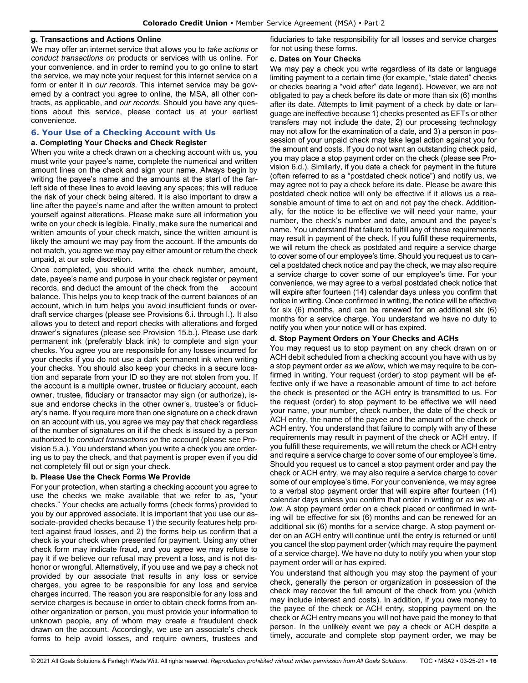#### **g. Transactions and Actions Online**

We may offer an internet service that allows you to *take actions* or *conduct transactions on* products or services with us online. For your convenience, and in order to remind you to go online to start the service, we may note your request for this internet service on a form or enter it in *our records*. This internet service may be governed by a contract you agree to online, the MSA, all other contracts, as applicable, and *our records*. Should you have any questions about this service, please contact us at your earliest convenience.

# <span id="page-15-0"></span>**6. Your Use of a Checking Account with Us**

#### **a. Completing Your Checks and Check Register**

When you write a check drawn on a checking account with us, you must write your payee's name, complete the numerical and written amount lines on the check and sign your name. Always begin by writing the payee's name and the amounts at the start of the farleft side of these lines to avoid leaving any spaces; this will reduce the risk of your check being altered. It is also important to draw a line after the payee's name and after the written amount to protect yourself against alterations. Please make sure all information you write on your check is legible. Finally, make sure the numerical and written amounts of your check match, since the written amount is likely the amount we may pay from the account. If the amounts do not match, you agree we may pay either amount or return the check unpaid, at our sole discretion.

Once completed, you should write the check number, amount, date, payee's name and purpose in your check register or payment records, and deduct the amount of the check from the account balance. This helps you to keep track of the current balances of an account, which in turn helps you avoid insufficient funds or overdraft service charges (please see Provisions 6.i. through l.). It also allows you to detect and report checks with alterations and forged drawer's signatures (please see Provision 15.b.). Please use dark permanent ink (preferably black ink) to complete and sign your checks. You agree you are responsible for any losses incurred for your checks if you do not use a dark permanent ink when writing your checks. You should also keep your checks in a secure location and separate from your ID so they are not stolen from you. If the account is a multiple owner, trustee or fiduciary account, each owner, trustee, fiduciary or transactor may sign (or authorize), issue and endorse checks in the other owner's, trustee's or fiduciary's name. If you require more than one signature on a check drawn on an account with us, you agree we may pay that check regardless of the number of signatures on it if the check is issued by a person authorized to *conduct transactions on* the account (please see Provision 5.a.). You understand when you write a check you are ordering us to pay the check, and that payment is proper even if you did not completely fill out or sign your check.

#### **b. Please Use the Check Forms We Provide**

For your protection, when starting a checking account you agree to use the checks we make available that we refer to as, "your checks." Your checks are actually forms (check forms) provided to you by our approved associate. It is important that you use our associate-provided checks because 1) the security features help protect against fraud losses, and 2) the forms help us confirm that a check is your check when presented for payment. Using any other check form may indicate fraud, and you agree we may refuse to pay it if we believe our refusal may prevent a loss, and is not dishonor or wrongful. Alternatively, if you use and we pay a check not provided by our associate that results in any loss or service charges, you agree to be responsible for any loss and service charges incurred. The reason you are responsible for any loss and service charges is because in order to obtain check forms from another organization or person, you must provide your information to unknown people, any of whom may create a fraudulent check drawn on the account. Accordingly, we use an associate's check forms to help avoid losses, and require owners, trustees and

fiduciaries to take responsibility for all losses and service charges for not using these forms.

#### **c. Dates on Your Checks**

We may pay a check you write regardless of its date or language limiting payment to a certain time (for example, "stale dated" checks or checks bearing a "void after" date legend). However, we are not obligated to pay a check before its date or more than six (6) months after its date. Attempts to limit payment of a check by date or language are ineffective because 1) checks presented as EFTs or other transfers may not include the date, 2) our processing technology may not allow for the examination of a date, and 3) a person in possession of your unpaid check may take legal action against you for the amount and costs. If you do not want an outstanding check paid, you may place a stop payment order on the check (please see Provision 6.d.). Similarly, if you date a check for payment in the future (often referred to as a "postdated check notice") and notify us, we may agree not to pay a check before its date. Please be aware this postdated check notice will only be effective if it allows us a reasonable amount of time to act on and not pay the check. Additionally, for the notice to be effective we will need your name, your number, the check's number and date, amount and the payee's name. You understand that failure to fulfill any of these requirements may result in payment of the check. If you fulfill these requirements, we will return the check as postdated and require a service charge to cover some of our employee's time. Should you request us to cancel a postdated check notice and pay the check, we may also require a service charge to cover some of our employee's time. For your convenience, we may agree to a verbal postdated check notice that will expire after fourteen (14) calendar days unless you confirm that notice in writing. Once confirmed in writing, the notice will be effective for six (6) months, and can be renewed for an additional six (6) months for a service charge. You understand we have no duty to notify you when your notice will or has expired.

#### **d. Stop Payment Orders on Your Checks and ACHs**

You may request us to stop payment on any check drawn on or ACH debit scheduled from a checking account you have with us by a stop payment order *as we allow***,** which we may require to be confirmed in writing. Your request (order) to stop payment will be effective only if we have a reasonable amount of time to act before the check is presented or the ACH entry is transmitted to us. For the request (order) to stop payment to be effective we will need your name, your number, check number, the date of the check or ACH entry, the name of the payee and the amount of the check or ACH entry. You understand that failure to comply with any of these requirements may result in payment of the check or ACH entry. If you fulfill these requirements, we will return the check or ACH entry and require a service charge to cover some of our employee's time. Should you request us to cancel a stop payment order and pay the check or ACH entry, we may also require a service charge to cover some of our employee's time. For your convenience, we may agree to a verbal stop payment order that will expire after fourteen (14) calendar days unless you confirm that order in writing or *as we allow*. A stop payment order on a check placed or confirmed in writing will be effective for six (6) months and can be renewed for an additional six (6) months for a service charge. A stop payment order on an ACH entry will continue until the entry is returned or until you cancel the stop payment order (which may require the payment of a service charge). We have no duty to notify you when your stop payment order will or has expired.

You understand that although you may stop the payment of your check, generally the person or organization in possession of the check may recover the full amount of the check from you (which may include interest and costs). In addition, if you owe money to the payee of the check or ACH entry, stopping payment on the check or ACH entry means you will not have paid the money to that person. In the unlikely event we pay a check or ACH despite a timely, accurate and complete stop payment order, we may be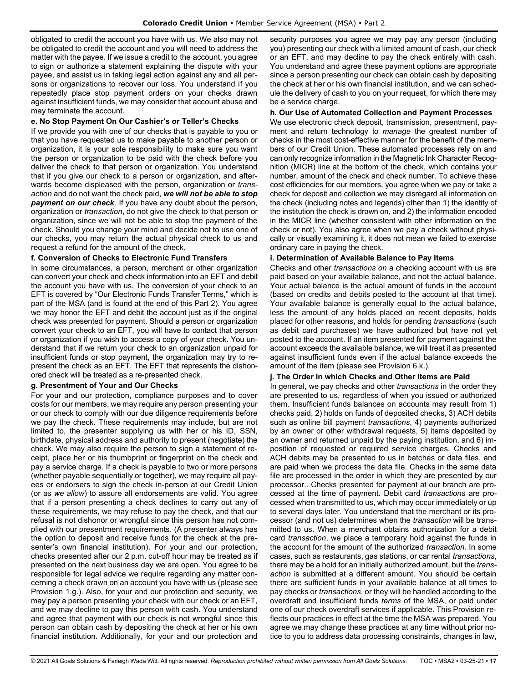obligated to credit the account you have with us. We also may not be obligated to credit the account and you will need to address the matter with the payee. If we issue a credit to the account, you agree to sign or authorize a statement explaining the dispute with your payee, and assist us in taking legal action against any and all persons or organizations to recover our loss. You understand if you repeatedly place stop payment orders on your checks drawn against insufficient funds, we may consider that account abuse and may terminate the account.

# **e. No Stop Payment On Our Cashier's or Teller's Checks**

If we provide you with one of our checks that is payable to you or that you have requested us to make payable to another person or organization, it is your sole responsibility to make sure you want the person or organization to be paid with the check before you deliver the check to that person or organization. You understand that if you give our check to a person or organization, and afterwards become displeased with the person, organization or *transaction* and do not want the check paid, *we will not be able to stop payment on our check.* If you have any doubt about the person, organization or *transaction*, do not give the check to that person or organization, since we will not be able to stop the payment of the check. Should you change your mind and decide not to use one of our checks, you may return the actual physical check to us and request a refund for the amount of the check.

# **f. Conversion of Checks to Electronic Fund Transfers**

In some circumstances, a person, merchant or other organization can convert your check and check information into an EFT and debit the account you have with us. The conversion of your check to an EFT is covered by "Our Electronic Funds Transfer Terms," which is part of the MSA (and is found at the end of this Part 2). You agree we may honor the EFT and debit the account just as if the original check was presented for payment. Should a person or organization convert your check to an EFT, you will have to contact that person or organization if you wish to access a copy of your check. You understand that if we return your check to an organization unpaid for insufficient funds or stop payment, the organization may try to represent the check as an EFT. The EFT that represents the dishonored check will be treated as a re-presented check.

# **g. Presentment of Your and Our Checks**

For your and our protection, compliance purposes and to cover costs for our members, we may require any person presenting your or our check to comply with our due diligence requirements before we pay the check. These requirements may include, but are not limited to, the presenter supplying us with her or his ID, SSN, birthdate, physical address and authority to present (negotiate) the check. We may also require the person to sign a statement of receipt, place her or his thumbprint or fingerprint on the check and pay a service charge. If a check is payable to two or more persons (whether payable sequentially or together), we may require all payees or endorsers to sign the check in-person at our Credit Union (or *as we allow*) to assure all endorsements are valid. You agree that if a person presenting a check declines to carry out any of these requirements, we may refuse to pay the check, and that our refusal is not dishonor or wrongful since this person has not complied with our presentment requirements. (A presenter always has the option to deposit and receive funds for the check at the presenter's own financial institution). For your and our protection, checks presented after our 2 p.m. cut-off hour may be treated as if presented on the next business day we are open. You agree to be responsible for legal advice we require regarding any matter concerning a check drawn on an account you have with us (please see Provision 1.g.). Also, for your and our protection and security, we may pay a person presenting your check with our check or an EFT, and we may decline to pay this person with cash. You understand and agree that payment with our check is not wrongful since this person can obtain cash by depositing the check at her or his own financial institution. Additionally, for your and our protection and

security purposes you agree we may pay any person (including you) presenting our check with a limited amount of cash, our check or an EFT, and may decline to pay the check entirely with cash. You understand and agree these payment options are appropriate since a person presenting our check can obtain cash by depositing the check at her or his own financial institution, and we can schedule the delivery of cash to you on your request, for which there may be a service charge.

# **h. Our Use of Automated Collection and Payment Processes**

We use electronic check deposit, transmission, presentment, payment and return technology to *manage* the greatest number of checks in the most cost-effective manner for the benefit of the members of our Credit Union. These automated processes rely on and can only recognize information in the Magnetic Ink Character Recognition (MICR) line at the bottom of the check, which contains your number, amount of the check and check number. To achieve these cost efficiencies for our members, you agree when we pay or take a check for deposit and collection we may disregard all information on the check (including notes and legends) other than 1) the identity of the institution the check is drawn on, and 2) the information encoded in the MICR line (whether consistent with other information on the check or not). You also agree when we pay a check without physically or visually examining it, it does not mean we failed to exercise ordinary care in paying the check.

# **i. Determination of Available Balance to Pay Items**

Checks and other *transactions on* a checking account with us are paid based on your available balance, and not the actual balance. Your actual balance is the actual amount of funds in the account (based on credits and debits posted to the account at that time). Your available balance is generally equal to the actual balance, less the amount of any holds placed on recent deposits, holds placed for other reasons, and holds for pending *transactions* (such as debit card purchases) we have authorized but have not yet posted to the account. If an item presented for payment against the account exceeds the available balance, we will treat it as presented against insufficient funds even if the actual balance exceeds the amount of the item (please see Provision 6.k.).

# **j. The Order in which Checks and Other Items are Paid**

In general, we pay checks and other *transactions* in the order they are presented to us, regardless of when you issued or authorized them. Insufficient funds balances on accounts may result from 1) checks paid, 2) holds on funds of deposited checks, 3) ACH debits such as online bill payment *transactions*, 4) payments authorized by an owner or other withdrawal requests, 5) items deposited by an owner and returned unpaid by the paying institution, and 6) imposition of requested or required service charges. Checks and ACH debits may be presented to us in batches or data files, and are paid when we process the data file. Checks in the same data file are processed in the order in which they are presented by our processor.. Checks presented for payment at our branch are processed at the time of payment. Debit card *transactions* are processed when transmitted to us, which may occur immediately or up to several days later. You understand that the merchant or its processor (and not us) determines when the *transaction* will be transmitted to us. When a merchant obtains authorization for a debit card *transaction*, we place a temporary hold against the funds in the account for the amount of the authorized *transaction*. In some cases, such as restaurants, gas stations, or car rental *transactions*, there may be a hold for an initially authorized amount, but the *transaction* is submitted at a different amount. You should be certain there are sufficient funds in your available balance at all times to pay checks or *transactions*, or they will be handled according to the overdraft and insufficient funds *terms* of the MSA, or paid under one of our check overdraft services if applicable. This Provision reflects our practices in effect at the time the MSA was prepared. You agree we may change these practices at any time without prior notice to you to address data processing constraints, changes in law,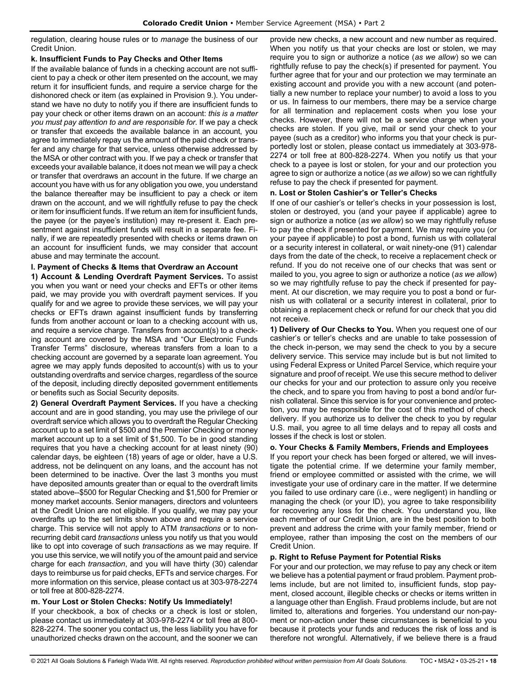regulation, clearing house rules or to *manage* the business of our Credit Union.

# **k. Insufficient Funds to Pay Checks and Other Items**

If the available balance of funds in a checking account are not sufficient to pay a check or other item presented on the account, we may return it for insufficient funds, and require a service charge for the dishonored check or item (as explained in Provision 9.). You understand we have no duty to notify you if there are insufficient funds to pay your check or other items drawn on an account: *this is a matter you must pay attention to and are responsible for*. If we pay a check or transfer that exceeds the available balance in an account, you agree to immediately repay us the amount of the paid check or transfer and any charge for that service, unless otherwise addressed by the MSA or other contract with you. If we pay a check or transfer that exceeds your available balance, it does not mean we will pay a check or transfer that overdraws an account in the future. If we charge an account you have with us for any obligation you owe, you understand the balance thereafter may be insufficient to pay a check or item drawn on the account, and we will rightfully refuse to pay the check or item for insufficient funds. If we return an item for insufficient funds, the payee (or the payee's institution) may re-present it. Each presentment against insufficient funds will result in a separate fee. Finally, if we are repeatedly presented with checks or items drawn on an account for insufficient funds, we may consider that account abuse and may terminate the account.

# **l. Payment of Checks & Items that Overdraw an Account**

**1) Account & Lending Overdraft Payment Services.** To assist you when you want or need your checks and EFTs or other items paid, we may provide you with overdraft payment services. If you qualify for and we agree to provide these services, we will pay your checks or EFTs drawn against insufficient funds by transferring funds from another account or loan to a checking account with us, and require a service charge. Transfers from account(s) to a checking account are covered by the MSA and "Our Electronic Funds Transfer Terms" disclosure, whereas transfers from a loan to a checking account are governed by a separate loan agreement. You agree we may apply funds deposited to account(s) with us to your outstanding overdrafts and service charges, regardless of the source of the deposit, including directly deposited government entitlements or benefits such as Social Security deposits.

**2) General Overdraft Payment Services.** If you have a checking account and are in good standing, you may use the privilege of our overdraft service which allows you to overdraft the Regular Checking account up to a set limit of \$500 and the Premier Checking or money market account up to a set limit of \$1,500. To be in good standing requires that you have a checking account for at least ninety (90) calendar days, be eighteen (18) years of age or older, have a U.S. address, not be delinquent on any loans, and the account has not been determined to be inactive. Over the last 3 months you must have deposited amounts greater than or equal to the overdraft limits stated above--\$500 for Regular Checking and \$1,500 for Premier or money market accounts. Senior managers, directors and volunteers at the Credit Union are not eligible. If you qualify, we may pay your overdrafts up to the set limits shown above and require a service charge. This service will not apply to ATM *transactions* or to nonrecurring debit card *transactions* unless you notify us that you would like to opt into coverage of such *transactions* as we may require. If you use this service, we will notify you of the amount paid and service charge for each *transaction*, and you will have thirty (30) calendar days to reimburse us for paid checks, EFTs and service charges. For more information on this service, please contact us at 303-978-2274 or toll free at 800-828-2274.

# **m. Your Lost or Stolen Checks: Notify Us Immediately!**

If your checkbook, a box of checks or a check is lost or stolen, please contact us immediately at 303-978-2274 or toll free at 800- 828-2274. The sooner you contact us, the less liability you have for unauthorized checks drawn on the account, and the sooner we can provide new checks, a new account and new number as required. When you notify us that your checks are lost or stolen, we may require you to sign or authorize a notice (*as we allow*) so we can rightfully refuse to pay the check(s) if presented for payment. You further agree that for your and our protection we may terminate an existing account and provide you with a new account (and potentially a new number to replace your number) to avoid a loss to you or us. In fairness to our members, there may be a service charge for all termination and replacement costs when you lose your checks. However, there will not be a service charge when your checks are stolen. If you give, mail or send your check to your payee (such as a creditor) who informs you that your check is purportedly lost or stolen, please contact us immediately at 303-978- 2274 or toll free at 800-828-2274. When you notify us that your check to a payee is lost or stolen, for your and our protection you agree to sign or authorize a notice (*as we allow*) so we can rightfully refuse to pay the check if presented for payment.

# **n. Lost or Stolen Cashier's or Teller's Checks**

If one of our cashier's or teller's checks in your possession is lost, stolen or destroyed, you (and your payee if applicable) agree to sign or authorize a notice (*as we allow*) so we may rightfully refuse to pay the check if presented for payment. We may require you (or your payee if applicable) to post a bond, furnish us with collateral or a security interest in collateral, or wait ninety-one (91) calendar days from the date of the check, to receive a replacement check or refund. If you do not receive one of our checks that was sent or mailed to you, you agree to sign or authorize a notice (*as we allow*) so we may rightfully refuse to pay the check if presented for payment. At our discretion, we may require you to post a bond or furnish us with collateral or a security interest in collateral, prior to obtaining a replacement check or refund for our check that you did not receive.

**1) Delivery of Our Checks to You.** When you request one of our cashier's or teller's checks and are unable to take possession of the check in-person, we may send the check to you by a secure delivery service. This service may include but is but not limited to using Federal Express or United Parcel Service, which require your signature and proof of receipt. We use this secure method to deliver our checks for your and our protection to assure only you receive the check, and to spare you from having to post a bond and/or furnish collateral. Since this service is for your convenience and protection, you may be responsible for the cost of this method of check delivery. If you authorize us to deliver the check to you by regular U.S. mail, you agree to all time delays and to repay all costs and losses if the check is lost or stolen.

# **o. Your Checks & Family Members, Friends and Employees**

If you report your check has been forged or altered, we will investigate the potential crime. If we determine your family member, friend or employee committed or assisted with the crime, we will investigate your use of ordinary care in the matter. If we determine you failed to use ordinary care (i.e., were negligent) in handling or managing the check (or your ID), you agree to take responsibility for recovering any loss for the check. You understand you, like each member of our Credit Union, are in the best position to both prevent and address the crime with your family member, friend or employee, rather than imposing the cost on the members of our Credit Union.

# **p. Right to Refuse Payment for Potential Risks**

For your and our protection, we may refuse to pay any check or item we believe has a potential payment or fraud problem. Payment problems include, but are not limited to, insufficient funds, stop payment, closed account, illegible checks or checks or items written in a language other than English. Fraud problems include, but are not limited to, alterations and forgeries. You understand our non-payment or non-action under these circumstances is beneficial to you because it protects your funds and reduces the risk of loss and is therefore not wrongful. Alternatively, if we believe there is a fraud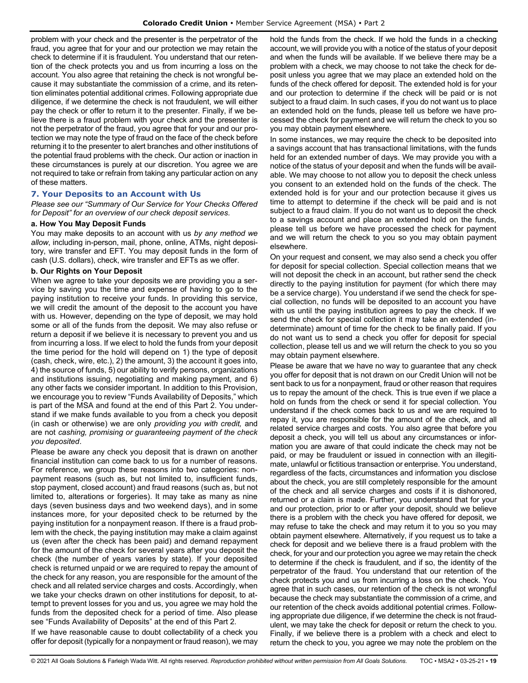problem with your check and the presenter is the perpetrator of the fraud, you agree that for your and our protection we may retain the check to determine if it is fraudulent. You understand that our retention of the check protects you and us from incurring a loss on the account. You also agree that retaining the check is not wrongful because it may substantiate the commission of a crime, and its retention eliminates potential additional crimes. Following appropriate due diligence, if we determine the check is not fraudulent, we will either pay the check or offer to return it to the presenter. Finally, if we believe there is a fraud problem with your check and the presenter is not the perpetrator of the fraud, you agree that for your and our protection we may note the type of fraud on the face of the check before returning it to the presenter to alert branches and other institutions of the potential fraud problems with the check. Our action or inaction in these circumstances is purely at our discretion. You agree we are not required to take or refrain from taking any particular action on any of these matters.

# <span id="page-18-0"></span>**7. Your Deposits to an Account with Us**

*Please see our "Summary of Our Service for Your Checks Offered for Deposit" for an overview of our check deposit services.*

#### **a. How You May Deposit Funds**

You may make deposits to an account with us *by any method we allow*, including in-person, mail, phone, online, ATMs, night depository, wire transfer and EFT. You may deposit funds in the form of cash (U.S. dollars), check, wire transfer and EFTs as we offer.

# **b. Our Rights on Your Deposit**

When we agree to take your deposits we are providing you a service by saving you the time and expense of having to go to the paying institution to receive your funds. In providing this service, we will credit the amount of the deposit to the account you have with us. However, depending on the type of deposit, we may hold some or all of the funds from the deposit. We may also refuse or return a deposit if we believe it is necessary to prevent you and us from incurring a loss. If we elect to hold the funds from your deposit the time period for the hold will depend on 1) the type of deposit (cash, check, wire, etc.), 2) the amount, 3) the account it goes into, 4) the source of funds, 5) our ability to verify persons, organizations and institutions issuing, negotiating and making payment, and 6) any other facts we consider important. In addition to this Provision, we encourage you to review "Funds Availability of Deposits," which is part of the MSA and found at the end of this Part 2. You understand if we make funds available to you from a check you deposit (in cash or otherwise) we are only *providing you with credit,* and are not *cashing, promising or guaranteeing payment of the check you deposited*.

Please be aware any check you deposit that is drawn on another financial institution can come back to us for a number of reasons. For reference, we group these reasons into two categories: nonpayment reasons (such as, but not limited to, insufficient funds, stop payment, closed account) and fraud reasons (such as, but not limited to, alterations or forgeries). It may take as many as nine days (seven business days and two weekend days), and in some instances more, for your deposited check to be returned by the paying institution for a nonpayment reason. If there is a fraud problem with the check, the paying institution may make a claim against us (even after the check has been paid) and demand repayment for the amount of the check for several years after you deposit the check (the number of years varies by state). If your deposited check is returned unpaid or we are required to repay the amount of the check for any reason, you are responsible for the amount of the check and all related service charges and costs. Accordingly, when we take your checks drawn on other institutions for deposit, to attempt to prevent losses for you and us, you agree we may hold the funds from the deposited check for a period of time. Also please see "Funds Availability of Deposits" at the end of this Part 2.

If we have reasonable cause to doubt collectability of a check you offer for deposit (typically for a nonpayment or fraud reason), we may hold the funds from the check. If we hold the funds in a checking account, we will provide you with a notice of the status of your deposit and when the funds will be available. If we believe there may be a problem with a check, we may choose to not take the check for deposit unless you agree that we may place an extended hold on the funds of the check offered for deposit. The extended hold is for your and our protection to determine if the check will be paid or is not subject to a fraud claim. In such cases, if you do not want us to place an extended hold on the funds, please tell us before we have processed the check for payment and we will return the check to you so you may obtain payment elsewhere.

In some instances, we may require the check to be deposited into a savings account that has transactional limitations, with the funds held for an extended number of days. We may provide you with a notice of the status of your deposit and when the funds will be available. We may choose to not allow you to deposit the check unless you consent to an extended hold on the funds of the check. The extended hold is for your and our protection because it gives us time to attempt to determine if the check will be paid and is not subject to a fraud claim. If you do not want us to deposit the check to a savings account and place an extended hold on the funds, please tell us before we have processed the check for payment and we will return the check to you so you may obtain payment elsewhere.

On your request and consent, we may also send a check you offer for deposit for special collection. Special collection means that we will not deposit the check in an account, but rather send the check directly to the paying institution for payment (for which there may be a service charge). You understand if we send the check for special collection, no funds will be deposited to an account you have with us until the paying institution agrees to pay the check. If we send the check for special collection it may take an extended (indeterminate) amount of time for the check to be finally paid. If you do not want us to send a check you offer for deposit for special collection, please tell us and we will return the check to you so you may obtain payment elsewhere.

Please be aware that we have no way to guarantee that any check you offer for deposit that is not drawn on our Credit Union will not be sent back to us for a nonpayment, fraud or other reason that requires us to repay the amount of the check. This is true even if we place a hold on funds from the check or send it for special collection. You understand if the check comes back to us and we are required to repay it, you are responsible for the amount of the check, and all related service charges and costs. You also agree that before you deposit a check, you will tell us about any circumstances or information you are aware of that could indicate the check may not be paid, or may be fraudulent or issued in connection with an illegitimate, unlawful or fictitious transaction or enterprise. You understand, regardless of the facts, circumstances and information you disclose about the check, you are still completely responsible for the amount of the check and all service charges and costs if it is dishonored, returned or a claim is made. Further, you understand that for your and our protection, prior to or after your deposit, should we believe there is a problem with the check you have offered for deposit, we may refuse to take the check and may return it to you so you may obtain payment elsewhere. Alternatively, if you request us to take a check for deposit and we believe there is a fraud problem with the check, for your and our protection you agree we may retain the check to determine if the check is fraudulent, and if so, the identity of the perpetrator of the fraud. You understand that our retention of the check protects you and us from incurring a loss on the check. You agree that in such cases, our retention of the check is not wrongful because the check may substantiate the commission of a crime, and our retention of the check avoids additional potential crimes. Following appropriate due diligence, if we determine the check is not fraudulent, we may take the check for deposit or return the check to you. Finally, if we believe there is a problem with a check and elect to return the check to you, you agree we may note the problem on the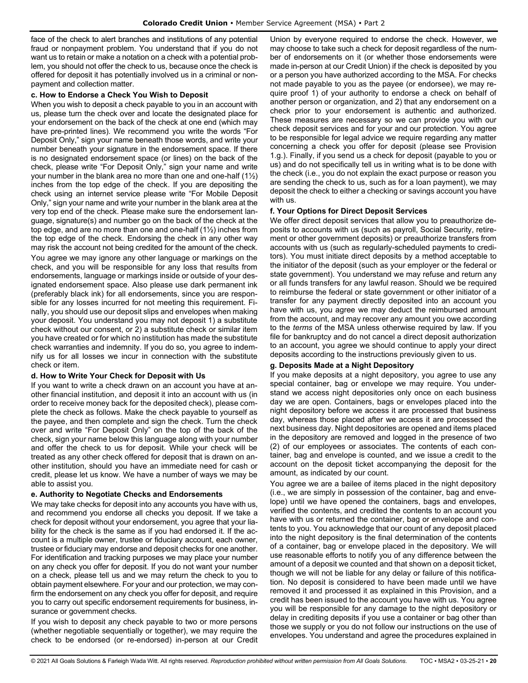face of the check to alert branches and institutions of any potential fraud or nonpayment problem. You understand that if you do not want us to retain or make a notation on a check with a potential problem, you should not offer the check to us, because once the check is offered for deposit it has potentially involved us in a criminal or nonpayment and collection matter.

### **c. How to Endorse a Check You Wish to Deposit**

When you wish to deposit a check payable to you in an account with us, please turn the check over and locate the designated place for your endorsement on the back of the check at one end (which may have pre-printed lines). We recommend you write the words "For Deposit Only," sign your name beneath those words, and write your number beneath your signature in the endorsement space. If there is no designated endorsement space (or lines) on the back of the check, please write "For Deposit Only," sign your name and write your number in the blank area no more than one and one-half (1½) inches from the top edge of the check. If you are depositing the check using an internet service please write "For Mobile Deposit Only," sign your name and write your number in the blank area at the very top end of the check. Please make sure the endorsement language, signature(s) and number go on the back of the check at the top edge, and are no more than one and one-half (1½) inches from the top edge of the check. Endorsing the check in any other way may risk the account not being credited for the amount of the check. You agree we may ignore any other language or markings on the check, and you will be responsible for any loss that results from endorsements, language or markings inside or outside of your designated endorsement space. Also please use dark permanent ink (preferably black ink) for all endorsements, since you are responsible for any losses incurred for not meeting this requirement. Finally, you should use our deposit slips and envelopes when making your deposit. You understand you may not deposit 1) a substitute check without our consent, or 2) a substitute check or similar item you have created or for which no institution has made the substitute check warranties and indemnity. If you do so, you agree to indemnify us for all losses we incur in connection with the substitute check or item.

# **d. How to Write Your Check for Deposit with Us**

If you want to write a check drawn on an account you have at another financial institution, and deposit it into an account with us (in order to receive money back for the deposited check), please complete the check as follows. Make the check payable to yourself as the payee, and then complete and sign the check. Turn the check over and write "For Deposit Only" on the top of the back of the check, sign your name below this language along with your number and offer the check to us for deposit. While your check will be treated as any other check offered for deposit that is drawn on another institution, should you have an immediate need for cash or credit, please let us know. We have a number of ways we may be able to assist you.

#### **e. Authority to Negotiate Checks and Endorsements**

We may take checks for deposit into any accounts you have with us, and recommend you endorse all checks you deposit. If we take a check for deposit without your endorsement, you agree that your liability for the check is the same as if you had endorsed it. If the account is a multiple owner, trustee or fiduciary account, each owner, trustee or fiduciary may endorse and deposit checks for one another. For identification and tracking purposes we may place your number on any check you offer for deposit. If you do not want your number on a check, please tell us and we may return the check to you to obtain payment elsewhere. For your and our protection, we may confirm the endorsement on any check you offer for deposit, and require you to carry out specific endorsement requirements for business, insurance or government checks.

If you wish to deposit any check payable to two or more persons (whether negotiable sequentially or together), we may require the check to be endorsed (or re-endorsed) in-person at our Credit Union by everyone required to endorse the check. However, we may choose to take such a check for deposit regardless of the number of endorsements on it (or whether those endorsements were made in-person at our Credit Union) if the check is deposited by you or a person you have authorized according to the MSA. For checks not made payable to you as the payee (or endorsee), we may require proof 1) of your authority to endorse a check on behalf of another person or organization, and 2) that any endorsement on a check prior to your endorsement is authentic and authorized. These measures are necessary so we can provide you with our check deposit services and for your and our protection. You agree to be responsible for legal advice we require regarding any matter concerning a check you offer for deposit (please see Provision 1.g.). Finally, if you send us a check for deposit (payable to you or us) and do not specifically tell us in writing what is to be done with the check (i.e., you do not explain the exact purpose or reason you are sending the check to us, such as for a loan payment), we may deposit the check to either a checking or savings account you have with us.

# **f. Your Options for Direct Deposit Services**

We offer direct deposit services that allow you to preauthorize deposits to accounts with us (such as payroll, Social Security, retirement or other government deposits) or preauthorize transfers from accounts with us (such as regularly-scheduled payments to creditors). You must initiate direct deposits by a method acceptable to the initiator of the deposit (such as your employer or the federal or state government). You understand we may refuse and return any or all funds transfers for any lawful reason. Should we be required to reimburse the federal or state government or other initiator of a transfer for any payment directly deposited into an account you have with us, you agree we may deduct the reimbursed amount from the account, and may recover any amount you owe according to the *terms* of the MSA unless otherwise required by law. If you file for bankruptcy and do not cancel a direct deposit authorization to an account, you agree we should continue to apply your direct deposits according to the instructions previously given to us.

# **g. Deposits Made at a Night Depository**

If you make deposits at a night depository, you agree to use any special container, bag or envelope we may require. You understand we access night depositories only once on each business day we are open. Containers, bags or envelopes placed into the night depository before we access it are processed that business day, whereas those placed after we access it are processed the next business day. Night depositories are opened and items placed in the depository are removed and logged in the presence of two (2) of our employees or associates. The contents of each container, bag and envelope is counted, and we issue a credit to the account on the deposit ticket accompanying the deposit for the amount, as indicated by our count.

You agree we are a bailee of items placed in the night depository (i.e., we are simply in possession of the container, bag and envelope) until we have opened the containers, bags and envelopes, verified the contents, and credited the contents to an account you have with us or returned the container, bag or envelope and contents to you. You acknowledge that our count of any deposit placed into the night depository is the final determination of the contents of a container, bag or envelope placed in the depository. We will use reasonable efforts to notify you of any difference between the amount of a deposit we counted and that shown on a deposit ticket, though we will not be liable for any delay or failure of this notification. No deposit is considered to have been made until we have removed it and processed it as explained in this Provision, and a credit has been issued to the account you have with us. You agree you will be responsible for any damage to the night depository or delay in crediting deposits if you use a container or bag other than those we supply or you do not follow our instructions on the use of envelopes. You understand and agree the procedures explained in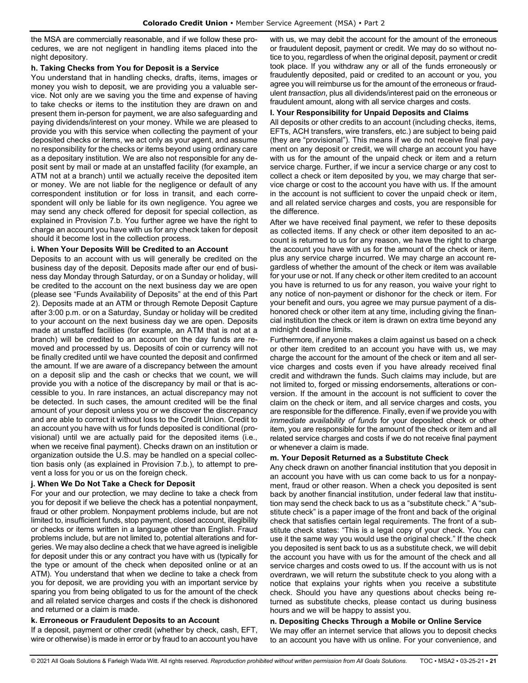the MSA are commercially reasonable, and if we follow these procedures, we are not negligent in handling items placed into the night depository.

### **h. Taking Checks from You for Deposit is a Service**

You understand that in handling checks, drafts, items, images or money you wish to deposit, we are providing you a valuable service. Not only are we saving you the time and expense of having to take checks or items to the institution they are drawn on and present them in-person for payment, we are also safeguarding and paying dividends/interest on your money. While we are pleased to provide you with this service when collecting the payment of your deposited checks or items, we act only as your agent, and assume no responsibility for the checks or items beyond using ordinary care as a depositary institution. We are also not responsible for any deposit sent by mail or made at an unstaffed facility (for example, an ATM not at a branch) until we actually receive the deposited item or money. We are not liable for the negligence or default of any correspondent institution or for loss in transit, and each correspondent will only be liable for its own negligence. You agree we may send any check offered for deposit for special collection, as explained in Provision 7.b. You further agree we have the right to charge an account you have with us for any check taken for deposit should it become lost in the collection process.

# **i. When Your Deposits Will be Credited to an Account**

Deposits to an account with us will generally be credited on the business day of the deposit. Deposits made after our end of business day Monday through Saturday, or on a Sunday or holiday, will be credited to the account on the next business day we are open (please see "Funds Availability of Deposits" at the end of this Part 2). Deposits made at an ATM or through Remote Deposit Capture after 3:00 p.m. or on a Saturday, Sunday or holiday will be credited to your account on the next business day we are open. Deposits made at unstaffed facilities (for example, an ATM that is not at a branch) will be credited to an account on the day funds are removed and processed by us. Deposits of coin or currency will not be finally credited until we have counted the deposit and confirmed the amount. If we are aware of a discrepancy between the amount on a deposit slip and the cash or checks that we count, we will provide you with a notice of the discrepancy by mail or that is accessible to you. In rare instances, an actual discrepancy may not be detected. In such cases, the amount credited will be the final amount of your deposit unless you or we discover the discrepancy and are able to correct it without loss to the Credit Union. Credit to an account you have with us for funds deposited is conditional (provisional) until we are actually paid for the deposited items (i.e., when we receive final payment). Checks drawn on an institution or organization outside the U.S. may be handled on a special collection basis only (as explained in Provision 7.b.), to attempt to prevent a loss for you or us on the foreign check.

# **j. When We Do Not Take a Check for Deposit**

For your and our protection, we may decline to take a check from you for deposit if we believe the check has a potential nonpayment, fraud or other problem. Nonpayment problems include, but are not limited to, insufficient funds, stop payment, closed account, illegibility or checks or items written in a language other than English. Fraud problems include, but are not limited to, potential alterations and forgeries. We may also decline a check that we have agreed is ineligible for deposit under this or any contract you have with us (typically for the type or amount of the check when deposited online or at an ATM). You understand that when we decline to take a check from you for deposit, we are providing you with an important service by sparing you from being obligated to us for the amount of the check and all related service charges and costs if the check is dishonored and returned or a claim is made.

# **k. Erroneous or Fraudulent Deposits to an Account**

If a deposit, payment or other credit (whether by check, cash, EFT, wire or otherwise) is made in error or by fraud to an account you have with us, we may debit the account for the amount of the erroneous or fraudulent deposit, payment or credit. We may do so without notice to you, regardless of when the original deposit, payment or credit took place. If you withdraw any or all of the funds erroneously or fraudulently deposited, paid or credited to an account or you, you agree you will reimburse us for the amount of the erroneous or fraudulent *transaction*, plus all dividends/interest paid on the erroneous or fraudulent amount, along with all service charges and costs.

### **l. Your Responsibility for Unpaid Deposits and Claims**

All deposits or other credits to an account (including checks, items, EFTs, ACH transfers, wire transfers, etc.) are subject to being paid (they are "provisional"). This means if we do not receive final payment on any deposit or credit, we will charge an account you have with us for the amount of the unpaid check or item and a return service charge. Further, if we incur a service charge or any cost to collect a check or item deposited by you, we may charge that service charge or cost to the account you have with us. If the amount in the account is not sufficient to cover the unpaid check or item, and all related service charges and costs, you are responsible for the difference.

After we have received final payment, we refer to these deposits as collected items. If any check or other item deposited to an account is returned to us for any reason, we have the right to charge the account you have with us for the amount of the check or item, plus any service charge incurred. We may charge an account regardless of whether the amount of the check or item was available for your use or not. If any check or other item credited to an account you have is returned to us for any reason, you waive your right to any notice of non-payment or dishonor for the check or item. For your benefit and ours, you agree we may pursue payment of a dishonored check or other item at any time, including giving the financial institution the check or item is drawn on extra time beyond any midnight deadline limits.

Furthermore, if anyone makes a claim against us based on a check or other item credited to an account you have with us, we may charge the account for the amount of the check or item and all service charges and costs even if you have already received final credit and withdrawn the funds. Such claims may include, but are not limited to, forged or missing endorsements, alterations or conversion. If the amount in the account is not sufficient to cover the claim on the check or item, and all service charges and costs, you are responsible for the difference. Finally, even if we provide you with *immediate availability of funds* for your deposited check or other item, you are responsible for the amount of the check or item and all related service charges and costs if we do not receive final payment or whenever a claim is made.

# **m. Your Deposit Returned as a Substitute Check**

Any check drawn on another financial institution that you deposit in an account you have with us can come back to us for a nonpayment, fraud or other reason. When a check you deposited is sent back by another financial institution, under federal law that institution may send the check back to us as a "substitute check." A "substitute check" is a paper image of the front and back of the original check that satisfies certain legal requirements. The front of a substitute check states: "This is a legal copy of your check. You can use it the same way you would use the original check." If the check you deposited is sent back to us as a substitute check, we will debit the account you have with us for the amount of the check and all service charges and costs owed to us. If the account with us is not overdrawn, we will return the substitute check to you along with a notice that explains your rights when you receive a substitute check. Should you have any questions about checks being returned as substitute checks, please contact us during business hours and we will be happy to assist you.

# **n. Depositing Checks Through a Mobile or Online Service**

We may offer an internet service that allows you to deposit checks to an account you have with us online. For your convenience, and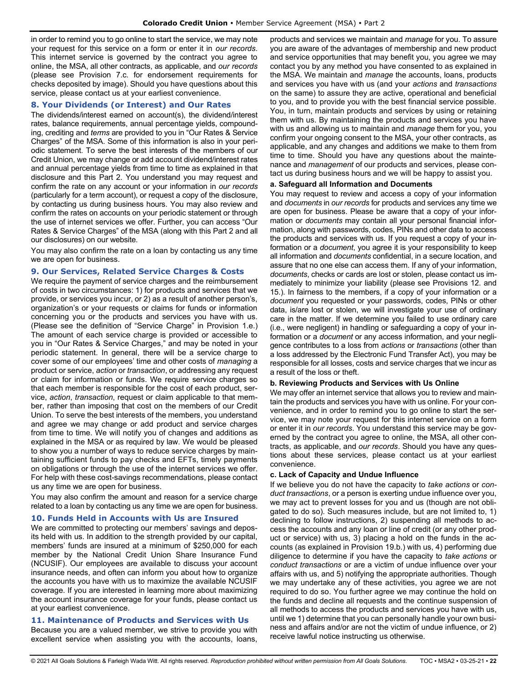in order to remind you to go online to start the service, we may note your request for this service on a form or enter it in *our records*. This internet service is governed by the contract you agree to online, the MSA, all other contracts, as applicable, and *our records* (please see Provision 7.c. for endorsement requirements for checks deposited by image). Should you have questions about this service, please contact us at your earliest convenience.

# <span id="page-21-0"></span>**8. Your Dividends (or Interest) and Our Rates**

The dividends/interest earned on account(s), the dividend/interest rates, balance requirements, annual percentage yields, compounding, crediting and *terms* are provided to you in "Our Rates & Service Charges" of the MSA. Some of this information is also in your periodic statement. To serve the best interests of the members of our Credit Union, we may change or add account dividend/interest rates and annual percentage yields from time to time as explained in that disclosure and this Part 2. You understand you may request and confirm the rate on any account or your information in *our records* (particularly for a term account), or request a copy of the disclosure, by contacting us during business hours. You may also review and confirm the rates on accounts on your periodic statement or through the use of internet services we offer. Further, you can access "Our Rates & Service Charges" of the MSA (along with this Part 2 and all our disclosures) on our website.

You may also confirm the rate on a loan by contacting us any time we are open for business.

#### <span id="page-21-1"></span>**9. Our Services, Related Service Charges & Costs**

We require the payment of service charges and the reimbursement of costs in two circumstances: 1) for products and services that we provide, or services you incur, or 2) as a result of another person's, organization's or your requests or claims for funds or information concerning you or the products and services you have with us. (Please see the definition of "Service Charge" in Provision 1.e.) The amount of each service charge is provided or accessible to you in "Our Rates & Service Charges," and may be noted in your periodic statement. In general, there will be a service charge to cover some of our employees' time and other costs of *managing* a product or service, *action* or *transaction*, or addressing any request or claim for information or funds. We require service charges so that each member is responsible for the cost of each product, service, *action*, *transaction*, request or claim applicable to that member, rather than imposing that cost on the members of our Credit Union. To serve the best interests of the members, you understand and agree we may change or add product and service charges from time to time. We will notify you of changes and additions as explained in the MSA or as required by law. We would be pleased to show you a number of ways to reduce service charges by maintaining sufficient funds to pay checks and EFTs, timely payments on obligations or through the use of the internet services we offer. For help with these cost-savings recommendations, please contact us any time we are open for business.

You may also confirm the amount and reason for a service charge related to a loan by contacting us any time we are open for business.

#### <span id="page-21-2"></span>**10. Funds Held in Accounts with Us are Insured**

We are committed to protecting our members' savings and deposits held with us. In addition to the strength provided by our capital, members' funds are insured at a minimum of \$250,000 for each member by the National Credit Union Share Insurance Fund (NCUSIF). Our employees are available to discuss your account insurance needs, and often can inform you about how to organize the accounts you have with us to maximize the available NCUSIF coverage. If you are interested in learning more about maximizing the account insurance coverage for your funds, please contact us at your earliest convenience.

#### <span id="page-21-3"></span>**11. Maintenance of Products and Services with Us**

Because you are a valued member, we strive to provide you with excellent service when assisting you with the accounts, loans,

products and services we maintain and *manage* for you. To assure you are aware of the advantages of membership and new product and service opportunities that may benefit you, you agree we may contact you by any method you have consented to as explained in the MSA. We maintain and *manage* the accounts, loans, products and services you have with us (and your *actions* and *transactions* on the same) to assure they are active, operational and beneficial to you, and to provide you with the best financial service possible. You, in turn, maintain products and services by using or retaining them with us. By maintaining the products and services you have with us and allowing us to maintain and *manage* them for you, you confirm your ongoing consent to the MSA, your other contracts, as applicable, and any changes and additions we make to them from time to time. Should you have any questions about the maintenance and *management* of our products and services, please contact us during business hours and we will be happy to assist you.

#### **a. Safeguard all Information and Documents**

You may request to review and access a copy of your information and *documents* in *our records* for products and services any time we are open for business. Please be aware that a copy of your information or *documents* may contain all your personal financial information, along with passwords, codes, PINs and other data to access the products and services with us. If you request a copy of your information or a *document*, you agree it is your responsibility to keep all information and *documents* confidential, in a secure location, and assure that no one else can access them. If any of your information, *documents*, checks or cards are lost or stolen, please contact us immediately to minimize your liability (please see Provisions 12. and 15.). In fairness to the members, if a copy of your information or a *document* you requested or your passwords, codes, PINs or other data, is/are lost or stolen, we will investigate your use of ordinary care in the matter. If we determine you failed to use ordinary care (i.e., were negligent) in handling or safeguarding a copy of your information or a *document* or any access information, and your negligence contributes to a loss from *actions* or *transactions* (other than a loss addressed by the Electronic Fund Transfer Act), you may be responsible for all losses, costs and service charges that we incur as a result of the loss or theft.

#### **b. Reviewing Products and Services with Us Online**

We may offer an internet service that allows you to review and maintain the products and services you have with us online. For your convenience, and in order to remind you to go online to start the service, we may note your request for this internet service on a form or enter it in *our records*. You understand this service may be governed by the contract you agree to online, the MSA, all other contracts, as applicable, and *our records*. Should you have any questions about these services, please contact us at your earliest convenience.

#### **c. Lack of Capacity and Undue Influence**

If we believe you do not have the capacity to *take actions* or *conduct transactions*, or a person is exerting undue influence over you, we may act to prevent losses for you and us (though are not obligated to do so). Such measures include, but are not limited to, 1) declining to follow instructions, 2) suspending all methods to access the accounts and any loan or line of credit (or any other product or service) with us, 3) placing a hold on the funds in the accounts (as explained in Provision 19.b.) with us, 4) performing due diligence to determine if you have the capacity to *take actions* or *conduct transactions* or are a victim of undue influence over your affairs with us, and 5) notifying the appropriate authorities. Though we may undertake any of these activities, you agree we are not required to do so. You further agree we may continue the hold on the funds and decline all requests and the continue suspension of all methods to access the products and services you have with us, until we 1) determine that you can personally handle your own business and affairs and/or are not the victim of undue influence, or 2) receive lawful notice instructing us otherwise.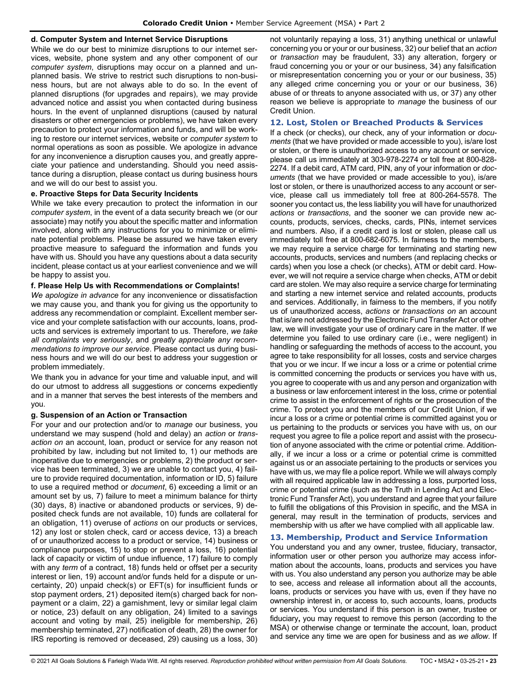# **d. Computer System and Internet Service Disruptions**

While we do our best to minimize disruptions to our internet services, website, phone system and any other component of our *computer system*, disruptions may occur on a planned and unplanned basis. We strive to restrict such disruptions to non-business hours, but are not always able to do so. In the event of planned disruptions (for upgrades and repairs), we may provide advanced notice and assist you when contacted during business hours. In the event of unplanned disruptions (caused by natural disasters or other emergencies or problems), we have taken every precaution to protect your information and funds, and will be working to restore our internet services, website or *computer system* to normal operations as soon as possible. We apologize in advance for any inconvenience a disruption causes you, and greatly appreciate your patience and understanding. Should you need assistance during a disruption, please contact us during business hours and we will do our best to assist you.

### **e. Proactive Steps for Data Security Incidents**

While we take every precaution to protect the information in our *computer system*, in the event of a data security breach we (or our associate) may notify you about the specific matter and information involved, along with any instructions for you to minimize or eliminate potential problems. Please be assured we have taken every proactive measure to safeguard the information and funds you have with us. Should you have any questions about a data security incident, please contact us at your earliest convenience and we will be happy to assist you.

### **f. Please Help Us with Recommendations or Complaints!**

*We apologize in advance* for any inconvenience or dissatisfaction we may cause you, and thank you for giving us the opportunity to address any recommendation or complaint. Excellent member service and your complete satisfaction with our accounts, loans, products and services is extremely important to us. Therefore, *we take all complaints very seriously*, and *greatly appreciate any recommendations to improve our service*. Please contact us during business hours and we will do our best to address your suggestion or problem immediately.

We thank you in advance for your time and valuable input, and will do our utmost to address all suggestions or concerns expediently and in a manner that serves the best interests of the members and you.

# **g. Suspension of an Action or Transaction**

For your and our protection and/or to *manage* our business, you understand we may suspend (hold and delay) an *action* or *transaction on* an account, loan, product or service for any reason not prohibited by law, including but not limited to, 1) our methods are inoperative due to emergencies or problems, 2) the product or service has been terminated, 3) we are unable to contact you, 4) failure to provide required documentation, information or ID, 5) failure to use a required method or *document*, 6) exceeding a limit or an amount set by us, 7) failure to meet a minimum balance for thirty (30) days, 8) inactive or abandoned products or services, 9) deposited check funds are not available, 10) funds are collateral for an obligation, 11) overuse of *actions* on our products or services, 12) any lost or stolen check, card or access device, 13) a breach of or unauthorized access to a product or service, 14) business or compliance purposes, 15) to stop or prevent a loss, 16) potential lack of capacity or victim of undue influence, 17) failure to comply with any *term* of a contract, 18) funds held or offset per a security interest or lien, 19) account and/or funds held for a dispute or uncertainty, 20) unpaid check(s) or EFT(s) for insufficient funds or stop payment orders, 21) deposited item(s) charged back for nonpayment or a claim, 22) a garnishment, levy or similar legal claim or notice, 23) default on any obligation, 24) limited to a savings account and voting by mail, 25) ineligible for membership, 26) membership terminated, 27) notification of death, 28) the owner for IRS reporting is removed or deceased, 29) causing us a loss, 30) not voluntarily repaying a loss, 31) anything unethical or unlawful concerning you or your or our business, 32) our belief that an *action* or *transaction* may be fraudulent, 33) any alteration, forgery or fraud concerning you or your or our business, 34) any falsification or misrepresentation concerning you or your or our business, 35) any alleged crime concerning you or your or our business, 36) abuse of or threats to anyone associated with us, or 37) any other reason we believe is appropriate to *manage* the business of our Credit Union.

# <span id="page-22-0"></span>**12. Lost, Stolen or Breached Products & Services**

If a check (or checks), our check, any of your information or *documents* (that we have provided or made accessible to you), is/are lost or stolen, or there is unauthorized access to any account or service, please call us immediately at 303-978-2274 or toll free at 800-828- 2274. If a debit card, ATM card, PIN, any of your information or *documents* (that we have provided or made accessible to you), is/are lost or stolen, or there is unauthorized access to any account or service, please call us immediately toll free at 800-264-5578. The sooner you contact us, the less liability you will have for unauthorized *actions* or *transactions*, and the sooner we can provide new accounts, products, services, checks, cards, PINs, internet services and numbers. Also, if a credit card is lost or stolen, please call us immediately toll free at 800-682-6075. In fairness to the members, we may require a service charge for terminating and starting new accounts, products, services and numbers (and replacing checks or cards) when you lose a check (or checks), ATM or debit card. However, we will not require a service charge when checks, ATM or debit card are stolen. We may also require a service charge for terminating and starting a new internet service and related accounts, products and services. Additionally, in fairness to the members, if you notify us of unauthorized access, *actions* or *transactions on* an account that is/are not addressed by the Electronic Fund Transfer Act or other law, we will investigate your use of ordinary care in the matter. If we determine you failed to use ordinary care (i.e., were negligent) in handling or safeguarding the methods of access to the account, you agree to take responsibility for all losses, costs and service charges that you or we incur. If we incur a loss or a crime or potential crime is committed concerning the products or services you have with us, you agree to cooperate with us and any person and organization with a business or law enforcement interest in the loss, crime or potential crime to assist in the enforcement of rights or the prosecution of the crime. To protect you and the members of our Credit Union, if we incur a loss or a crime or potential crime is committed against you or us pertaining to the products or services you have with us, on our request you agree to file a police report and assist with the prosecution of anyone associated with the crime or potential crime. Additionally, if we incur a loss or a crime or potential crime is committed against us or an associate pertaining to the products or services you have with us, we may file a police report. While we will always comply with all required applicable law in addressing a loss, purported loss, crime or potential crime (such as the Truth in Lending Act and Electronic Fund Transfer Act), you understand and agree that your failure to fulfill the obligations of this Provision in specific, and the MSA in general, may result in the termination of products, services and membership with us after we have complied with all applicable law.

# <span id="page-22-1"></span>**13. Membership, Product and Service Information**

You understand you and any owner, trustee, fiduciary, transactor, information user or other person you authorize may access information about the accounts, loans, products and services you have with us. You also understand any person you authorize may be able to see, access and release all information about all the accounts, loans, products or services you have with us, even if they have no ownership interest in, or access to, such accounts, loans, products or services. You understand if this person is an owner, trustee or fiduciary**,** you may request to remove this person (according to the MSA) or otherwise change or terminate the account, loan, product and service any time we are open for business and as *we allow*. If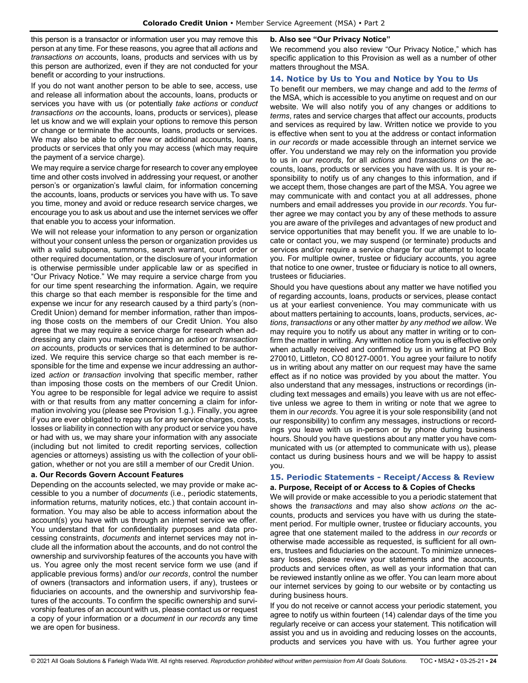this person is a transactor or information user you may remove this person at any time. For these reasons, you agree that all *actions* and *transactions on* accounts, loans, products and services with us by this person are authorized, even if they are not conducted for your benefit or according to your instructions.

If you do not want another person to be able to see, access, use and release all information about the accounts, loans, products or services you have with us (or potentially *take actions* or *conduct transactions on* the accounts, loans, products or services), please let us know and we will explain your options to remove this person or change or terminate the accounts, loans, products or services. We may also be able to offer new or additional accounts, loans, products or services that only you may access (which may require the payment of a service charge).

We may require a service charge for research to cover any employee time and other costs involved in addressing your request, or another person's or organization's lawful claim, for information concerning the accounts, loans, products or services you have with us. To save you time, money and avoid or reduce research service charges, we encourage you to ask us about and use the internet services we offer that enable you to access your information.

We will not release your information to any person or organization without your consent unless the person or organization provides us with a valid subpoena, summons, search warrant, court order or other required documentation, or the disclosure of your information is otherwise permissible under applicable law or as specified in "Our Privacy Notice." We may require a service charge from you for our time spent researching the information. Again, we require this charge so that each member is responsible for the time and expense we incur for any research caused by a third party's (non-Credit Union) demand for member information, rather than imposing those costs on the members of our Credit Union. You also agree that we may require a service charge for research when addressing any claim you make concerning an *action* or *transaction on* accounts, products or services that is determined to be authorized. We require this service charge so that each member is responsible for the time and expense we incur addressing an authorized *action* or *transaction* involving that specific member, rather than imposing those costs on the members of our Credit Union. You agree to be responsible for legal advice we require to assist with or that results from any matter concerning a claim for information involving you (please see Provision 1.g.). Finally, you agree if you are ever obligated to repay us for any service charges, costs, losses or liability in connection with any product or service you have or had with us, we may share your information with any associate (including but not limited to credit reporting services, collection agencies or attorneys) assisting us with the collection of your obligation, whether or not you are still a member of our Credit Union.

#### **a. Our Records Govern Account Features**

Depending on the accounts selected, we may provide or make accessible to you a number of *documents* (i.e., periodic statements, information returns, maturity notices, etc.) that contain account information. You may also be able to access information about the account(s) you have with us through an internet service we offer. You understand that for confidentiality purposes and data processing constraints, *documents* and internet services may not include all the information about the accounts, and do not control the ownership and survivorship features of the accounts you have with us. You agree only the most recent service form we use (and if applicable previous forms) and/or *our records*, control the number of owners (transactors and information users, if any), trustees or fiduciaries on accounts, and the ownership and survivorship features of the accounts. To confirm the specific ownership and survivorship features of an account with us, please contact us or request a copy of your information or a *document* in *our records* any time we are open for business.

## **b. Also see "Our Privacy Notice"**

We recommend you also review "Our Privacy Notice," which has specific application to this Provision as well as a number of other matters throughout the MSA.

# <span id="page-23-0"></span>**14. Notice by Us to You and Notice by You to Us**

To benefit our members, we may change and add to the *terms* of the MSA, which is accessible to you anytime on request and on our website. We will also notify you of any changes or additions to *terms*, rates and service charges that affect our accounts, products and services as required by law. Written notice we provide to you is effective when sent to you at the address or contact information in *our records* or made accessible through an internet service we offer. You understand we may rely on the information you provide to us in *our records*, for all *actions* and *transactions on* the accounts, loans, products or services you have with us. It is your responsibility to notify us of any changes to this information, and if we accept them, those changes are part of the MSA. You agree we may communicate with and contact you at all addresses, phone numbers and email addresses you provide in *our records*. You further agree we may contact you by any of these methods to assure you are aware of the privileges and advantages of new product and service opportunities that may benefit you. If we are unable to locate or contact you, we may suspend (or terminate) products and services and/or require a service charge for our attempt to locate you. For multiple owner, trustee or fiduciary accounts, you agree that notice to one owner, trustee or fiduciary is notice to all owners, trustees or fiduciaries.

Should you have questions about any matter we have notified you of regarding accounts, loans, products or services, please contact us at your earliest convenience. You may communicate with us about matters pertaining to accounts, loans, products, services, *actions*, *transactions* or any other matter *by any method we allow*. We may require you to notify us about any matter in writing or to confirm the matter in writing. Any written notice from you is effective only when actually received and confirmed by us in writing at PO Box 270010, Littleton, CO 80127-0001. You agree your failure to notify us in writing about any matter on our request may have the same effect as if no notice was provided by you about the matter. You also understand that any messages, instructions or recordings (including text messages and emails) you leave with us are not effective unless we agree to them in writing or note that we agree to them in *our records*. You agree it is your sole responsibility (and not our responsibility) to confirm any messages, instructions or recordings you leave with us in-person or by phone during business hours. Should you have questions about any matter you have communicated with us (or attempted to communicate with us), please contact us during business hours and we will be happy to assist you.

# <span id="page-23-1"></span>**15. Periodic Statements - Receipt/Access & Review**

#### **a. Purpose, Receipt of or Access to & Copies of Checks**

We will provide or make accessible to you a periodic statement that shows the *transactions* and may also show *actions on* the accounts, products and services you have with us during the statement period. For multiple owner, trustee or fiduciary accounts, you agree that one statement mailed to the address in *our records* or otherwise made accessible as requested, is sufficient for all owners, trustees and fiduciaries on the account. To minimize unnecessary losses, please review your statements and the accounts, products and services often, as well as your information that can be reviewed instantly online as we offer. You can learn more about our internet services by going to our website or by contacting us during business hours.

If you do not receive or cannot access your periodic statement, you agree to notify us within fourteen (14) calendar days of the time you regularly receive or can access your statement. This notification will assist you and us in avoiding and reducing losses on the accounts, products and services you have with us. You further agree your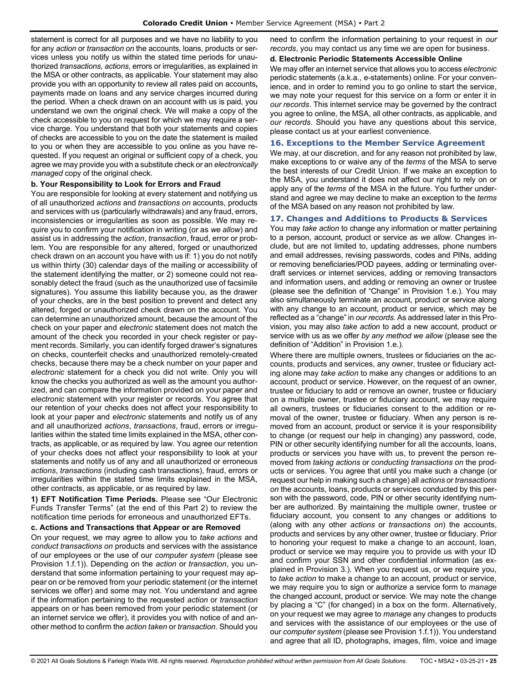statement is correct for all purposes and we have no liability to you for any *action* or *transaction on* the accounts, loans, products or services unless you notify us within the stated time periods for unauthorized *transactions*, *actions*, errors or irregularities, as explained in the MSA or other contracts, as applicable. Your statement may also provide you with an opportunity to review all rates paid on accounts**,** payments made on loans and any service charges incurred during the period. When a check drawn on an account with us is paid, you understand we own the original check. We will make a copy of the check accessible to you on request for which we may require a service charge. You understand that both your statements and copies of checks are accessible to you on the date the statement is mailed to you or when they are accessible to you online as you have requested. If you request an original or sufficient copy of a check, you agree we may provide you with a substitute check or an *electronically managed* copy of the original check.

### **b. Your Responsibility to Look for Errors and Fraud**

You are responsible for looking at every statement and notifying us of all unauthorized *actions* and *transactions on* accounts, products and services with us (particularly withdrawals) and any fraud, errors, inconsistencies or irregularities as soon as possible. We may require you to confirm your notification in writing (or as *we allow*) and assist us in addressing the *action*, *transaction*, fraud, error or problem. You are responsible for any altered, forged or unauthorized check drawn on an account you have with us if: 1) you do not notify us within thirty (30) calendar days of the mailing or accessibility of the statement identifying the matter, or 2) someone could not reasonably detect the fraud (such as the unauthorized use of facsimile signatures). You assume this liability because you, as the drawer of your checks, are in the best position to prevent and detect any altered, forged or unauthorized check drawn on the account. You can determine an unauthorized amount, because the amount of the check on your paper and *electronic* statement does not match the amount of the check you recorded in your check register or payment records. Similarly, you can identify forged drawer's signatures on checks, counterfeit checks and unauthorized remotely-created checks, because there may be a check number on your paper and *electronic* statement for a check you did not write. Only you will know the checks you authorized as well as the amount you authorized, and can compare the information provided on your paper and *electronic* statement with your register or records. You agree that our retention of your checks does not affect your responsibility to look at your paper and *electronic* statements and notify us of any and all unauthorized *actions*, *transactions*, fraud, errors or irregularities within the stated time limits explained in the MSA, other contracts, as applicable, or as required by law. You agree our retention of your checks does not affect your responsibility to look at your statements and notify us of any and all unauthorized or erroneous *actions*, *transactions* (including cash transactions), fraud, errors or irregularities within the stated time limits explained in the MSA, other contracts, as applicable, or as required by law.

**1) EFT Notification Time Periods.** Please see "Our Electronic Funds Transfer Terms" (at the end of this Part 2) to review the notification time periods for erroneous and unauthorized EFTs.

#### **c. Actions and Transactions that Appear or are Removed**

On your request, we may agree to allow you to *take actions* and *conduct transactions on* products and services with the assistance of our employees or the use of our *computer system* (please see Provision 1.f.1)). Depending on the *action* or *transaction*, you understand that some information pertaining to your request may appear on or be removed from your periodic statement (or the internet services we offer) and some may not. You understand and agree if the information pertaining to the requested *action* or *transaction* appears on or has been removed from your periodic statement (or an internet service we offer), it provides you with notice of and another method to confirm the *action taken* or *transaction*. Should you need to confirm the information pertaining to your request in *our records*, you may contact us any time we are open for business.

### **d. Electronic Periodic Statements Accessible Online**

We may offer an internet service that allows you to access *electronic* periodic statements (a.k.a., e-statements) online. For your convenience, and in order to remind you to go online to start the service, we may note your request for this service on a form or enter it in *our records*. This internet service may be governed by the contract you agree to online, the MSA, all other contracts, as applicable, and *our records*. Should you have any questions about this service, please contact us at your earliest convenience.

#### <span id="page-24-0"></span>**16. Exceptions to the Member Service Agreement**

We may, at our discretion, and for any reason not prohibited by law, make exceptions to or waive any of the *terms* of the MSA to serve the best interests of our Credit Union. If we make an exception to the MSA, you understand it does not affect our right to rely on or apply any of the *terms* of the MSA in the future. You further understand and agree we may decline to make an exception to the *terms* of the MSA based on any reason not prohibited by law.

# <span id="page-24-1"></span>**17. Changes and Additions to Products & Services**

You may *take action* to change any information or matter pertaining to a person, account, product or service as *we allow*. Changes include, but are not limited to, updating addresses, phone numbers and email addresses, revising passwords, codes and PINs, adding or removing beneficiaries/POD payees, adding or terminating overdraft services or internet services, adding or removing transactors and information users, and adding or removing an owner or trustee (please see the definition of "Change" in Provision 1.e.). You may also simultaneously terminate an account, product or service along with any change to an account, product or service, which may be reflected as a "change" in *our records*. As addressed later in this Provision, you may also *take action* to add a new account, product or service with us as we offer *by any method we allow* (please see the definition of "Addition" in Provision 1.e.).

Where there are multiple owners, trustees or fiduciaries on the accounts, products and services, any owner, trustee or fiduciary acting alone may *take action* to make any changes or additions to an account, product or service. However, on the request of an owner, trustee or fiduciary to add or remove an owner, trustee or fiduciary on a multiple owner, trustee or fiduciary account, we may require all owners, trustees or fiduciaries consent to the addition or removal of the owner, trustee or fiduciary. When any person is removed from an account, product or service it is your responsibility to change (or request our help in changing) any password, code, PIN or other security identifying number for all the accounts, loans, products or services you have with us, to prevent the person removed from *taking actions* or *conducting transactions on* the products or services. You agree that until you make such a change (or request our help in making such a change) all *actions* or *transactions on* the accounts, loans, products or services conducted by this person with the password, code, PIN or other security identifying number are authorized. By maintaining the multiple owner, trustee or fiduciary account, you consent to any changes or additions to (along with any other *actions* or *transactions on*) the accounts, products and services by any other owner, trustee or fiduciary. Prior to honoring your request to make a change to an account, loan, product or service we may require you to provide us with your ID and confirm your SSN and other confidential information (as explained in Provision 3.). When you request us, or we require you, to *take action* to make a change to an account, product or service, we may require you to sign or authorize a service form to *manage* the changed account, product or service. We may note the change by placing a "C" (for changed) in a box on the form. Alternatively, on your request we may agree to *manage* any changes to products and services with the assistance of our employees or the use of our *computer system* (please see Provision 1.f.1)). You understand and agree that all ID, photographs, images, film, voice and image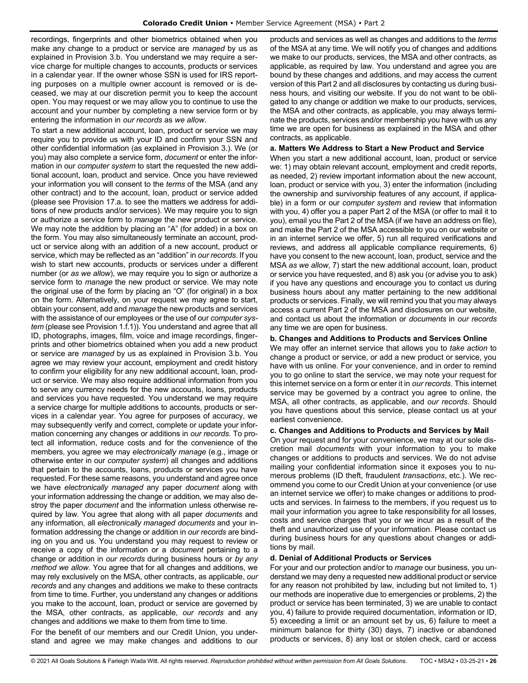recordings, fingerprints and other biometrics obtained when you make any change to a product or service are *managed* by us as explained in Provision 3.b. You understand we may require a service charge for multiple changes to accounts, products or services in a calendar year. If the owner whose SSN is used for IRS reporting purposes on a multiple owner account is removed or is deceased, we may at our discretion permit you to keep the account open. You may request or we may allow you to continue to use the account and your number by completing a new service form or by entering the information in *our records* as *we allow*.

To start a new additional account, loan, product or service we may require you to provide us with your ID and confirm your SSN and other confidential information (as explained in Provision 3.). We (or you) may also complete a service form, *document* or enter the information in our *computer system* to start the requested the new additional account, loan, product and service. Once you have reviewed your information you will consent to the *terms* of the MSA (and any other contract) and to the account, loan, product or service added (please see Provision 17.a. to see the matters we address for additions of new products and/or services). We may require you to sign or authorize a service form to *manage* the new product or service. We may note the addition by placing an "A" (for added) in a box on the form. You may also simultaneously terminate an account, product or service along with an addition of a new account, product or service, which may be reflected as an "addition" in *our records*. If you wish to start new accounts, products or services under a different number (or *as we allow*), we may require you to sign or authorize a service form to *manage* the new product or service. We may note the original use of the form by placing an "O" (for original) in a box on the form. Alternatively, on your request we may agree to start, obtain your consent, add and *manage* the new products and services with the assistance of our employees or the use of our *computer system* (please see Provision 1.f.1)). You understand and agree that all ID, photographs, images, film, voice and image recordings, fingerprints and other biometrics obtained when you add a new product or service are *managed* by us as explained in Provision 3.b. You agree we may review your account, employment and credit history to confirm your eligibility for any new additional account, loan, product or service. We may also require additional information from you to serve any currency needs for the new accounts, loans, products and services you have requested. You understand we may require a service charge for multiple additions to accounts, products or services in a calendar year. You agree for purposes of accuracy, we may subsequently verify and correct, complete or update your information concerning any changes or additions in *our records*. To protect all information, reduce costs and for the convenience of the members, you agree we may *electronically manage* (e.g., image or otherwise enter in our *computer system*) all changes and additions that pertain to the accounts, loans, products or services you have requested. For these same reasons, you understand and agree once we have *electronically managed* any paper *document* along with your information addressing the change or addition*,* we may also destroy the paper *document* and the information unless otherwise required by law. You agree that along with all paper *documents* and any information*,* all *electronically managed documents* and your information addressing the change or addition in *our records* are binding on you and us. You understand you may request to review or receive a copy of the information or a *document* pertaining to a change or addition in *our records* during business hours or *by any method we allow*. You agree that for all changes and additions, we may rely exclusively on the MSA, other contracts, as applicable, *our records* and any changes and additions we make to these contracts from time to time. Further, you understand any changes or additions you make to the account, loan, product or service are governed by the MSA, other contracts, as applicable, *our records* and any changes and additions we make to them from time to time.

For the benefit of our members and our Credit Union, you understand and agree we may make changes and additions to our products and services as well as changes and additions to the *terms* of the MSA at any time. We will notify you of changes and additions we make to our products, services, the MSA and other contracts, as applicable, as required by law. You understand and agree you are bound by these changes and additions, and may access the current version of this Part 2 and all disclosures by contacting us during business hours, and visiting our website. If you do not want to be obligated to any change or addition we make to our products, services, the MSA and other contracts, as applicable, you may always terminate the products, services and/or membership you have with us any time we are open for business as explained in the MSA and other contracts, as applicable.

#### **a. Matters We Address to Start a New Product and Service**

When you start a new additional account, loan, product or service we: 1) may obtain relevant account, employment and credit reports, as needed, 2) review important information about the new account, loan, product or service with you, 3) enter the information (including the ownership and survivorship features of any account, if applicable) in a form or our *computer system* and review that information with you, 4) offer you a paper Part 2 of the MSA (or offer to mail it to you), email you the Part 2 of the MSA (if we have an address on file), and make the Part 2 of the MSA accessible to you on our website or in an internet service we offer, 5) run all required verifications and reviews, and address all applicable compliance requirements, 6) have you consent to the new account, loan, product, service and the MSA *as we allow*, 7) start the new additional account, loan, product or service you have requested, and 8) ask you (or advise you to ask) if you have any questions and encourage you to contact us during business hours about any matter pertaining to the new additional products or services. Finally, we will remind you that you may always access a current Part 2 of the MSA and disclosures on our website, and contact us about the information or *documents* in *our records* any time we are open for business.

### **b. Changes and Additions to Products and Services Online**

We may offer an internet service that allows you to *take action* to change a product or service, or add a new product or service, you have with us online. For your convenience, and in order to remind you to go online to start the service, we may note your request for this internet service on a form or enter it in *our records*. This internet service may be governed by a contract you agree to online, the MSA, all other contracts, as applicable, and *our records*. Should you have questions about this service, please contact us at your earliest convenience.

### **c. Changes and Additions to Products and Services by Mail**

On your request and for your convenience, we may at our sole discretion mail *documents* with your information to you to make changes or additions to products and services. We do not advise mailing your confidential information since it exposes you to numerous problems (ID theft, fraudulent *transactions*, etc.). We recommend you come to our Credit Union at your convenience (or use an internet service we offer) to make changes or additions to products and services. In fairness to the members, if you request us to mail your information you agree to take responsibility for all losses, costs and service charges that you or we incur as a result of the theft and unauthorized use of your information. Please contact us during business hours for any questions about changes or additions by mail.

#### **d. Denial of Additional Products or Services**

For your and our protection and/or to *manage* our business, you understand we may deny a requested new additional product or service for any reason not prohibited by law, including but not limited to, 1) our methods are inoperative due to emergencies or problems, 2) the product or service has been terminated, 3) we are unable to contact you, 4) failure to provide required documentation, information or ID, 5) exceeding a limit or an amount set by us, 6) failure to meet a minimum balance for thirty (30) days, 7) inactive or abandoned products or services, 8) any lost or stolen check, card or access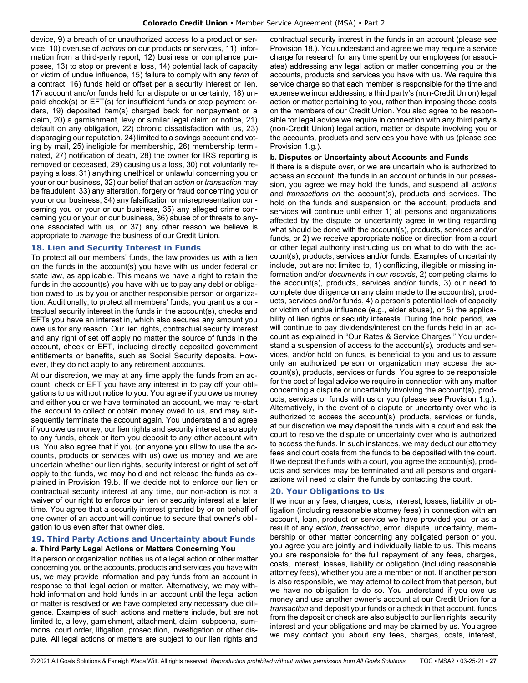device, 9) a breach of or unauthorized access to a product or service, 10) overuse of *actions* on our products or services, 11) information from a third-party report, 12) business or compliance purposes, 13) to stop or prevent a loss, 14) potential lack of capacity or victim of undue influence, 15) failure to comply with any *term* of a contract, 16) funds held or offset per a security interest or lien, 17) account and/or funds held for a dispute or uncertainty, 18) unpaid check(s) or EFT(s) for insufficient funds or stop payment orders, 19) deposited item(s) charged back for nonpayment or a claim, 20) a garnishment, levy or similar legal claim or notice, 21) default on any obligation, 22) chronic dissatisfaction with us, 23) disparaging our reputation, 24) limited to a savings account and voting by mail, 25) ineligible for membership, 26) membership terminated, 27) notification of death, 28) the owner for IRS reporting is removed or deceased, 29) causing us a loss, 30) not voluntarily repaying a loss, 31) anything unethical or unlawful concerning you or your or our business, 32) our belief that an *action* or *transaction* may be fraudulent, 33) any alteration, forgery or fraud concerning you or your or our business, 34) any falsification or misrepresentation concerning you or your or our business, 35) any alleged crime concerning you or your or our business, 36) abuse of or threats to anyone associated with us, or 37) any other reason we believe is appropriate to *manage* the business of our Credit Union.

### <span id="page-26-0"></span>**18. Lien and Security Interest in Funds**

To protect all our members' funds, the law provides us with a lien on the funds in the account(s) you have with us under federal or state law, as applicable. This means we have a right to retain the funds in the account(s) you have with us to pay any debt or obligation owed to us by you or another responsible person or organization. Additionally, to protect all members' funds, you grant us a contractual security interest in the funds in the account(s), checks and EFTs you have an interest in, which also secures any amount you owe us for any reason. Our lien rights, contractual security interest and any right of set off apply no matter the source of funds in the account, check or EFT, including directly deposited government entitlements or benefits, such as Social Security deposits. However, they do not apply to any retirement accounts.

At our discretion, we may at any time apply the funds from an account, check or EFT you have any interest in to pay off your obligations to us without notice to you. You agree if you owe us money and either you or we have terminated an account, we may re-start the account to collect or obtain money owed to us, and may subsequently terminate the account again. You understand and agree if you owe us money, our lien rights and security interest also apply to any funds, check or item you deposit to any other account with us. You also agree that if you (or anyone you allow to use the accounts, products or services with us) owe us money and we are uncertain whether our lien rights, security interest or right of set off apply to the funds, we may hold and not release the funds as explained in Provision 19.b. If we decide not to enforce our lien or contractual security interest at any time, our non-action is not a waiver of our right to enforce our lien or security interest at a later time. You agree that a security interest granted by or on behalf of one owner of an account will continue to secure that owner's obligation to us even after that owner dies.

#### <span id="page-26-1"></span>**19. Third Party Actions and Uncertainty about Funds a. Third Party Legal Actions or Matters Concerning You**

If a person or organization notifies us of a legal action or other matter concerning you or the accounts, products and services you have with us, we may provide information and pay funds from an account in response to that legal action or matter. Alternatively, we may withhold information and hold funds in an account until the legal action or matter is resolved or we have completed any necessary due diligence. Examples of such actions and matters include, but are not limited to, a levy, garnishment, attachment, claim, subpoena, summons, court order, litigation, prosecution, investigation or other dispute. All legal actions or matters are subject to our lien rights and contractual security interest in the funds in an account (please see Provision 18.). You understand and agree we may require a service charge for research for any time spent by our employees (or associates) addressing any legal action or matter concerning you or the accounts, products and services you have with us. We require this service charge so that each member is responsible for the time and expense we incur addressing a third party's (non-Credit Union) legal action or matter pertaining to you, rather than imposing those costs on the members of our Credit Union. You also agree to be responsible for legal advice we require in connection with any third party's (non-Credit Union) legal action, matter or dispute involving you or the accounts, products and services you have with us (please see Provision 1.g.).

# **b. Disputes or Uncertainty about Accounts and Funds**

If there is a dispute over, or we are uncertain who is authorized to access an account, the funds in an account or funds in our possession, you agree we may hold the funds, and suspend all *actions* and *transactions on* the account(s), products and services. The hold on the funds and suspension on the account, products and services will continue until either 1) all persons and organizations affected by the dispute or uncertainty agree in writing regarding what should be done with the account(s), products, services and/or funds, or 2) we receive appropriate notice or direction from a court or other legal authority instructing us on what to do with the account(s), products, services and/or funds. Examples of uncertainty include, but are not limited to, 1) conflicting, illegible or missing information and/or *documents* in *our records*, 2) competing claims to the account(s), products, services and/or funds, 3) our need to complete due diligence on any claim made to the account(s), products, services and/or funds, 4) a person's potential lack of capacity or victim of undue influence (e.g., elder abuse), or 5) the applicability of lien rights or security interests. During the hold period, we will continue to pay dividends/interest on the funds held in an account as explained in "Our Rates & Service Charges." You understand a suspension of access to the account(s), products and services, and/or hold on funds, is beneficial to you and us to assure only an authorized person or organization may access the account(s), products, services or funds. You agree to be responsible for the cost of legal advice we require in connection with any matter concerning a dispute or uncertainty involving the account(s), products, services or funds with us or you (please see Provision 1.g.). Alternatively, in the event of a dispute or uncertainty over who is authorized to access the account(s), products, services or funds, at our discretion we may deposit the funds with a court and ask the court to resolve the dispute or uncertainty over who is authorized to access the funds. In such instances, we may deduct our attorney fees and court costs from the funds to be deposited with the court. If we deposit the funds with a court, you agree the account(s), products and services may be terminated and all persons and organizations will need to claim the funds by contacting the court.

# <span id="page-26-2"></span>**20. Your Obligations to Us**

If we incur any fees, charges, costs, interest, losses, liability or obligation (including reasonable attorney fees) in connection with an account, loan, product or service we have provided you, or as a result of any *action*, *transaction*, error, dispute, uncertainty, membership or other matter concerning any obligated person or you, you agree you are jointly and individually liable to us. This means you are responsible for the full repayment of any fees, charges, costs, interest, losses, liability or obligation (including reasonable attorney fees), whether you are a member or not. If another person is also responsible, we may attempt to collect from that person, but we have no obligation to do so. You understand if you owe us money and use another owner's account at our Credit Union for a *transaction* and deposit your funds or a check in that account, funds from the deposit or check are also subject to our lien rights, security interest and your obligations and may be claimed by us. You agree we may contact you about any fees, charges, costs, interest,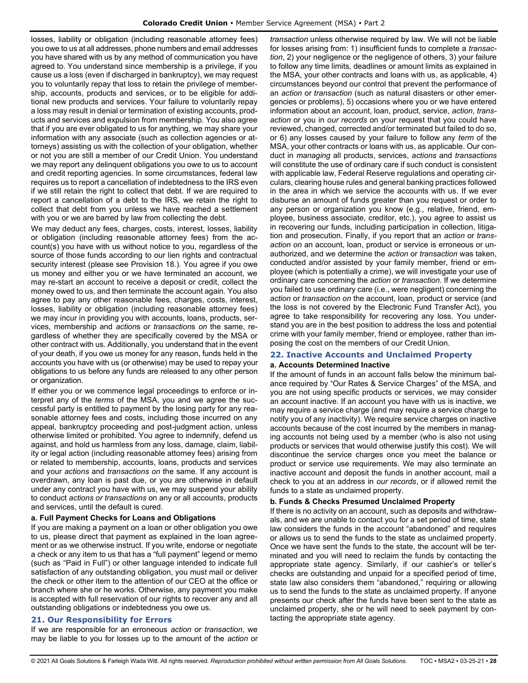losses, liability or obligation (including reasonable attorney fees) you owe to us at all addresses, phone numbers and email addresses you have shared with us by any method of communication you have agreed to. You understand since membership is a privilege, if you cause us a loss (even if discharged in bankruptcy), we may request you to voluntarily repay that loss to retain the privilege of membership, accounts, products and services, or to be eligible for additional new products and services. Your failure to voluntarily repay a loss may result in denial or termination of existing accounts, products and services and expulsion from membership. You also agree that if you are ever obligated to us for anything, we may share your information with any associate (such as collection agencies or attorneys) assisting us with the collection of your obligation, whether or not you are still a member of our Credit Union. You understand we may report any delinquent obligations you owe to us to account and credit reporting agencies. In some circumstances, federal law requires us to report a cancellation of indebtedness to the IRS even if we still retain the right to collect that debt. If we are required to report a cancellation of a debt to the IRS, we retain the right to collect that debt from you unless we have reached a settlement with you or we are barred by law from collecting the debt.

We may deduct any fees, charges, costs, interest, losses, liability or obligation (including reasonable attorney fees) from the account(s) you have with us without notice to you, regardless of the source of those funds according to our lien rights and contractual security interest (please see Provision 18.). You agree if you owe us money and either you or we have terminated an account, we may re-start an account to receive a deposit or credit, collect the money owed to us, and then terminate the account again. You also agree to pay any other reasonable fees, charges, costs, interest, losses, liability or obligation (including reasonable attorney fees) we may incur in providing you with accounts, loans, products, services, membership and *action*s or *transaction*s *on* the same, regardless of whether they are specifically covered by the MSA or other contract with us. Additionally, you understand that in the event of your death, if you owe us money for any reason, funds held in the accounts you have with us (or otherwise) may be used to repay your obligations to us before any funds are released to any other person or organization.

If either you or we commence legal proceedings to enforce or interpret any of the *terms* of the MSA, you and we agree the successful party is entitled to payment by the losing party for any reasonable attorney fees and costs, including those incurred on any appeal, bankruptcy proceeding and post-judgment action, unless otherwise limited or prohibited. You agree to indemnify, defend us against, and hold us harmless from any loss, damage, claim, liability or legal action (including reasonable attorney fees) arising from or related to membership, accounts, loans, products and services and your *actions* and *transactions on* the same. If any account is overdrawn, any loan is past due, or you are otherwise in default under any contract you have with us, we may suspend your ability to conduct *actions or transactions* on any or all accounts, products and services, until the default is cured.

# **a. Full Payment Checks for Loans and Obligations**

If you are making a payment on a loan or other obligation you owe to us, please direct that payment as explained in the loan agreement or as we otherwise instruct. If you write, endorse or negotiate a check or any item to us that has a "full payment" legend or memo (such as "Paid in Full") or other language intended to indicate full satisfaction of any outstanding obligation, you must mail or deliver the check or other item to the attention of our CEO at the office or branch where she or he works. Otherwise, any payment you make is accepted with full reservation of our rights to recover any and all outstanding obligations or indebtedness you owe us.

# <span id="page-27-0"></span>**21. Our Responsibility for Errors**

If we are responsible for an erroneous *action* or *transaction*, we may be liable to you for losses up to the amount of the *action* or *transaction* unless otherwise required by law. We will not be liable for losses arising from: 1) insufficient funds to complete a *transaction*, 2) your negligence or the negligence of others, 3) your failure to follow any time limits, deadlines or amount limits as explained in the MSA, your other contracts and loans with us, as applicable, 4) circumstances beyond our control that prevent the performance of an *action* or *transaction* (such as natural disasters or other emergencies or problems), 5) occasions where you or we have entered information about an account, loan, product, service, *action*, *transaction* or you in *our records* on your request that you could have reviewed, changed, corrected and/or terminated but failed to do so, or 6) any losses caused by your failure to follow any *term* of the MSA, your other contracts or loans with us, as applicable. Our conduct in *managing* all products, services, *actions* and *transactions* will constitute the use of ordinary care if such conduct is consistent with applicable law, Federal Reserve regulations and operating circulars, clearing house rules and general banking practices followed in the area in which we service the accounts with us. If we ever disburse an amount of funds greater than you request or order to any person or organization you know (e.g., relative, friend, employee, business associate, creditor, etc.), you agree to assist us in recovering our funds, including participation in collection, litigation and prosecution. Finally, if you report that an *action* or *transaction on* an account, loan, product or service is erroneous or unauthorized, and we determine the *action* or *transaction* was taken, conducted and/or assisted by your family member, friend or employee (which is potentially a crime), we will investigate your use of ordinary care concerning the *action* or *transaction*. If we determine you failed to use ordinary care (i.e., were negligent) concerning the *action* or *transaction on* the account, loan, product or service (and the loss is not covered by the Electronic Fund Transfer Act), you agree to take responsibility for recovering any loss. You understand you are in the best position to address the loss and potential crime with your family member, friend or employee, rather than imposing the cost on the members of our Credit Union.

# <span id="page-27-1"></span>**22. Inactive Accounts and Unclaimed Property**

# **a. Accounts Determined Inactive**

If the amount of funds in an account falls below the minimum balance required by "Our Rates & Service Charges" of the MSA, and you are not using specific products or services, we may consider an account inactive. If an account you have with us is inactive, we may require a service charge (and may require a service charge to notify you of any inactivity). We require service charges on inactive accounts because of the cost incurred by the members in managing accounts not being used by a member (who is also not using products or services that would otherwise justify this cost). We will discontinue the service charges once you meet the balance or product or service use requirements. We may also terminate an inactive account and deposit the funds in another account, mail a check to you at an address in *our records*, or if allowed remit the funds to a state as unclaimed property.

#### **b. Funds & Checks Presumed Unclaimed Property**

If there is no activity on an account, such as deposits and withdrawals, and we are unable to contact you for a set period of time, state law considers the funds in the account "abandoned" and requires or allows us to send the funds to the state as unclaimed property. Once we have sent the funds to the state, the account will be terminated and you will need to reclaim the funds by contacting the appropriate state agency. Similarly, if our cashier's or teller's checks are outstanding and unpaid for a specified period of time, state law also considers them "abandoned," requiring or allowing us to send the funds to the state as unclaimed property. If anyone presents our check after the funds have been sent to the state as unclaimed property, she or he will need to seek payment by contacting the appropriate state agency.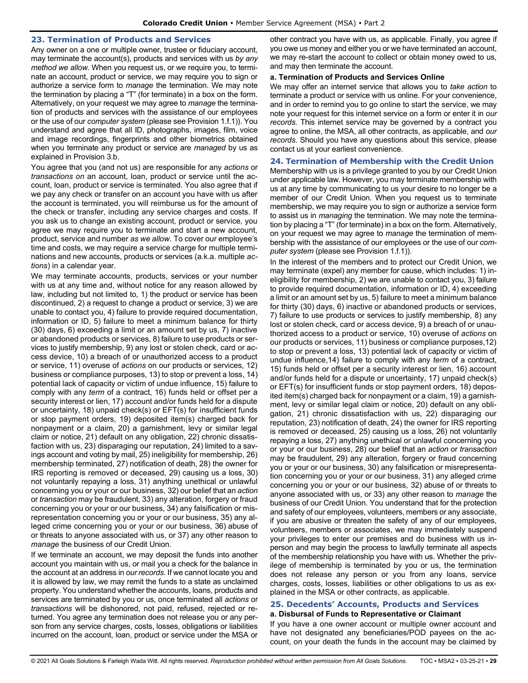#### <span id="page-28-0"></span>**23. Termination of Products and Services**

Any owner on a one or multiple owner, trustee or fiduciary account, may terminate the account(s), products and services with us *by any method we allow*. When you request us, or we require you, to terminate an account, product or service, we may require you to sign or authorize a service form to *manage* the termination. We may note the termination by placing a "T" (for terminate) in a box on the form. Alternatively, on your request we may agree to *manage* the termination of products and services with the assistance of our employees or the use of our *computer system* (please see Provision 1.f.1)). You understand and agree that all ID, photographs, images, film, voice and image recordings, fingerprints and other biometrics obtained when you terminate any product or service are *managed* by us as explained in Provision 3.b.

You agree that you (and not us) are responsible for any *actions* or *transactions on* an account, loan, product or service until the account, loan, product or service is terminated. You also agree that if we pay any check or transfer on an account you have with us after the account is terminated, you will reimburse us for the amount of the check or transfer, including any service charges and costs. If you ask us to change an existing account, product or service, you agree we may require you to terminate and start a new account, product, service and number *as we allow*. To cover our employee's time and costs, we may require a service charge for multiple terminations and new accounts, products or services (a.k.a. multiple *actions*) in a calendar year.

We may terminate accounts, products, services or your number with us at any time and, without notice for any reason allowed by law, including but not limited to, 1) the product or service has been discontinued, 2) a request to change a product or service, 3) we are unable to contact you, 4) failure to provide required documentation, information or ID, 5) failure to meet a minimum balance for thirty (30) days, 6) exceeding a limit or an amount set by us, 7) inactive or abandoned products or services, 8) failure to use products or services to justify membership, 9) any lost or stolen check, card or access device, 10) a breach of or unauthorized access to a product or service, 11) overuse of *actions* on our products or services, 12) business or compliance purposes, 13) to stop or prevent a loss, 14) potential lack of capacity or victim of undue influence, 15) failure to comply with any *term* of a contract, 16) funds held or offset per a security interest or lien, 17) account and/or funds held for a dispute or uncertainty, 18) unpaid check(s) or EFT(s) for insufficient funds or stop payment orders, 19) deposited item(s) charged back for nonpayment or a claim, 20) a garnishment, levy or similar legal claim or notice, 21) default on any obligation, 22) chronic dissatisfaction with us, 23) disparaging our reputation, 24) limited to a savings account and voting by mail, 25) ineligibility for membership, 26) membership terminated, 27) notification of death, 28) the owner for IRS reporting is removed or deceased, 29) causing us a loss, 30) not voluntarily repaying a loss, 31) anything unethical or unlawful concerning you or your or our business, 32) our belief that an *action* or *transaction* may be fraudulent, 33) any alteration, forgery or fraud concerning you or your or our business, 34) any falsification or misrepresentation concerning you or your or our business, 35) any alleged crime concerning you or your or our business, 36) abuse of or threats to anyone associated with us, or 37) any other reason to *manage* the business of our Credit Union.

If we terminate an account, we may deposit the funds into another account you maintain with us, or mail you a check for the balance in the account at an address in *our records*. If we cannot locate you and it is allowed by law, we may remit the funds to a state as unclaimed property. You understand whether the accounts, loans, products and services are terminated by you or us, once terminated all *actions* or *transactions* will be dishonored, not paid, refused, rejected or returned. You agree any termination does not release you or any person from any service charges, costs, losses, obligations or liabilities incurred on the account, loan, product or service under the MSA or other contract you have with us, as applicable. Finally, you agree if you owe us money and either you or we have terminated an account, we may re-start the account to collect or obtain money owed to us, and may then terminate the account.

#### **a. Termination of Products and Services Online**

We may offer an internet service that allows you to *take action* to terminate a product or service with us online. For your convenience, and in order to remind you to go online to start the service, we may note your request for this internet service on a form or enter it in *our records*. This internet service may be governed by a contract you agree to online, the MSA, all other contracts, as applicable, and *our records*. Should you have any questions about this service, please contact us at your earliest convenience.

#### <span id="page-28-1"></span>**24. Termination of Membership with the Credit Union**

Membership with us is a privilege granted to you by our Credit Union under applicable law. However, you may terminate membership with us at any time by communicating to us your desire to no longer be a member of our Credit Union. When you request us to terminate membership, we may require you to sign or authorize a service form to assist us in *managing* the termination. We may note the termination by placing a "T" (for terminate) in a box on the form. Alternatively, on your request we may agree to *manage* the termination of membership with the assistance of our employees or the use of our *computer system* (please see Provision 1.f.1)).

In the interest of the members and to protect our Credit Union, we may terminate (expel) any member for cause, which includes: 1) ineligibility for membership, 2) we are unable to contact you, 3) failure to provide required documentation, information or ID, 4) exceeding a limit or an amount set by us, 5) failure to meet a minimum balance for thirty (30) days, 6) inactive or abandoned products or services, 7) failure to use products or services to justify membership, 8) any lost or stolen check, card or access device, 9) a breach of or unauthorized access to a product or service, 10) overuse of *actions* on our products or services, 11) business or compliance purposes,12) to stop or prevent a loss, 13) potential lack of capacity or victim of undue influence,14) failure to comply with any *term* of a contract, 15) funds held or offset per a security interest or lien, 16) account and/or funds held for a dispute or uncertainty, 17) unpaid check(s) or EFT(s) for insufficient funds or stop payment orders, 18) deposited item(s) charged back for nonpayment or a claim, 19) a garnishment, levy or similar legal claim or notice, 20) default on any obligation, 21) chronic dissatisfaction with us, 22) disparaging our reputation, 23) notification of death, 24) the owner for IRS reporting is removed or deceased, 25) causing us a loss, 26) not voluntarily repaying a loss, 27) anything unethical or unlawful concerning you or your or our business, 28) our belief that an *action* or *transaction* may be fraudulent, 29) any alteration, forgery or fraud concerning you or your or our business, 30) any falsification or misrepresentation concerning you or your or our business, 31) any alleged crime concerning you or your or our business, 32) abuse of or threats to anyone associated with us, or 33) any other reason to *manage* the business of our Credit Union. You understand that for the protection and safety of our employees, volunteers, members or any associate, if you are abusive or threaten the safety of any of our employees, volunteers, members or associates, we may immediately suspend your privileges to enter our premises and do business with us inperson and may begin the process to lawfully terminate all aspects of the membership relationship you have with us. Whether the privilege of membership is terminated by you or us, the termination does not release any person or you from any loans, service charges, costs, losses, liabilities or other obligations to us as explained in the MSA or other contracts, as applicable.

#### <span id="page-28-2"></span>**25. Decedents' Accounts, Products and Services a. Disbursal of Funds to Representative or Claimant**

If you have a one owner account or multiple owner account and have not designated any beneficiaries/POD payees on the account, on your death the funds in the account may be claimed by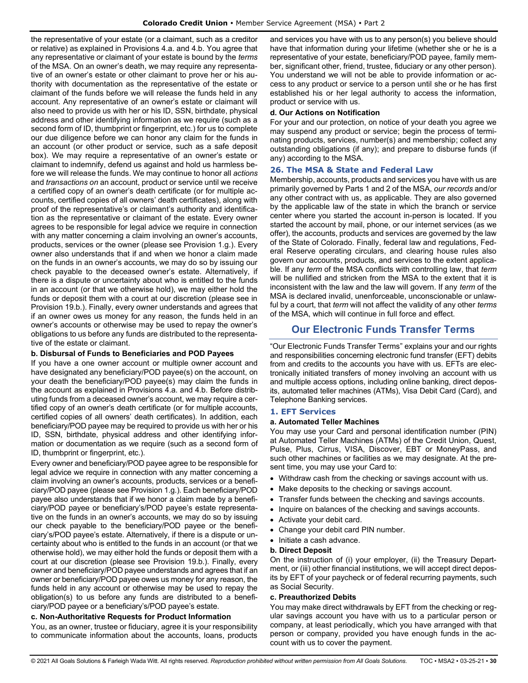the representative of your estate (or a claimant, such as a creditor or relative) as explained in Provisions 4.a. and 4.b. You agree that any representative or claimant of your estate is bound by the *terms* of the MSA. On an owner's death, we may require any representative of an owner's estate or other claimant to prove her or his authority with documentation as the representative of the estate or claimant of the funds before we will release the funds held in any account. Any representative of an owner's estate or claimant will also need to provide us with her or his ID, SSN, birthdate, physical address and other identifying information as we require (such as a second form of ID, thumbprint or fingerprint, etc.) for us to complete our due diligence before we can honor any claim for the funds in an account (or other product or service, such as a safe deposit box). We may require a representative of an owner's estate or claimant to indemnify, defend us against and hold us harmless before we will release the funds. We may continue to honor all *actions* and *transactions on* an account, product or service until we receive a certified copy of an owner's death certificate (or for multiple accounts, certified copies of all owners' death certificates), along with proof of the representative's or claimant's authority and identification as the representative or claimant of the estate. Every owner agrees to be responsible for legal advice we require in connection with any matter concerning a claim involving an owner's accounts, products, services or the owner (please see Provision 1.g.). Every owner also understands that if and when we honor a claim made on the funds in an owner's accounts, we may do so by issuing our check payable to the deceased owner's estate. Alternatively, if there is a dispute or uncertainty about who is entitled to the funds in an account (or that we otherwise hold), we may either hold the funds or deposit them with a court at our discretion (please see in Provision 19.b.). Finally, every owner understands and agrees that if an owner owes us money for any reason, the funds held in an owner's accounts or otherwise may be used to repay the owner's obligations to us before any funds are distributed to the representative of the estate or claimant.

# **b. Disbursal of Funds to Beneficiaries and POD Payees**

If you have a one owner account or multiple owner account and have designated any beneficiary/POD payee(s) on the account, on your death the beneficiary/POD payee(s) may claim the funds in the account as explained in Provisions 4.a. and 4.b. Before distributing funds from a deceased owner's account, we may require a certified copy of an owner's death certificate (or for multiple accounts, certified copies of all owners' death certificates). In addition, each beneficiary/POD payee may be required to provide us with her or his ID, SSN, birthdate, physical address and other identifying information or documentation as we require (such as a second form of ID, thumbprint or fingerprint, etc.).

Every owner and beneficiary/POD payee agree to be responsible for legal advice we require in connection with any matter concerning a claim involving an owner's accounts, products, services or a beneficiary/POD payee (please see Provision 1.g.). Each beneficiary/POD payee also understands that if we honor a claim made by a beneficiary/POD payee or beneficiary's/POD payee's estate representative on the funds in an owner's accounts, we may do so by issuing our check payable to the beneficiary/POD payee or the beneficiary's/POD payee's estate. Alternatively, if there is a dispute or uncertainty about who is entitled to the funds in an account (or that we otherwise hold), we may either hold the funds or deposit them with a court at our discretion (please see Provision 19.b.). Finally, every owner and beneficiary/POD payee understands and agrees that if an owner or beneficiary/POD payee owes us money for any reason, the funds held in any account or otherwise may be used to repay the obligation(s) to us before any funds are distributed to a beneficiary/POD payee or a beneficiary's/POD payee's estate.

# **c. Non-Authoritative Requests for Product Information**

You, as an owner, trustee or fiduciary, agree it is your responsibility to communicate information about the accounts, loans, products and services you have with us to any person(s) you believe should have that information during your lifetime (whether she or he is a representative of your estate, beneficiary/POD payee, family member, significant other, friend, trustee, fiduciary or any other person). You understand we will not be able to provide information or access to any product or service to a person until she or he has first established his or her legal authority to access the information, product or service with us.

# **d. Our Actions on Notification**

For your and our protection, on notice of your death you agree we may suspend any product or service; begin the process of terminating products, services, number(s) and membership; collect any outstanding obligations (if any); and prepare to disburse funds (if any) according to the MSA.

# <span id="page-29-0"></span>**26. The MSA & State and Federal Law**

Membership, accounts, products and services you have with us are primarily governed by Parts 1 and 2 of the MSA, *our records* and/or any other contract with us, as applicable. They are also governed by the applicable law of the state in which the branch or service center where you started the account in-person is located. If you started the account by mail, phone, or our internet services (as we offer), the accounts, products and services are governed by the law of the State of Colorado. Finally, federal law and regulations, Federal Reserve operating circulars, and clearing house rules also govern our accounts, products, and services to the extent applicable. If any *term* of the MSA conflicts with controlling law, that *term* will be nullified and stricken from the MSA to the extent that it is inconsistent with the law and the law will govern. If any *term* of the MSA is declared invalid, unenforceable, unconscionable or unlawful by a court, that *term* will not affect the validity of any other *terms* of the MSA, which will continue in full force and effect.

# **Our Electronic Funds Transfer Terms**

<span id="page-29-1"></span>"Our Electronic Funds Transfer Terms" explains your and our rights and responsibilities concerning electronic fund transfer (EFT) debits from and credits to the accounts you have with us. EFTs are electronically initiated transfers of money involving an account with us and multiple access options, including online banking, direct deposits, automated teller machines (ATMs), Visa Debit Card (Card), and Telephone Banking services.

# <span id="page-29-2"></span>**1. EFT Services**

# **a. Automated Teller Machines**

You may use your Card and personal identification number (PIN) at Automated Teller Machines (ATMs) of the Credit Union, Quest, Pulse, Plus, Cirrus, VISA, Discover, EBT or MoneyPass, and such other machines or facilities as we may designate. At the present time, you may use your Card to:

- Withdraw cash from the checking or savings account with us.
- Make deposits to the checking or savings account.
- Transfer funds between the checking and savings accounts.
- Inquire on balances of the checking and savings accounts.
- Activate your debit card.
- Change your debit card PIN number.
- Initiate a cash advance.

# **b. Direct Deposit**

On the instruction of (i) your employer, (ii) the Treasury Department, or (iii) other financial institutions, we will accept direct deposits by EFT of your paycheck or of federal recurring payments, such as Social Security.

#### **c. Preauthorized Debits**

You may make direct withdrawals by EFT from the checking or regular savings account you have with us to a particular person or company, at least periodically, which you have arranged with that person or company, provided you have enough funds in the account with us to cover the payment.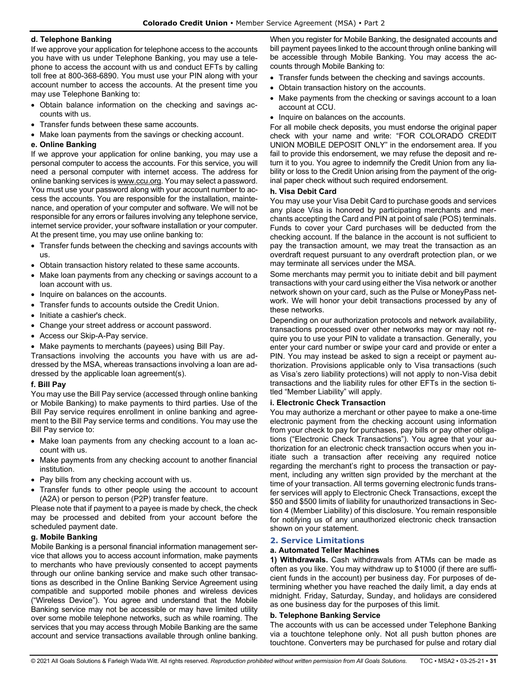# **d. Telephone Banking**

If we approve your application for telephone access to the accounts you have with us under Telephone Banking, you may use a telephone to access the account with us and conduct EFTs by calling toll free at 800-368-6890. You must use your PIN along with your account number to access the accounts. At the present time you may use Telephone Banking to:

- Obtain balance information on the checking and savings accounts with us.
- Transfer funds between these same accounts.
- Make loan payments from the savings or checking account.

# **e. Online Banking**

If we approve your application for online banking, you may use a personal computer to access the accounts. For this service, you will need a personal computer with internet access. The address for online banking services i[s www.ccu.org.](www.ccu.org) You may select a password. You must use your password along with your account number to access the accounts. You are responsible for the installation, maintenance, and operation of your computer and software. We will not be responsible for any errors or failures involving any telephone service, internet service provider, your software installation or your computer. At the present time, you may use online banking to:

- Transfer funds between the checking and savings accounts with us.
- Obtain transaction history related to these same accounts.
- Make loan payments from any checking or savings account to a loan account with us.
- Inquire on balances on the accounts.
- Transfer funds to accounts outside the Credit Union.
- Initiate a cashier's check.
- Change your street address or account password.
- Access our Skip-A-Pay service.
- Make payments to merchants (payees) using Bill Pay.

Transactions involving the accounts you have with us are addressed by the MSA, whereas transactions involving a loan are addressed by the applicable loan agreement(s).

#### **f. Bill Pay**

You may use the Bill Pay service (accessed through online banking or Mobile Banking) to make payments to third parties. Use of the Bill Pay service requires enrollment in online banking and agreement to the Bill Pay service terms and conditions. You may use the Bill Pay service to:

- Make loan payments from any checking account to a loan account with us.
- Make payments from any checking account to another financial institution.
- Pay bills from any checking account with us.
- Transfer funds to other people using the account to account (A2A) or person to person (P2P) transfer feature.

Please note that if payment to a payee is made by check, the check may be processed and debited from your account before the scheduled payment date.

# **g. Mobile Banking**

Mobile Banking is a personal financial information management service that allows you to access account information, make payments to merchants who have previously consented to accept payments through our online banking service and make such other transactions as described in the Online Banking Service Agreement using compatible and supported mobile phones and wireless devices ("Wireless Device"). You agree and understand that the Mobile Banking service may not be accessible or may have limited utility over some mobile telephone networks, such as while roaming. The services that you may access through Mobile Banking are the same account and service transactions available through online banking.

When you register for Mobile Banking, the designated accounts and bill payment payees linked to the account through online banking will be accessible through Mobile Banking. You may access the accounts through Mobile Banking to:

- Transfer funds between the checking and savings accounts.
- Obtain transaction history on the accounts.
- Make payments from the checking or savings account to a loan account at CCU.
- Inquire on balances on the accounts.

For all mobile check deposits, you must endorse the original paper check with your name and write: "FOR COLORADO CREDIT UNION MOBILE DEPOSIT ONLY" in the endorsement area. If you fail to provide this endorsement, we may refuse the deposit and return it to you. You agree to indemnify the Credit Union from any liability or loss to the Credit Union arising from the payment of the original paper check without such required endorsement.

#### **h. Visa Debit Card**

You may use your Visa Debit Card to purchase goods and services any place Visa is honored by participating merchants and merchants accepting the Card and PIN at point of sale (POS) terminals. Funds to cover your Card purchases will be deducted from the checking account. If the balance in the account is not sufficient to pay the transaction amount, we may treat the transaction as an overdraft request pursuant to any overdraft protection plan, or we may terminate all services under the MSA.

Some merchants may permit you to initiate debit and bill payment transactions with your card using either the Visa network or another network shown on your card, such as the Pulse or MoneyPass network. We will honor your debit transactions processed by any of these networks.

Depending on our authorization protocols and network availability, transactions processed over other networks may or may not require you to use your PIN to validate a transaction. Generally, you enter your card number or swipe your card and provide or enter a PIN. You may instead be asked to sign a receipt or payment authorization. Provisions applicable only to Visa transactions (such as Visa's zero liability protections) will not apply to non-Visa debit transactions and the liability rules for other EFTs in the section titled "Member Liability" will apply.

## **i. Electronic Check Transaction**

You may authorize a merchant or other payee to make a one-time electronic payment from the checking account using information from your check to pay for purchases, pay bills or pay other obligations ("Electronic Check Transactions"). You agree that your authorization for an electronic check transaction occurs when you initiate such a transaction after receiving any required notice regarding the merchant's right to process the transaction or payment, including any written sign provided by the merchant at the time of your transaction. All terms governing electronic funds transfer services will apply to Electronic Check Transactions, except the \$50 and \$500 limits of liability for unauthorized transactions in Section 4 (Member Liability) of this disclosure. You remain responsible for notifying us of any unauthorized electronic check transaction shown on your statement.

#### <span id="page-30-0"></span>**2. Service Limitations**

#### **a. Automated Teller Machines**

**1) Withdrawals.** Cash withdrawals from ATMs can be made as often as you like. You may withdraw up to \$1000 (if there are sufficient funds in the account) per business day. For purposes of determining whether you have reached the daily limit, a day ends at midnight. Friday, Saturday, Sunday, and holidays are considered as one business day for the purposes of this limit.

#### **b. Telephone Banking Service**

The accounts with us can be accessed under Telephone Banking via a touchtone telephone only. Not all push button phones are touchtone. Converters may be purchased for pulse and rotary dial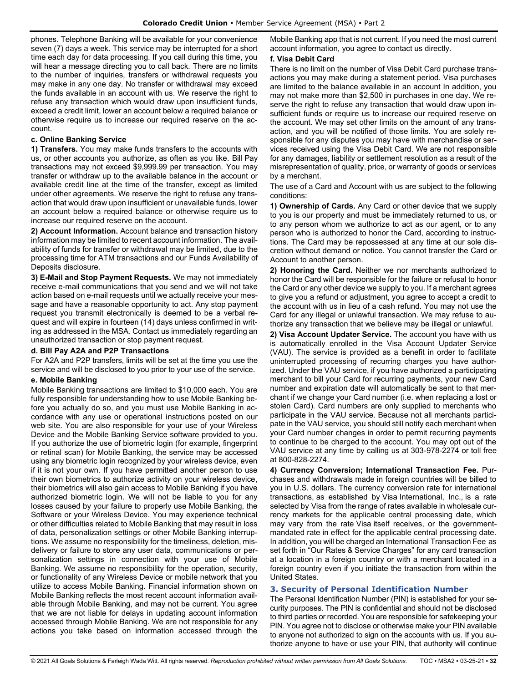phones. Telephone Banking will be available for your convenience seven (7) days a week. This service may be interrupted for a short time each day for data processing. If you call during this time, you will hear a message directing you to call back. There are no limits to the number of inquiries, transfers or withdrawal requests you may make in any one day. No transfer or withdrawal may exceed the funds available in an account with us. We reserve the right to refuse any transaction which would draw upon insufficient funds, exceed a credit limit, lower an account below a required balance or otherwise require us to increase our required reserve on the account.

# **c. Online Banking Service**

**1) Transfers.** You may make funds transfers to the accounts with us, or other accounts you authorize, as often as you like. Bill Pay transactions may not exceed \$9,999.99 per transaction. You may transfer or withdraw up to the available balance in the account or available credit line at the time of the transfer, except as limited under other agreements. We reserve the right to refuse any transaction that would draw upon insufficient or unavailable funds, lower an account below a required balance or otherwise require us to increase our required reserve on the account.

**2) Account Information.** Account balance and transaction history information may be limited to recent account information. The availability of funds for transfer or withdrawal may be limited, due to the processing time for ATM transactions and our Funds Availability of Deposits disclosure.

**3) E-Mail and Stop Payment Requests.** We may not immediately receive e-mail communications that you send and we will not take action based on e-mail requests until we actually receive your message and have a reasonable opportunity to act. Any stop payment request you transmit electronically is deemed to be a verbal request and will expire in fourteen (14) days unless confirmed in writing as addressed in the MSA. Contact us immediately regarding an unauthorized transaction or stop payment request.

# **d. Bill Pay A2A and P2P Transactions**

For A2A and P2P transfers, limits will be set at the time you use the service and will be disclosed to you prior to your use of the service.

# **e. Mobile Banking**

Mobile Banking transactions are limited to \$10,000 each. You are fully responsible for understanding how to use Mobile Banking before you actually do so, and you must use Mobile Banking in accordance with any use or operational instructions posted on our web site. You are also responsible for your use of your Wireless Device and the Mobile Banking Service software provided to you. If you authorize the use of biometric login (for example, fingerprint or retinal scan) for Mobile Banking, the service may be accessed using any biometric login recognized by your wireless device, even if it is not your own. If you have permitted another person to use their own biometrics to authorize activity on your wireless device, their biometrics will also gain access to Mobile Banking if you have authorized biometric login. We will not be liable to you for any losses caused by your failure to properly use Mobile Banking, the Software or your Wireless Device. You may experience technical or other difficulties related to Mobile Banking that may result in loss of data, personalization settings or other Mobile Banking interruptions. We assume no responsibility for the timeliness, deletion, misdelivery or failure to store any user data, communications or personalization settings in connection with your use of Mobile Banking. We assume no responsibility for the operation, security, or functionality of any Wireless Device or mobile network that you utilize to access Mobile Banking. Financial information shown on Mobile Banking reflects the most recent account information available through Mobile Banking, and may not be current. You agree that we are not liable for delays in updating account information accessed through Mobile Banking. We are not responsible for any actions you take based on information accessed through the

Mobile Banking app that is not current. If you need the most current account information, you agree to contact us directly.

# **f. Visa Debit Card**

There is no limit on the number of Visa Debit Card purchase transactions you may make during a statement period. Visa purchases are limited to the balance available in an account In addition, you may not make more than \$2,500 in purchases in one day. We reserve the right to refuse any transaction that would draw upon insufficient funds or require us to increase our required reserve on the account. We may set other limits on the amount of any transaction, and you will be notified of those limits. You are solely responsible for any disputes you may have with merchandise or services received using the Visa Debit Card. We are not responsible for any damages, liability or settlement resolution as a result of the misrepresentation of quality, price, or warranty of goods or services by a merchant.

The use of a Card and Account with us are subject to the following conditions:

**1) Ownership of Cards.** Any Card or other device that we supply to you is our property and must be immediately returned to us, or to any person whom we authorize to act as our agent, or to any person who is authorized to honor the Card, according to instructions. The Card may be repossessed at any time at our sole discretion without demand or notice. You cannot transfer the Card or Account to another person.

**2) Honoring the Card.** Neither we nor merchants authorized to honor the Card will be responsible for the failure or refusal to honor the Card or any other device we supply to you. If a merchant agrees to give you a refund or adjustment, you agree to accept a credit to the account with us in lieu of a cash refund. You may not use the Card for any illegal or unlawful transaction. We may refuse to authorize any transaction that we believe may be illegal or unlawful.

**2) Visa Account Updater Service.** The account you have with us is automatically enrolled in the Visa Account Updater Service (VAU). The service is provided as a benefit in order to facilitate uninterrupted processing of recurring charges you have authorized. Under the VAU service, if you have authorized a participating merchant to bill your Card for recurring payments, your new Card number and expiration date will automatically be sent to that merchant if we change your Card number (i.e. when replacing a lost or stolen Card). Card numbers are only supplied to merchants who participate in the VAU service. Because not all merchants participate in the VAU service, you should still notify each merchant when your Card number changes in order to permit recurring payments to continue to be charged to the account. You may opt out of the VAU service at any time by calling us at 303-978-2274 or toll free at 800-828-2274.

**4) Currency Conversion; International Transaction Fee.** Purchases and withdrawals made in foreign countries will be billed to you in U.S. dollars. The currency conversion rate for international transactions, as established by Visa International, Inc., is a rate selected by Visa from the range of rates available in wholesale currency markets for the applicable central processing date, which may vary from the rate Visa itself receives, or the governmentmandated rate in effect for the applicable central processing date. In addition, you will be charged an International Transaction Fee as set forth in "Our Rates & Service Charges" for any card transaction at a location in a foreign country or with a merchant located in a foreign country even if you initiate the transaction from within the United States.

# <span id="page-31-0"></span>**3. Security of Personal Identification Number**

The Personal Identification Number (PIN) is established for your security purposes. The PIN is confidential and should not be disclosed to third parties or recorded. You are responsible for safekeeping your PIN. You agree not to disclose or otherwise make your PIN available to anyone not authorized to sign on the accounts with us. If you authorize anyone to have or use your PIN, that authority will continue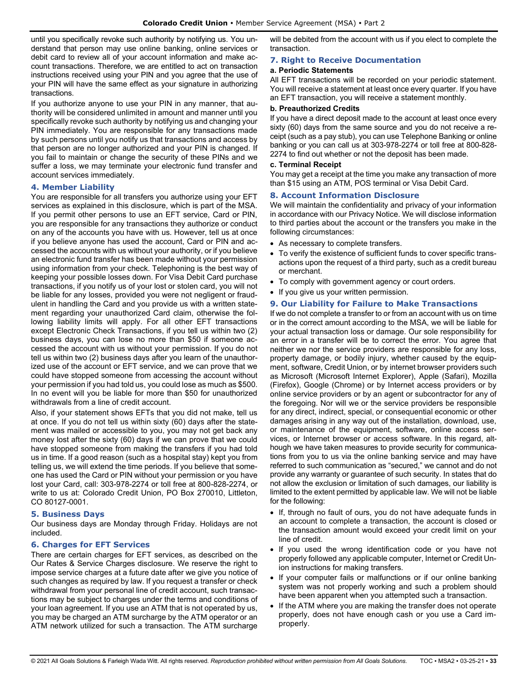until you specifically revoke such authority by notifying us. You understand that person may use online banking, online services or debit card to review all of your account information and make account transactions. Therefore, we are entitled to act on transaction instructions received using your PIN and you agree that the use of your PIN will have the same effect as your signature in authorizing transactions.

If you authorize anyone to use your PIN in any manner, that authority will be considered unlimited in amount and manner until you specifically revoke such authority by notifying us and changing your PIN immediately. You are responsible for any transactions made by such persons until you notify us that transactions and access by that person are no longer authorized and your PIN is changed. If you fail to maintain or change the security of these PINs and we suffer a loss, we may terminate your electronic fund transfer and account services immediately.

# <span id="page-32-0"></span>**4. Member Liability**

You are responsible for all transfers you authorize using your EFT services as explained in this disclosure, which is part of the MSA. If you permit other persons to use an EFT service, Card or PIN, you are responsible for any transactions they authorize or conduct on any of the accounts you have with us. However, tell us at once if you believe anyone has used the account, Card or PIN and accessed the accounts with us without your authority, or if you believe an electronic fund transfer has been made without your permission using information from your check. Telephoning is the best way of keeping your possible losses down. For Visa Debit Card purchase transactions, if you notify us of your lost or stolen card, you will not be liable for any losses, provided you were not negligent or fraudulent in handling the Card and you provide us with a written statement regarding your unauthorized Card claim, otherwise the following liability limits will apply. For all other EFT transactions except Electronic Check Transactions, if you tell us within two (2) business days, you can lose no more than \$50 if someone accessed the account with us without your permission. If you do not tell us within two (2) business days after you learn of the unauthorized use of the account or EFT service, and we can prove that we could have stopped someone from accessing the account without your permission if you had told us, you could lose as much as \$500. In no event will you be liable for more than \$50 for unauthorized withdrawals from a line of credit account.

Also, if your statement shows EFTs that you did not make, tell us at once. If you do not tell us within sixty (60) days after the statement was mailed or accessible to you, you may not get back any money lost after the sixty (60) days if we can prove that we could have stopped someone from making the transfers if you had told us in time. If a good reason (such as a hospital stay) kept you from telling us, we will extend the time periods. If you believe that someone has used the Card or PIN without your permission or you have lost your Card, call: 303-978-2274 or toll free at 800-828-2274, or write to us at: Colorado Credit Union, PO Box 270010, Littleton, CO 80127-0001.

# <span id="page-32-1"></span>**5. Business Days**

Our business days are Monday through Friday. Holidays are not included.

# <span id="page-32-2"></span>**6. Charges for EFT Services**

There are certain charges for EFT services, as described on the Our Rates & Service Charges disclosure. We reserve the right to impose service charges at a future date after we give you notice of such changes as required by law. If you request a transfer or check withdrawal from your personal line of credit account, such transactions may be subject to charges under the terms and conditions of your loan agreement. If you use an ATM that is not operated by us, you may be charged an ATM surcharge by the ATM operator or an ATM network utilized for such a transaction. The ATM surcharge

will be debited from the account with us if you elect to complete the transaction.

# <span id="page-32-3"></span>**7. Right to Receive Documentation**

# **a. Periodic Statements**

All EFT transactions will be recorded on your periodic statement. You will receive a statement at least once every quarter. If you have an EFT transaction, you will receive a statement monthly.

# **b. Preauthorized Credits**

If you have a direct deposit made to the account at least once every sixty (60) days from the same source and you do not receive a receipt (such as a pay stub), you can use Telephone Banking or online banking or you can call us at 303-978-2274 or toll free at 800-828- 2274 to find out whether or not the deposit has been made.

#### **c. Terminal Receipt**

You may get a receipt at the time you make any transaction of more than \$15 using an ATM, POS terminal or Visa Debit Card.

# <span id="page-32-4"></span>**8. Account Information Disclosure**

We will maintain the confidentiality and privacy of your information in accordance with our Privacy Notice. We will disclose information to third parties about the account or the transfers you make in the following circumstances:

- As necessary to complete transfers.
- To verify the existence of sufficient funds to cover specific transactions upon the request of a third party, such as a credit bureau or merchant.
- To comply with government agency or court orders.
- If you give us your written permission.

# <span id="page-32-5"></span>**9. Our Liability for Failure to Make Transactions**

If we do not complete a transfer to or from an account with us on time or in the correct amount according to the MSA, we will be liable for your actual transaction loss or damage. Our sole responsibility for an error in a transfer will be to correct the error. You agree that neither we nor the service providers are responsible for any loss, property damage, or bodily injury, whether caused by the equipment, software, Credit Union, or by internet browser providers such as Microsoft (Microsoft Internet Explorer), Apple (Safari), Mozilla (Firefox), Google (Chrome) or by Internet access providers or by online service providers or by an agent or subcontractor for any of the foregoing. Nor will we or the service providers be responsible for any direct, indirect, special, or consequential economic or other damages arising in any way out of the installation, download, use, or maintenance of the equipment, software, online access services, or Internet browser or access software. In this regard, although we have taken measures to provide security for communications from you to us via the online banking service and may have referred to such communication as "secured," we cannot and do not provide any warranty or guarantee of such security. In states that do not allow the exclusion or limitation of such damages, our liability is limited to the extent permitted by applicable law. We will not be liable for the following:

- If, through no fault of ours, you do not have adequate funds in an account to complete a transaction, the account is closed or the transaction amount would exceed your credit limit on your line of credit.
- If you used the wrong identification code or you have not properly followed any applicable computer, Internet or Credit Union instructions for making transfers.
- If your computer fails or malfunctions or if our online banking system was not properly working and such a problem should have been apparent when you attempted such a transaction.
- If the ATM where you are making the transfer does not operate properly, does not have enough cash or you use a Card improperly.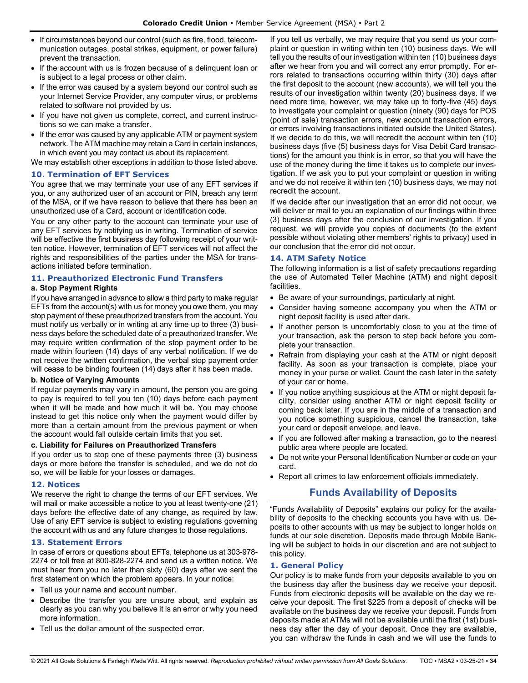- If circumstances beyond our control (such as fire, flood, telecommunication outages, postal strikes, equipment, or power failure) prevent the transaction.
- If the account with us is frozen because of a delinquent loan or is subject to a legal process or other claim.
- If the error was caused by a system beyond our control such as your Internet Service Provider, any computer virus, or problems related to software not provided by us.
- If you have not given us complete, correct, and current instructions so we can make a transfer.
- If the error was caused by any applicable ATM or payment system network. The ATM machine may retain a Card in certain instances, in which event you may contact us about its replacement.

We may establish other exceptions in addition to those listed above.

### <span id="page-33-0"></span>**10. Termination of EFT Services**

You agree that we may terminate your use of any EFT services if you, or any authorized user of an account or PIN, breach any term of the MSA, or if we have reason to believe that there has been an unauthorized use of a Card, account or identification code.

You or any other party to the account can terminate your use of any EFT services by notifying us in writing. Termination of service will be effective the first business day following receipt of your written notice. However, termination of EFT services will not affect the rights and responsibilities of the parties under the MSA for transactions initiated before termination.

### <span id="page-33-1"></span>**11. Preauthorized Electronic Fund Transfers**

### **a. Stop Payment Rights**

If you have arranged in advance to allow a third party to make regular EFTs from the account(s) with us for money you owe them, you may stop payment of these preauthorized transfers from the account. You must notify us verbally or in writing at any time up to three (3) business days before the scheduled date of a preauthorized transfer. We may require written confirmation of the stop payment order to be made within fourteen (14) days of any verbal notification. If we do not receive the written confirmation, the verbal stop payment order will cease to be binding fourteen (14) days after it has been made.

#### **b. Notice of Varying Amounts**

If regular payments may vary in amount, the person you are going to pay is required to tell you ten (10) days before each payment when it will be made and how much it will be. You may choose instead to get this notice only when the payment would differ by more than a certain amount from the previous payment or when the account would fall outside certain limits that you set.

#### **c. Liability for Failures on Preauthorized Transfers**

If you order us to stop one of these payments three (3) business days or more before the transfer is scheduled, and we do not do so, we will be liable for your losses or damages.

# <span id="page-33-2"></span>**12. Notices**

We reserve the right to change the terms of our EFT services. We will mail or make accessible a notice to you at least twenty-one (21) days before the effective date of any change, as required by law. Use of any EFT service is subject to existing regulations governing the account with us and any future changes to those regulations.

#### <span id="page-33-3"></span>**13. Statement Errors**

In case of errors or questions about EFTs, telephone us at 303-978- 2274 or toll free at 800-828-2274 and send us a written notice. We must hear from you no later than sixty (60) days after we sent the first statement on which the problem appears. In your notice:

- Tell us your name and account number.
- Describe the transfer you are unsure about, and explain as clearly as you can why you believe it is an error or why you need more information.
- Tell us the dollar amount of the suspected error.

If you tell us verbally, we may require that you send us your complaint or question in writing within ten (10) business days. We will tell you the results of our investigation within ten (10) business days after we hear from you and will correct any error promptly. For errors related to transactions occurring within thirty (30) days after the first deposit to the account (new accounts), we will tell you the results of our investigation within twenty (20) business days. If we need more time, however, we may take up to forty-five (45) days to investigate your complaint or question (ninety (90) days for POS (point of sale) transaction errors, new account transaction errors, or errors involving transactions initiated outside the United States). If we decide to do this, we will recredit the account within ten (10) business days (five (5) business days for Visa Debit Card transactions) for the amount you think is in error, so that you will have the use of the money during the time it takes us to complete our investigation. If we ask you to put your complaint or question in writing and we do not receive it within ten (10) business days, we may not recredit the account.

If we decide after our investigation that an error did not occur, we will deliver or mail to you an explanation of our findings within three (3) business days after the conclusion of our investigation. If you request, we will provide you copies of documents (to the extent possible without violating other members' rights to privacy) used in our conclusion that the error did not occur.

### <span id="page-33-4"></span>**14. ATM Safety Notice**

The following information is a list of safety precautions regarding the use of Automated Teller Machine (ATM) and night deposit facilities.

- Be aware of your surroundings, particularly at night.
- Consider having someone accompany you when the ATM or night deposit facility is used after dark.
- If another person is uncomfortably close to you at the time of your transaction, ask the person to step back before you complete your transaction.
- Refrain from displaying your cash at the ATM or night deposit facility. As soon as your transaction is complete, place your money in your purse or wallet. Count the cash later in the safety of your car or home.
- If you notice anything suspicious at the ATM or night deposit facility, consider using another ATM or night deposit facility or coming back later. If you are in the middle of a transaction and you notice something suspicious, cancel the transaction, take your card or deposit envelope, and leave.
- If you are followed after making a transaction, go to the nearest public area where people are located.
- Do not write your Personal Identification Number or code on your card.
- <span id="page-33-5"></span>• Report all crimes to law enforcement officials immediately.

# **Funds Availability of Deposits**

"Funds Availability of Deposits" explains our policy for the availability of deposits to the checking accounts you have with us. Deposits to other accounts with us may be subject to longer holds on funds at our sole discretion. Deposits made through Mobile Banking will be subject to holds in our discretion and are not subject to this policy.

#### <span id="page-33-6"></span>**1. General Policy**

Our policy is to make funds from your deposits available to you on the business day after the business day we receive your deposit. Funds from electronic deposits will be available on the day we receive your deposit. The first \$225 from a deposit of checks will be available on the business day we receive your deposit. Funds from deposits made at ATMs will not be available until the first (1st) business day after the day of your deposit. Once they are available, you can withdraw the funds in cash and we will use the funds to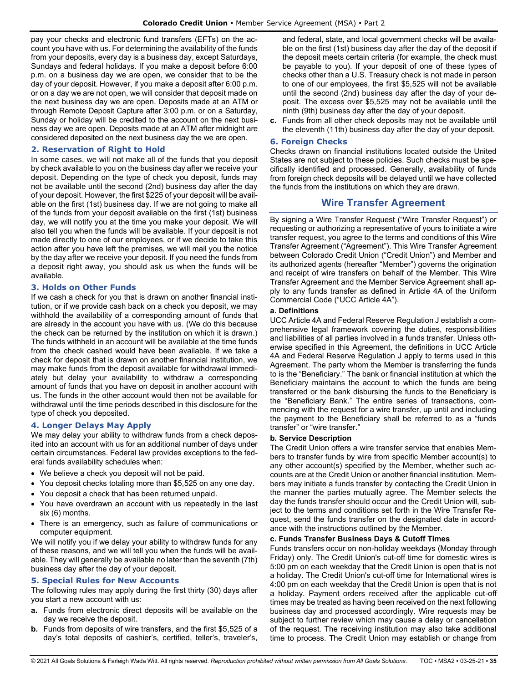pay your checks and electronic fund transfers (EFTs) on the account you have with us. For determining the availability of the funds from your deposits, every day is a business day, except Saturdays, Sundays and federal holidays. If you make a deposit before 6:00 p.m. on a business day we are open, we consider that to be the day of your deposit. However, if you make a deposit after 6:00 p.m. or on a day we are not open, we will consider that deposit made on the next business day we are open. Deposits made at an ATM or through Remote Deposit Capture after 3:00 p.m. or on a Saturday, Sunday or holiday will be credited to the account on the next business day we are open. Deposits made at an ATM after midnight are considered deposited on the next business day the we are open.

# <span id="page-34-0"></span>**2. Reservation of Right to Hold**

In some cases, we will not make all of the funds that you deposit by check available to you on the business day after we receive your deposit. Depending on the type of check you deposit, funds may not be available until the second (2nd) business day after the day of your deposit. However, the first \$225 of your deposit will be available on the first (1st) business day. If we are not going to make all of the funds from your deposit available on the first (1st) business day, we will notify you at the time you make your deposit. We will also tell you when the funds will be available. If your deposit is not made directly to one of our employees, or if we decide to take this action after you have left the premises, we will mail you the notice by the day after we receive your deposit. If you need the funds from a deposit right away, you should ask us when the funds will be available.

### <span id="page-34-1"></span>**3. Holds on Other Funds**

If we cash a check for you that is drawn on another financial institution, or if we provide cash back on a check you deposit, we may withhold the availability of a corresponding amount of funds that are already in the account you have with us. (We do this because the check can be returned by the institution on which it is drawn.) The funds withheld in an account will be available at the time funds from the check cashed would have been available. If we take a check for deposit that is drawn on another financial institution, we may make funds from the deposit available for withdrawal immediately but delay your availability to withdraw a corresponding amount of funds that you have on deposit in another account with us. The funds in the other account would then not be available for withdrawal until the time periods described in this disclosure for the type of check you deposited.

#### <span id="page-34-2"></span>**4. Longer Delays May Apply**

We may delay your ability to withdraw funds from a check deposited into an account with us for an additional number of days under certain circumstances. Federal law provides exceptions to the federal funds availability schedules when:

- We believe a check you deposit will not be paid.
- You deposit checks totaling more than \$5,525 on any one day.
- You deposit a check that has been returned unpaid.
- You have overdrawn an account with us repeatedly in the last six (6) months.
- There is an emergency, such as failure of communications or computer equipment.

We will notify you if we delay your ability to withdraw funds for any of these reasons, and we will tell you when the funds will be available. They will generally be available no later than the seventh (7th) business day after the day of your deposit.

#### <span id="page-34-3"></span>**5. Special Rules for New Accounts**

The following rules may apply during the first thirty (30) days after you start a new account with us:

- **a.** Funds from electronic direct deposits will be available on the day we receive the deposit.
- **b.** Funds from deposits of wire transfers, and the first \$5,525 of a day's total deposits of cashier's, certified, teller's, traveler's,

and federal, state, and local government checks will be available on the first (1st) business day after the day of the deposit if the deposit meets certain criteria (for example, the check must be payable to you). If your deposit of one of these types of checks other than a U.S. Treasury check is not made in person to one of our employees, the first \$5,525 will not be available until the second (2nd) business day after the day of your deposit. The excess over \$5,525 may not be available until the ninth (9th) business day after the day of your deposit.

**c.** Funds from all other check deposits may not be available until the eleventh (11th) business day after the day of your deposit.

#### <span id="page-34-4"></span>**6. Foreign Checks**

Checks drawn on financial institutions located outside the United States are not subject to these policies. Such checks must be specifically identified and processed. Generally, availability of funds from foreign check deposits will be delayed until we have collected the funds from the institutions on which they are drawn.

# **Wire Transfer Agreement**

<span id="page-34-5"></span>By signing a Wire Transfer Request ("Wire Transfer Request") or requesting or authorizing a representative of yours to initiate a wire transfer request, you agree to the terms and conditions of this Wire Transfer Agreement ("Agreement"). This Wire Transfer Agreement between Colorado Credit Union ("Credit Union") and Member and its authorized agents (hereafter "Member") governs the origination and receipt of wire transfers on behalf of the Member. This Wire Transfer Agreement and the Member Service Agreement shall apply to any funds transfer as defined in Article 4A of the Uniform Commercial Code ("UCC Article 4A").

#### **a. Definitions**

UCC Article 4A and Federal Reserve Regulation J establish a comprehensive legal framework covering the duties, responsibilities and liabilities of all parties involved in a funds transfer. Unless otherwise specified in this Agreement, the definitions in UCC Article 4A and Federal Reserve Regulation J apply to terms used in this Agreement. The party whom the Member is transferring the funds to is the "Beneficiary." The bank or financial institution at which the Beneficiary maintains the account to which the funds are being transferred or the bank disbursing the funds to the Beneficiary is the "Beneficiary Bank." The entire series of transactions, commencing with the request for a wire transfer, up until and including the payment to the Beneficiary shall be referred to as a "funds transfer" or "wire transfer."

#### **b. Service Description**

The Credit Union offers a wire transfer service that enables Members to transfer funds by wire from specific Member account(s) to any other account(s) specified by the Member, whether such accounts are at the Credit Union or another financial institution. Members may initiate a funds transfer by contacting the Credit Union in the manner the parties mutually agree. The Member selects the day the funds transfer should occur and the Credit Union will, subject to the terms and conditions set forth in the Wire Transfer Request, send the funds transfer on the designated date in accordance with the instructions outlined by the Member.

#### **c. Funds Transfer Business Days & Cutoff Times**

Funds transfers occur on non-holiday weekdays (Monday through Friday) only. The Credit Union's cut-off time for domestic wires is 5:00 pm on each weekday that the Credit Union is open that is not a holiday. The Credit Union's cut-off time for International wires is 4:00 pm on each weekday that the Credit Union is open that is not a holiday. Payment orders received after the applicable cut-off times may be treated as having been received on the next following business day and processed accordingly. Wire requests may be subject to further review which may cause a delay or cancellation of the request. The receiving institution may also take additional time to process. The Credit Union may establish or change from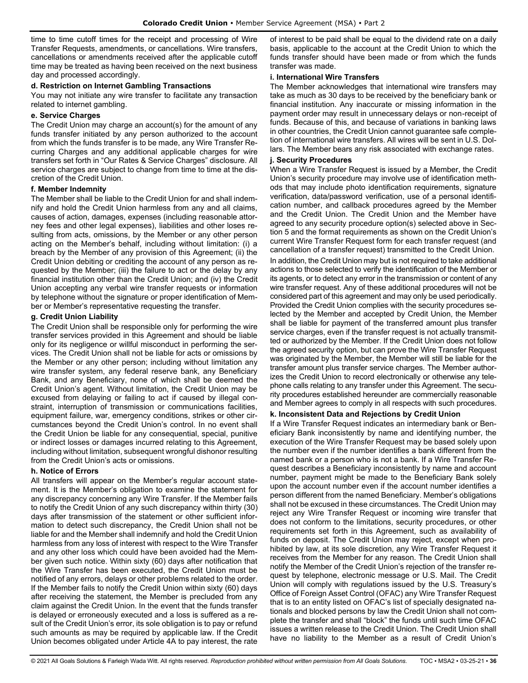time to time cutoff times for the receipt and processing of Wire Transfer Requests, amendments, or cancellations. Wire transfers, cancellations or amendments received after the applicable cutoff time may be treated as having been received on the next business day and processed accordingly.

### **d. Restriction on Internet Gambling Transactions**

You may not initiate any wire transfer to facilitate any transaction related to internet gambling.

### **e. Service Charges**

The Credit Union may charge an account(s) for the amount of any funds transfer initiated by any person authorized to the account from which the funds transfer is to be made, any Wire Transfer Recurring Charges and any additional applicable charges for wire transfers set forth in "Our Rates & Service Charges" disclosure. All service charges are subject to change from time to time at the discretion of the Credit Union.

### **f. Member Indemnity**

The Member shall be liable to the Credit Union for and shall indemnify and hold the Credit Union harmless from any and all claims, causes of action, damages, expenses (including reasonable attorney fees and other legal expenses), liabilities and other loses resulting from acts, omissions, by the Member or any other person acting on the Member's behalf, including without limitation: (i) a breach by the Member of any provision of this Agreement; (ii) the Credit Union debiting or crediting the account of any person as requested by the Member; (iii) the failure to act or the delay by any financial institution other than the Credit Union; and (iv) the Credit Union accepting any verbal wire transfer requests or information by telephone without the signature or proper identification of Member or Member's representative requesting the transfer.

# **g. Credit Union Liability**

The Credit Union shall be responsible only for performing the wire transfer services provided in this Agreement and should be liable only for its negligence or willful misconduct in performing the services. The Credit Union shall not be liable for acts or omissions by the Member or any other person; including without limitation any wire transfer system, any federal reserve bank, any Beneficiary Bank, and any Beneficiary, none of which shall be deemed the Credit Union's agent. Without limitation, the Credit Union may be excused from delaying or failing to act if caused by illegal constraint, interruption of transmission or communications facilities, equipment failure, war, emergency conditions, strikes or other circumstances beyond the Credit Union's control. In no event shall the Credit Union be liable for any consequential, special, punitive or indirect losses or damages incurred relating to this Agreement, including without limitation, subsequent wrongful dishonor resulting from the Credit Union's acts or omissions.

# **h. Notice of Errors**

All transfers will appear on the Member's regular account statement. It is the Member's obligation to examine the statement for any discrepancy concerning any Wire Transfer. If the Member fails to notify the Credit Union of any such discrepancy within thirty (30) days after transmission of the statement or other sufficient information to detect such discrepancy, the Credit Union shall not be liable for and the Member shall indemnify and hold the Credit Union harmless from any loss of interest with respect to the Wire Transfer and any other loss which could have been avoided had the Member given such notice. Within sixty (60) days after notification that the Wire Transfer has been executed, the Credit Union must be notified of any errors, delays or other problems related to the order. If the Member fails to notify the Credit Union within sixty (60) days after receiving the statement, the Member is precluded from any claim against the Credit Union. In the event that the funds transfer is delayed or erroneously executed and a loss is suffered as a result of the Credit Union's error, its sole obligation is to pay or refund such amounts as may be required by applicable law. If the Credit Union becomes obligated under Article 4A to pay interest, the rate of interest to be paid shall be equal to the dividend rate on a daily basis, applicable to the account at the Credit Union to which the funds transfer should have been made or from which the funds transfer was made.

### **i. International Wire Transfers**

The Member acknowledges that international wire transfers may take as much as 30 days to be received by the beneficiary bank or financial institution. Any inaccurate or missing information in the payment order may result in unnecessary delays or non-receipt of funds. Because of this, and because of variations in banking laws in other countries, the Credit Union cannot guarantee safe completion of international wire transfers. All wires will be sent in U.S. Dollars. The Member bears any risk associated with exchange rates.

# **j. Security Procedures**

When a Wire Transfer Request is issued by a Member, the Credit Union's security procedure may involve use of identification methods that may include photo identification requirements, signature verification, data/password verification, use of a personal identification number, and callback procedures agreed by the Member and the Credit Union. The Credit Union and the Member have agreed to any security procedure option(s) selected above in Section 5 and the format requirements as shown on the Credit Union's current Wire Transfer Request form for each transfer request (and cancellation of a transfer request) transmitted to the Credit Union. In addition, the Credit Union may but is not required to take additional actions to those selected to verify the identification of the Member or its agents, or to detect any error in the transmission or content of any wire transfer request. Any of these additional procedures will not be considered part of this agreement and may only be used periodically. Provided the Credit Union complies with the security procedures selected by the Member and accepted by Credit Union, the Member shall be liable for payment of the transferred amount plus transfer service charges, even if the transfer request is not actually transmitted or authorized by the Member. If the Credit Union does not follow the agreed security option, but can prove the Wire Transfer Request was originated by the Member, the Member will still be liable for the transfer amount plus transfer service charges. The Member authorizes the Credit Union to record electronically or otherwise any telephone calls relating to any transfer under this Agreement. The security procedures established hereunder are commercially reasonable and Member agrees to comply in all respects with such procedures.

#### **k. Inconsistent Data and Rejections by Credit Union**

If a Wire Transfer Request indicates an intermediary bank or Beneficiary Bank inconsistently by name and identifying number, the execution of the Wire Transfer Request may be based solely upon the number even if the number identifies a bank different from the named bank or a person who is not a bank. If a Wire Transfer Request describes a Beneficiary inconsistently by name and account number, payment might be made to the Beneficiary Bank solely upon the account number even if the account number identifies a person different from the named Beneficiary. Member's obligations shall not be excused in these circumstances. The Credit Union may reject any Wire Transfer Request or incoming wire transfer that does not conform to the limitations, security procedures, or other requirements set forth in this Agreement, such as availability of funds on deposit. The Credit Union may reject, except when prohibited by law, at its sole discretion, any Wire Transfer Request it receives from the Member for any reason. The Credit Union shall notify the Member of the Credit Union's rejection of the transfer request by telephone, electronic message or U.S. Mail. The Credit Union will comply with regulations issued by the U.S. Treasury's Office of Foreign Asset Control (OFAC) any Wire Transfer Request that is to an entity listed on OFAC's list of specially designated nationals and blocked persons by law the Credit Union shall not complete the transfer and shall "block" the funds until such time OFAC issues a written release to the Credit Union. The Credit Union shall have no liability to the Member as a result of Credit Union's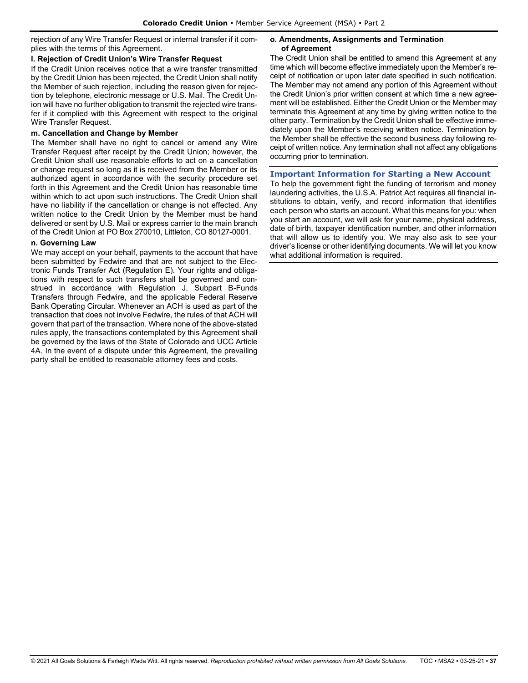rejection of any Wire Transfer Request or internal transfer if it complies with the terms of this Agreement.

### **l. Rejection of Credit Union's Wire Transfer Request**

If the Credit Union receives notice that a wire transfer transmitted by the Credit Union has been rejected, the Credit Union shall notify the Member of such rejection, including the reason given for rejection by telephone, electronic message or U.S. Mail. The Credit Union will have no further obligation to transmit the rejected wire transfer if it complied with this Agreement with respect to the original Wire Transfer Request.

# **m. Cancellation and Change by Member**

The Member shall have no right to cancel or amend any Wire Transfer Request after receipt by the Credit Union; however, the Credit Union shall use reasonable efforts to act on a cancellation or change request so long as it is received from the Member or its authorized agent in accordance with the security procedure set forth in this Agreement and the Credit Union has reasonable time within which to act upon such instructions. The Credit Union shall have no liability if the cancellation or change is not effected. Any written notice to the Credit Union by the Member must be hand delivered or sent by U.S. Mail or express carrier to the main branch of the Credit Union at PO Box 270010, Littleton, CO 80127-0001.

### **n. Governing Law**

We may accept on your behalf, payments to the account that have been submitted by Fedwire and that are not subject to the Electronic Funds Transfer Act (Regulation E). Your rights and obligations with respect to such transfers shall be governed and construed in accordance with Regulation J, Subpart B-Funds Transfers through Fedwire, and the applicable Federal Reserve Bank Operating Circular. Whenever an ACH is used as part of the transaction that does not involve Fedwire, the rules of that ACH will govern that part of the transaction. Where none of the above-stated rules apply, the transactions contemplated by this Agreement shall be governed by the laws of the State of Colorado and UCC Article 4A. In the event of a dispute under this Agreement, the prevailing party shall be entitled to reasonable attorney fees and costs.

#### **o. Amendments, Assignments and Termination of Agreement**

The Credit Union shall be entitled to amend this Agreement at any time which will become effective immediately upon the Member's receipt of notification or upon later date specified in such notification. The Member may not amend any portion of this Agreement without the Credit Union's prior written consent at which time a new agreement will be established. Either the Credit Union or the Member may terminate this Agreement at any time by giving written notice to the other party. Termination by the Credit Union shall be effective immediately upon the Member's receiving written notice. Termination by the Member shall be effective the second business day following receipt of written notice. Any termination shall not affect any obligations occurring prior to termination.

# <span id="page-36-0"></span>**Important Information for Starting a New Account**

To help the government fight the funding of terrorism and money laundering activities, the U.S.A. Patriot Act requires all financial institutions to obtain, verify, and record information that identifies each person who starts an account. What this means for you: when you start an account, we will ask for your name, physical address, date of birth, taxpayer identification number, and other information that will allow us to identify you. We may also ask to see your driver's license or other identifying documents. We will let you know what additional information is required.